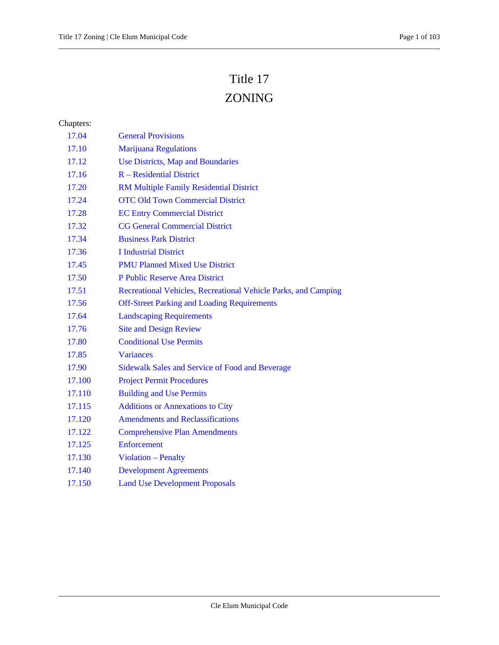# Title 17

## ZONING

### Chapters:

| 17.04  | <b>General Provisions</b>                                      |
|--------|----------------------------------------------------------------|
| 17.10  | <b>Marijuana Regulations</b>                                   |
| 17.12  | Use Districts, Map and Boundaries                              |
| 17.16  | $R - Residental District$                                      |
| 17.20  | <b>RM Multiple Family Residential District</b>                 |
| 17.24  | <b>OTC Old Town Commercial District</b>                        |
| 17.28  | <b>EC Entry Commercial District</b>                            |
| 17.32  | <b>CG General Commercial District</b>                          |
| 17.34  | <b>Business Park District</b>                                  |
| 17.36  | <b>I</b> Industrial District                                   |
| 17.45  | <b>PMU Planned Mixed Use District</b>                          |
| 17.50  | P Public Reserve Area District                                 |
| 17.51  | Recreational Vehicles, Recreational Vehicle Parks, and Camping |
| 17.56  | <b>Off-Street Parking and Loading Requirements</b>             |
| 17.64  | <b>Landscaping Requirements</b>                                |
| 17.76  | <b>Site and Design Review</b>                                  |
| 17.80  | <b>Conditional Use Permits</b>                                 |
| 17.85  | <b>Variances</b>                                               |
| 17.90  | <b>Sidewalk Sales and Service of Food and Beverage</b>         |
| 17.100 | <b>Project Permit Procedures</b>                               |
| 17.110 | <b>Building and Use Permits</b>                                |
| 17.115 | <b>Additions or Annexations to City</b>                        |
| 17.120 | <b>Amendments and Reclassifications</b>                        |
| 17.122 | <b>Comprehensive Plan Amendments</b>                           |
| 17.125 | Enforcement                                                    |
| 17.130 | <b>Violation - Penalty</b>                                     |
| 17.140 | <b>Development Agreements</b>                                  |
| 17.150 | <b>Land Use Development Proposals</b>                          |
|        |                                                                |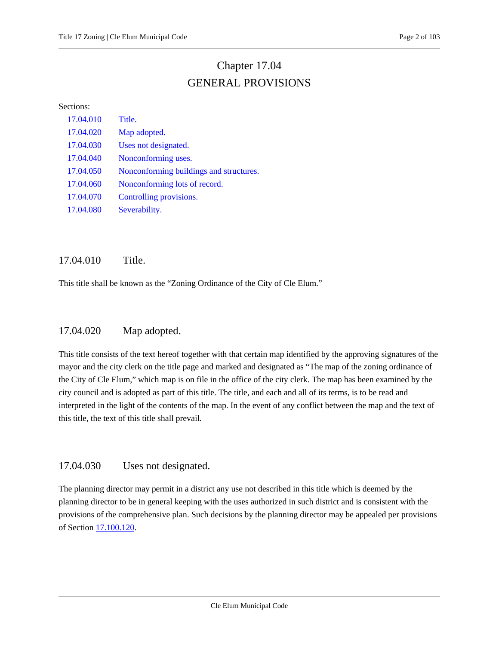## Chapter 17.04 GENERAL PROVISIONS

#### <span id="page-1-0"></span>Sections:

| 17.04.010 | Title.                                  |
|-----------|-----------------------------------------|
| 17.04.020 | Map adopted.                            |
| 17.04.030 | Uses not designated.                    |
| 17.04.040 | Nonconforming uses.                     |
| 17.04.050 | Nonconforming buildings and structures. |
| 17.04.060 | Nonconforming lots of record.           |
| 17.04.070 | Controlling provisions.                 |
| 17.04.080 | Severability.                           |

### <span id="page-1-1"></span>17.04.010 Title.

<span id="page-1-2"></span>This title shall be known as the "Zoning Ordinance of the City of Cle Elum."

### 17.04.020 Map adopted.

This title consists of the text hereof together with that certain map identified by the approving signatures of the mayor and the city clerk on the title page and marked and designated as "The map of the zoning ordinance of the City of Cle Elum," which map is on file in the office of the city clerk. The map has been examined by the city council and is adopted as part of this title. The title, and each and all of its terms, is to be read and interpreted in the light of the contents of the map. In the event of any conflict between the map and the text of this title, the text of this title shall prevail.

### <span id="page-1-3"></span>17.04.030 Uses not designated.

The planning director may permit in a district any use not described in this title which is deemed by the planning director to be in general keeping with the uses authorized in such district and is consistent with the provisions of the comprehensive plan. Such decisions by the planning director may be appealed per provisions of Section [17.100.120.](#page-89-0)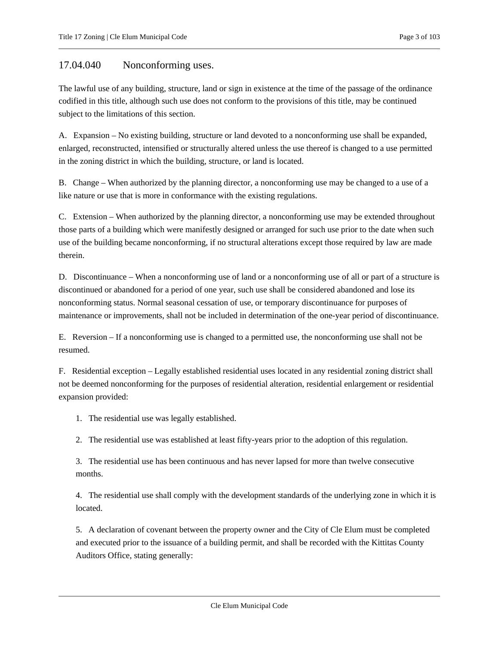### <span id="page-2-0"></span>17.04.040 Nonconforming uses.

The lawful use of any building, structure, land or sign in existence at the time of the passage of the ordinance codified in this title, although such use does not conform to the provisions of this title, may be continued subject to the limitations of this section.

A. Expansion – No existing building, structure or land devoted to a nonconforming use shall be expanded, enlarged, reconstructed, intensified or structurally altered unless the use thereof is changed to a use permitted in the zoning district in which the building, structure, or land is located.

B. Change – When authorized by the planning director, a nonconforming use may be changed to a use of a like nature or use that is more in conformance with the existing regulations.

C. Extension – When authorized by the planning director, a nonconforming use may be extended throughout those parts of a building which were manifestly designed or arranged for such use prior to the date when such use of the building became nonconforming, if no structural alterations except those required by law are made therein.

D. Discontinuance – When a nonconforming use of land or a nonconforming use of all or part of a structure is discontinued or abandoned for a period of one year, such use shall be considered abandoned and lose its nonconforming status. Normal seasonal cessation of use, or temporary discontinuance for purposes of maintenance or improvements, shall not be included in determination of the one-year period of discontinuance.

E. Reversion – If a nonconforming use is changed to a permitted use, the nonconforming use shall not be resumed.

F. Residential exception – Legally established residential uses located in any residential zoning district shall not be deemed nonconforming for the purposes of residential alteration, residential enlargement or residential expansion provided:

1. The residential use was legally established.

2. The residential use was established at least fifty-years prior to the adoption of this regulation.

3. The residential use has been continuous and has never lapsed for more than twelve consecutive months.

4. The residential use shall comply with the development standards of the underlying zone in which it is located.

5. A declaration of covenant between the property owner and the City of Cle Elum must be completed and executed prior to the issuance of a building permit, and shall be recorded with the Kittitas County Auditors Office, stating generally: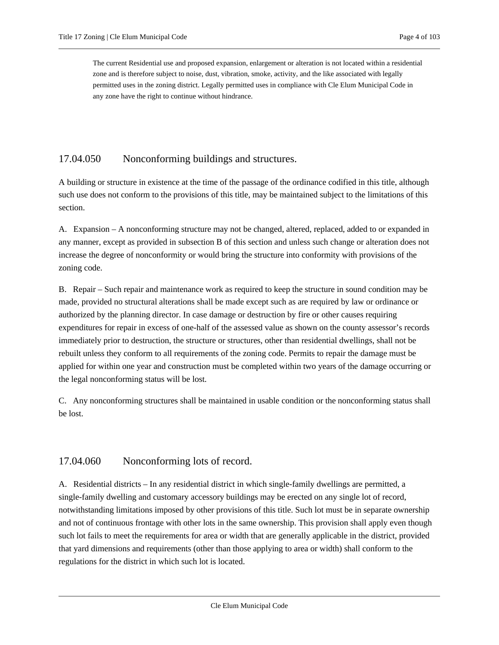The current Residential use and proposed expansion, enlargement or alteration is not located within a residential zone and is therefore subject to noise, dust, vibration, smoke, activity, and the like associated with legally permitted uses in the zoning district. Legally permitted uses in compliance with Cle Elum Municipal Code in any zone have the right to continue without hindrance.

### <span id="page-3-0"></span>17.04.050 Nonconforming buildings and structures.

A building or structure in existence at the time of the passage of the ordinance codified in this title, although such use does not conform to the provisions of this title, may be maintained subject to the limitations of this section.

A. Expansion – A nonconforming structure may not be changed, altered, replaced, added to or expanded in any manner, except as provided in subsection B of this section and unless such change or alteration does not increase the degree of nonconformity or would bring the structure into conformity with provisions of the zoning code.

B. Repair – Such repair and maintenance work as required to keep the structure in sound condition may be made, provided no structural alterations shall be made except such as are required by law or ordinance or authorized by the planning director. In case damage or destruction by fire or other causes requiring expenditures for repair in excess of one-half of the assessed value as shown on the county assessor's records immediately prior to destruction, the structure or structures, other than residential dwellings, shall not be rebuilt unless they conform to all requirements of the zoning code. Permits to repair the damage must be applied for within one year and construction must be completed within two years of the damage occurring or the legal nonconforming status will be lost.

C. Any nonconforming structures shall be maintained in usable condition or the nonconforming status shall be lost.

### <span id="page-3-1"></span>17.04.060 Nonconforming lots of record.

A. Residential districts – In any residential district in which single-family dwellings are permitted, a single-family dwelling and customary accessory buildings may be erected on any single lot of record, notwithstanding limitations imposed by other provisions of this title. Such lot must be in separate ownership and not of continuous frontage with other lots in the same ownership. This provision shall apply even though such lot fails to meet the requirements for area or width that are generally applicable in the district, provided that yard dimensions and requirements (other than those applying to area or width) shall conform to the regulations for the district in which such lot is located.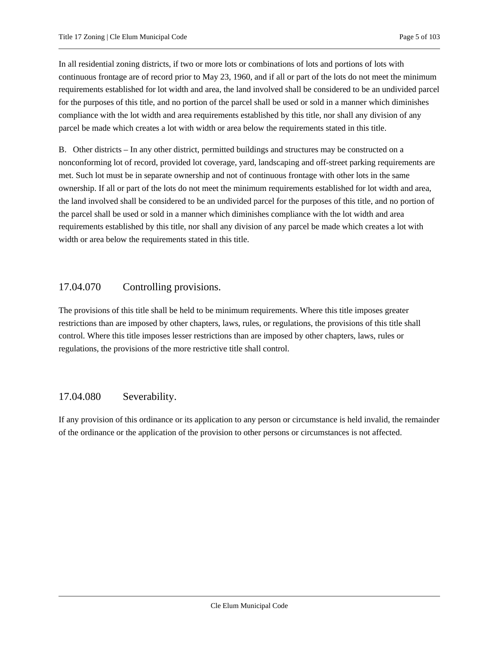In all residential zoning districts, if two or more lots or combinations of lots and portions of lots with continuous frontage are of record prior to May 23, 1960, and if all or part of the lots do not meet the minimum requirements established for lot width and area, the land involved shall be considered to be an undivided parcel for the purposes of this title, and no portion of the parcel shall be used or sold in a manner which diminishes compliance with the lot width and area requirements established by this title, nor shall any division of any parcel be made which creates a lot with width or area below the requirements stated in this title.

B. Other districts – In any other district, permitted buildings and structures may be constructed on a nonconforming lot of record, provided lot coverage, yard, landscaping and off-street parking requirements are met. Such lot must be in separate ownership and not of continuous frontage with other lots in the same ownership. If all or part of the lots do not meet the minimum requirements established for lot width and area, the land involved shall be considered to be an undivided parcel for the purposes of this title, and no portion of the parcel shall be used or sold in a manner which diminishes compliance with the lot width and area requirements established by this title, nor shall any division of any parcel be made which creates a lot with width or area below the requirements stated in this title.

### <span id="page-4-0"></span>17.04.070 Controlling provisions.

The provisions of this title shall be held to be minimum requirements. Where this title imposes greater restrictions than are imposed by other chapters, laws, rules, or regulations, the provisions of this title shall control. Where this title imposes lesser restrictions than are imposed by other chapters, laws, rules or regulations, the provisions of the more restrictive title shall control.

### <span id="page-4-1"></span>17.04.080 Severability.

If any provision of this ordinance or its application to any person or circumstance is held invalid, the remainder of the ordinance or the application of the provision to other persons or circumstances is not affected.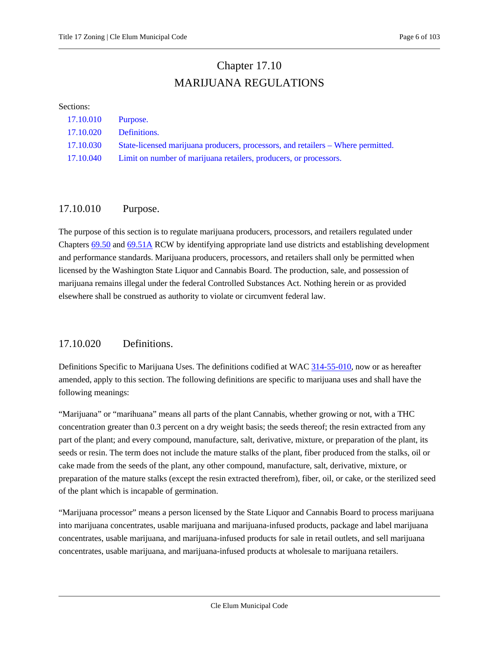### Chapter 17.10 MARIJUANA REGULATIONS

#### <span id="page-5-0"></span>Sections:

| 17.10.010 Purpose.     |                                                                                  |
|------------------------|----------------------------------------------------------------------------------|
| 17.10.020 Definitions. |                                                                                  |
| 17.10.030              | State-licensed marijuana producers, processors, and retailers – Where permitted. |
| 17.10.040              | Limit on number of marijuana retailers, producers, or processors.                |

### <span id="page-5-1"></span>17.10.010 Purpose.

The purpose of this section is to regulate marijuana producers, processors, and retailers regulated under Chapters [69.50](https://cleelum.municipal.codes/WA/RCW/69.50) and [69.51A](https://cleelum.municipal.codes/WA/RCW/69.51A) RCW by identifying appropriate land use districts and establishing development and performance standards. Marijuana producers, processors, and retailers shall only be permitted when licensed by the Washington State Liquor and Cannabis Board. The production, sale, and possession of marijuana remains illegal under the federal Controlled Substances Act. Nothing herein or as provided elsewhere shall be construed as authority to violate or circumvent federal law.

### <span id="page-5-2"></span>17.10.020 Definitions.

Definitions Specific to Marijuana Uses. The definitions codified at WAC [314-55-010,](https://cleelum.municipal.codes/WA/WAC/314-55-010) now or as hereafter amended, apply to this section. The following definitions are specific to marijuana uses and shall have the following meanings:

"Marijuana" or "marihuana" means all parts of the plant Cannabis, whether growing or not, with a THC concentration greater than 0.3 percent on a dry weight basis; the seeds thereof; the resin extracted from any part of the plant; and every compound, manufacture, salt, derivative, mixture, or preparation of the plant, its seeds or resin. The term does not include the mature stalks of the plant, fiber produced from the stalks, oil or cake made from the seeds of the plant, any other compound, manufacture, salt, derivative, mixture, or preparation of the mature stalks (except the resin extracted therefrom), fiber, oil, or cake, or the sterilized seed of the plant which is incapable of germination.

"Marijuana processor" means a person licensed by the State Liquor and Cannabis Board to process marijuana into marijuana concentrates, usable marijuana and marijuana-infused products, package and label marijuana concentrates, usable marijuana, and marijuana-infused products for sale in retail outlets, and sell marijuana concentrates, usable marijuana, and marijuana-infused products at wholesale to marijuana retailers.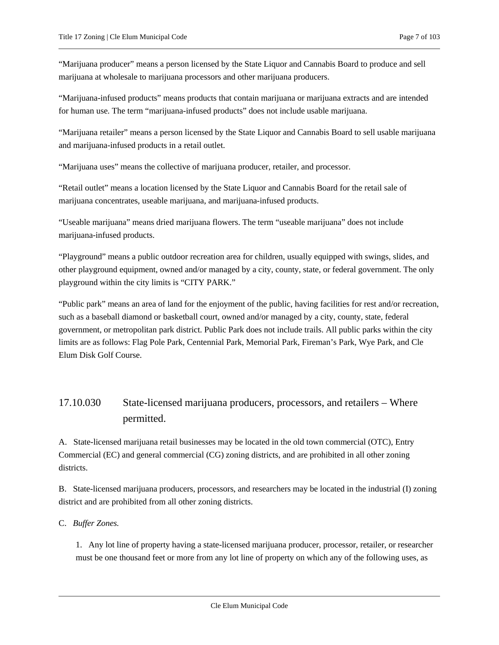"Marijuana producer" means a person licensed by the State Liquor and Cannabis Board to produce and sell marijuana at wholesale to marijuana processors and other marijuana producers.

"Marijuana-infused products" means products that contain marijuana or marijuana extracts and are intended for human use. The term "marijuana-infused products" does not include usable marijuana.

"Marijuana retailer" means a person licensed by the State Liquor and Cannabis Board to sell usable marijuana and marijuana-infused products in a retail outlet.

"Marijuana uses" means the collective of marijuana producer, retailer, and processor.

"Retail outlet" means a location licensed by the State Liquor and Cannabis Board for the retail sale of marijuana concentrates, useable marijuana, and marijuana-infused products.

"Useable marijuana" means dried marijuana flowers. The term "useable marijuana" does not include marijuana-infused products.

"Playground" means a public outdoor recreation area for children, usually equipped with swings, slides, and other playground equipment, owned and/or managed by a city, county, state, or federal government. The only playground within the city limits is "CITY PARK."

"Public park" means an area of land for the enjoyment of the public, having facilities for rest and/or recreation, such as a baseball diamond or basketball court, owned and/or managed by a city, county, state, federal government, or metropolitan park district. Public Park does not include trails. All public parks within the city limits are as follows: Flag Pole Park, Centennial Park, Memorial Park, Fireman's Park, Wye Park, and Cle Elum Disk Golf Course.

### <span id="page-6-0"></span>17.10.030 State-licensed marijuana producers, processors, and retailers – Where permitted.

A. State-licensed marijuana retail businesses may be located in the old town commercial (OTC), Entry Commercial (EC) and general commercial (CG) zoning districts, and are prohibited in all other zoning districts.

B. State-licensed marijuana producers, processors, and researchers may be located in the industrial (I) zoning district and are prohibited from all other zoning districts.

C. *Buffer Zones.*

1. Any lot line of property having a state-licensed marijuana producer, processor, retailer, or researcher must be one thousand feet or more from any lot line of property on which any of the following uses, as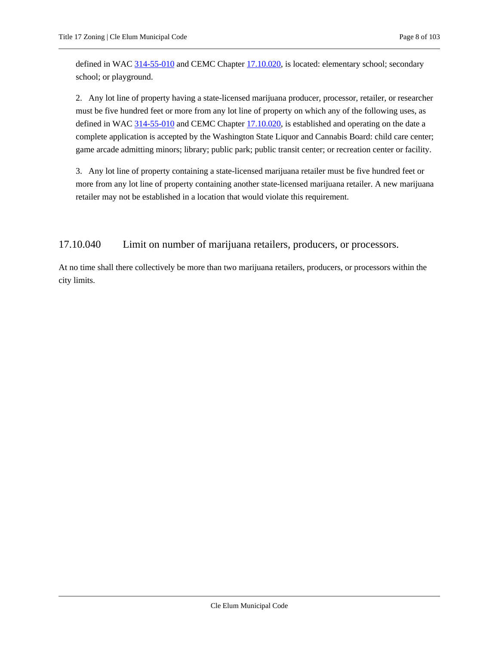defined in WAC [314-55-010](https://cleelum.municipal.codes/WA/WAC/314-55-010) and CEMC Chapte[r 17.10.020,](#page-5-2) is located: elementary school; secondary school; or playground.

2. Any lot line of property having a state-licensed marijuana producer, processor, retailer, or researcher must be five hundred feet or more from any lot line of property on which any of the following uses, as defined in WAC [314-55-010](https://cleelum.municipal.codes/WA/WAC/314-55-010) and CEMC Chapte[r 17.10.020,](#page-5-2) is established and operating on the date a complete application is accepted by the Washington State Liquor and Cannabis Board: child care center; game arcade admitting minors; library; public park; public transit center; or recreation center or facility.

3. Any lot line of property containing a state-licensed marijuana retailer must be five hundred feet or more from any lot line of property containing another state-licensed marijuana retailer. A new marijuana retailer may not be established in a location that would violate this requirement.

<span id="page-7-0"></span>17.10.040 Limit on number of marijuana retailers, producers, or processors.

At no time shall there collectively be more than two marijuana retailers, producers, or processors within the city limits.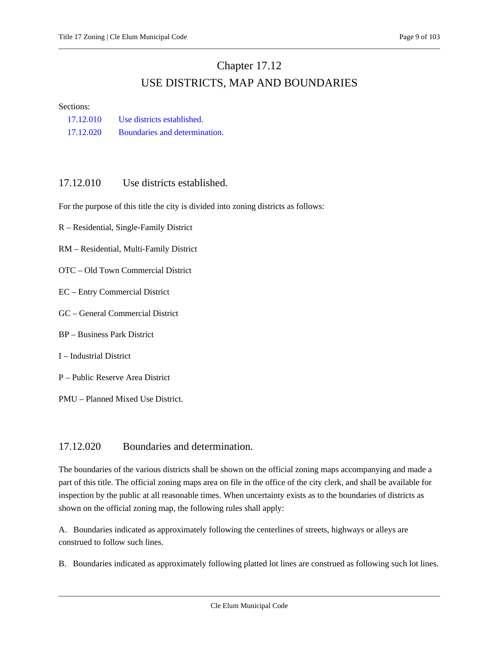## Chapter 17.12 USE DISTRICTS, MAP AND BOUNDARIES

<span id="page-8-0"></span>Sections:

| 17.12.010 | Use districts established.    |
|-----------|-------------------------------|
| 17.12.020 | Boundaries and determination. |

### <span id="page-8-1"></span>17.12.010 Use districts established.

For the purpose of this title the city is divided into zoning districts as follows:

- R Residential, Single-Family District
- RM Residential, Multi-Family District
- OTC Old Town Commercial District
- EC Entry Commercial District
- GC General Commercial District
- BP Business Park District
- I Industrial District
- P Public Reserve Area District
- PMU Planned Mixed Use District.

### 17.12.020 Boundaries and determination.

The boundaries of the various districts shall be shown on the official zoning maps accompanying and made a part of this title. The official zoning maps area on file in the office of the city clerk, and shall be available for inspection by the public at all reasonable times. When uncertainty exists as to the boundaries of districts as shown on the official zoning map, the following rules shall apply:

A. Boundaries indicated as approximately following the centerlines of streets, highways or alleys are construed to follow such lines.

B. Boundaries indicated as approximately following platted lot lines are construed as following such lot lines.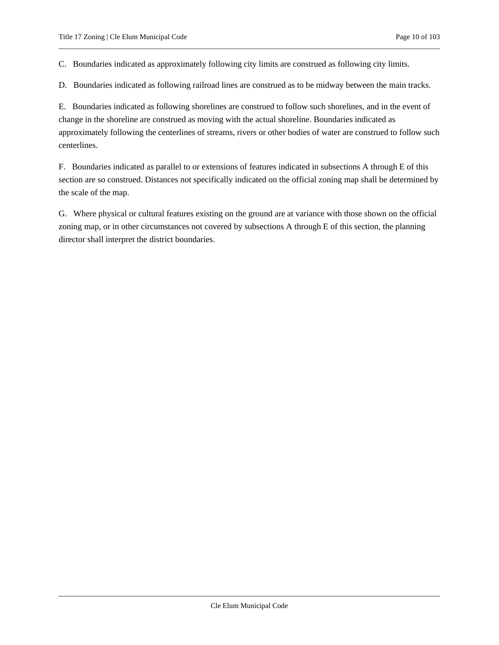C. Boundaries indicated as approximately following city limits are construed as following city limits.

D. Boundaries indicated as following railroad lines are construed as to be midway between the main tracks.

E. Boundaries indicated as following shorelines are construed to follow such shorelines, and in the event of change in the shoreline are construed as moving with the actual shoreline. Boundaries indicated as approximately following the centerlines of streams, rivers or other bodies of water are construed to follow such centerlines.

F. Boundaries indicated as parallel to or extensions of features indicated in subsections A through E of this section are so construed. Distances not specifically indicated on the official zoning map shall be determined by the scale of the map.

G. Where physical or cultural features existing on the ground are at variance with those shown on the official zoning map, or in other circumstances not covered by subsections A through E of this section, the planning director shall interpret the district boundaries.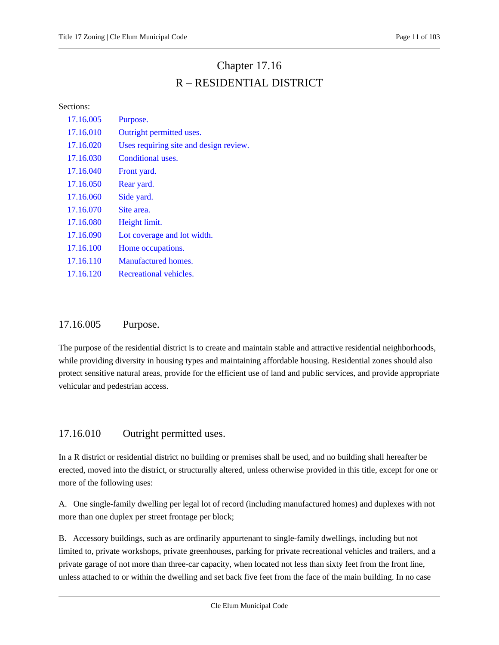## Chapter 17.16 R – RESIDENTIAL DISTRICT

Sections:

| 17.16.005 | Purpose.                               |
|-----------|----------------------------------------|
| 17.16.010 | Outright permitted uses.               |
| 17.16.020 | Uses requiring site and design review. |
| 17.16.030 | Conditional uses.                      |
| 17.16.040 | Front yard.                            |
| 17.16.050 | Rear yard.                             |
| 17.16.060 | Side yard.                             |
| 17.16.070 | Site area.                             |
| 17.16.080 | Height limit.                          |
| 17.16.090 | Lot coverage and lot width.            |
| 17.16.100 | Home occupations.                      |
| 17.16.110 | Manufactured homes.                    |
| 17.16.120 | Recreational vehicles.                 |
|           |                                        |

### <span id="page-10-0"></span>17.16.005 Purpose.

The purpose of the residential district is to create and maintain stable and attractive residential neighborhoods, while providing diversity in housing types and maintaining affordable housing. Residential zones should also protect sensitive natural areas, provide for the efficient use of land and public services, and provide appropriate vehicular and pedestrian access.

### <span id="page-10-1"></span>17.16.010 Outright permitted uses.

In a R district or residential district no building or premises shall be used, and no building shall hereafter be erected, moved into the district, or structurally altered, unless otherwise provided in this title, except for one or more of the following uses:

A. One single-family dwelling per legal lot of record (including manufactured homes) and duplexes with not more than one duplex per street frontage per block;

B. Accessory buildings, such as are ordinarily appurtenant to single-family dwellings, including but not limited to, private workshops, private greenhouses, parking for private recreational vehicles and trailers, and a private garage of not more than three-car capacity, when located not less than sixty feet from the front line, unless attached to or within the dwelling and set back five feet from the face of the main building. In no case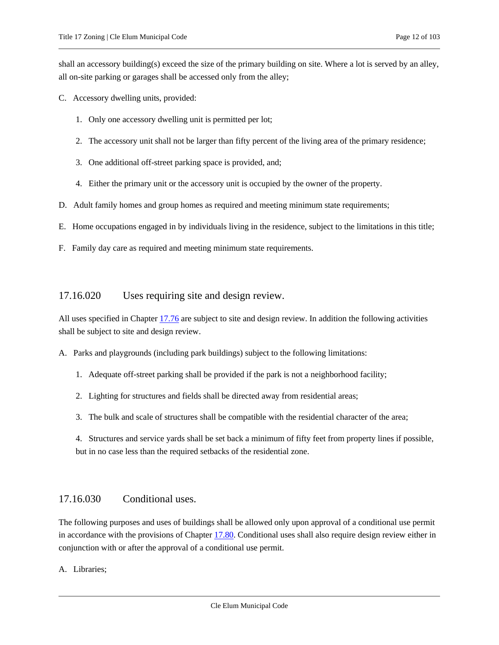shall an accessory building(s) exceed the size of the primary building on site. Where a lot is served by an alley, all on-site parking or garages shall be accessed only from the alley;

- C. Accessory dwelling units, provided:
	- 1. Only one accessory dwelling unit is permitted per lot;
	- 2. The accessory unit shall not be larger than fifty percent of the living area of the primary residence;
	- 3. One additional off-street parking space is provided, and;
	- 4. Either the primary unit or the accessory unit is occupied by the owner of the property.
- D. Adult family homes and group homes as required and meeting minimum state requirements;
- E. Home occupations engaged in by individuals living in the residence, subject to the limitations in this title;
- <span id="page-11-0"></span>F. Family day care as required and meeting minimum state requirements.

### 17.16.020 Uses requiring site and design review.

All uses specified in Chapter [17.76](#page-77-0) are subject to site and design review. In addition the following activities shall be subject to site and design review.

A. Parks and playgrounds (including park buildings) subject to the following limitations:

- 1. Adequate off-street parking shall be provided if the park is not a neighborhood facility;
- 2. Lighting for structures and fields shall be directed away from residential areas;
- 3. The bulk and scale of structures shall be compatible with the residential character of the area;

4. Structures and service yards shall be set back a minimum of fifty feet from property lines if possible, but in no case less than the required setbacks of the residential zone.

### <span id="page-11-1"></span>17.16.030 Conditional uses.

The following purposes and uses of buildings shall be allowed only upon approval of a conditional use permit in accordance with the provisions of Chapter [17.80.](#page-79-0) Conditional uses shall also require design review either in conjunction with or after the approval of a conditional use permit.

A. Libraries;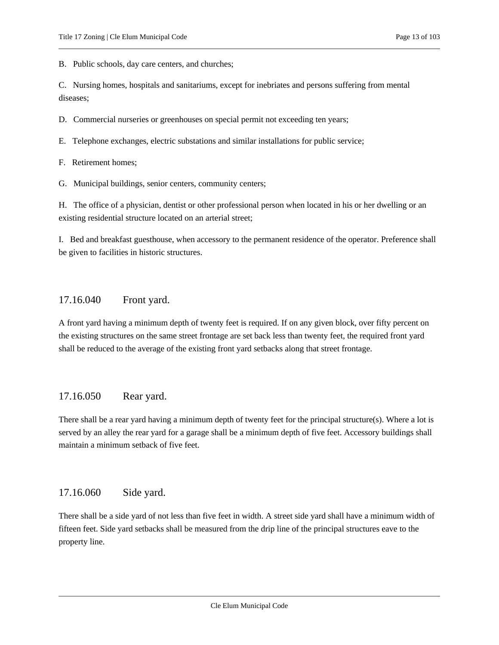B. Public schools, day care centers, and churches;

C. Nursing homes, hospitals and sanitariums, except for inebriates and persons suffering from mental diseases;

D. Commercial nurseries or greenhouses on special permit not exceeding ten years;

E. Telephone exchanges, electric substations and similar installations for public service;

F. Retirement homes;

G. Municipal buildings, senior centers, community centers;

H. The office of a physician, dentist or other professional person when located in his or her dwelling or an existing residential structure located on an arterial street;

I. Bed and breakfast guesthouse, when accessory to the permanent residence of the operator. Preference shall be given to facilities in historic structures.

### <span id="page-12-0"></span>17.16.040 Front yard.

A front yard having a minimum depth of twenty feet is required. If on any given block, over fifty percent on the existing structures on the same street frontage are set back less than twenty feet, the required front yard shall be reduced to the average of the existing front yard setbacks along that street frontage.

### <span id="page-12-1"></span>17.16.050 Rear yard.

There shall be a rear yard having a minimum depth of twenty feet for the principal structure(s). Where a lot is served by an alley the rear yard for a garage shall be a minimum depth of five feet. Accessory buildings shall maintain a minimum setback of five feet.

### <span id="page-12-2"></span>17.16.060 Side yard.

There shall be a side yard of not less than five feet in width. A street side yard shall have a minimum width of fifteen feet. Side yard setbacks shall be measured from the drip line of the principal structures eave to the property line.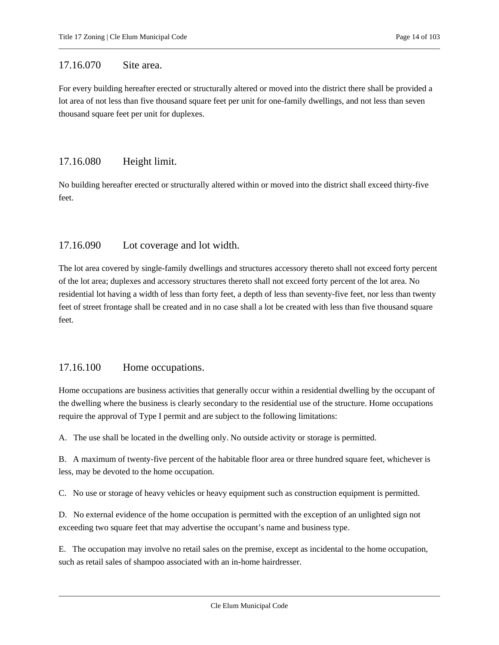### <span id="page-13-0"></span>17.16.070 Site area.

For every building hereafter erected or structurally altered or moved into the district there shall be provided a lot area of not less than five thousand square feet per unit for one-family dwellings, and not less than seven thousand square feet per unit for duplexes.

### <span id="page-13-1"></span>17.16.080 Height limit.

No building hereafter erected or structurally altered within or moved into the district shall exceed thirty-five feet.

### <span id="page-13-2"></span>17.16.090 Lot coverage and lot width.

The lot area covered by single-family dwellings and structures accessory thereto shall not exceed forty percent of the lot area; duplexes and accessory structures thereto shall not exceed forty percent of the lot area. No residential lot having a width of less than forty feet, a depth of less than seventy-five feet, nor less than twenty feet of street frontage shall be created and in no case shall a lot be created with less than five thousand square feet.

### <span id="page-13-3"></span>17.16.100 Home occupations.

Home occupations are business activities that generally occur within a residential dwelling by the occupant of the dwelling where the business is clearly secondary to the residential use of the structure. Home occupations require the approval of Type I permit and are subject to the following limitations:

A. The use shall be located in the dwelling only. No outside activity or storage is permitted.

B. A maximum of twenty-five percent of the habitable floor area or three hundred square feet, whichever is less, may be devoted to the home occupation.

C. No use or storage of heavy vehicles or heavy equipment such as construction equipment is permitted.

D. No external evidence of the home occupation is permitted with the exception of an unlighted sign not exceeding two square feet that may advertise the occupant's name and business type.

E. The occupation may involve no retail sales on the premise, except as incidental to the home occupation, such as retail sales of shampoo associated with an in-home hairdresser.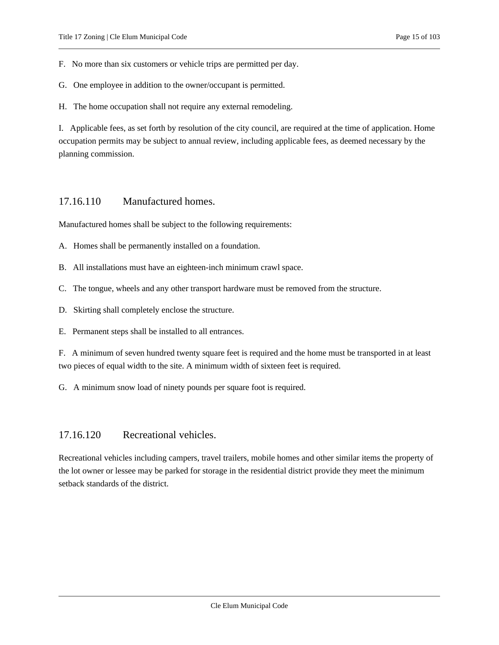F. No more than six customers or vehicle trips are permitted per day.

G. One employee in addition to the owner/occupant is permitted.

H. The home occupation shall not require any external remodeling.

I. Applicable fees, as set forth by resolution of the city council, are required at the time of application. Home occupation permits may be subject to annual review, including applicable fees, as deemed necessary by the planning commission.

### <span id="page-14-0"></span>17.16.110 Manufactured homes.

Manufactured homes shall be subject to the following requirements:

A. Homes shall be permanently installed on a foundation.

- B. All installations must have an eighteen-inch minimum crawl space.
- C. The tongue, wheels and any other transport hardware must be removed from the structure.
- D. Skirting shall completely enclose the structure.
- E. Permanent steps shall be installed to all entrances.

F. A minimum of seven hundred twenty square feet is required and the home must be transported in at least two pieces of equal width to the site. A minimum width of sixteen feet is required.

<span id="page-14-1"></span>G. A minimum snow load of ninety pounds per square foot is required.

### 17.16.120 Recreational vehicles.

Recreational vehicles including campers, travel trailers, mobile homes and other similar items the property of the lot owner or lessee may be parked for storage in the residential district provide they meet the minimum setback standards of the district.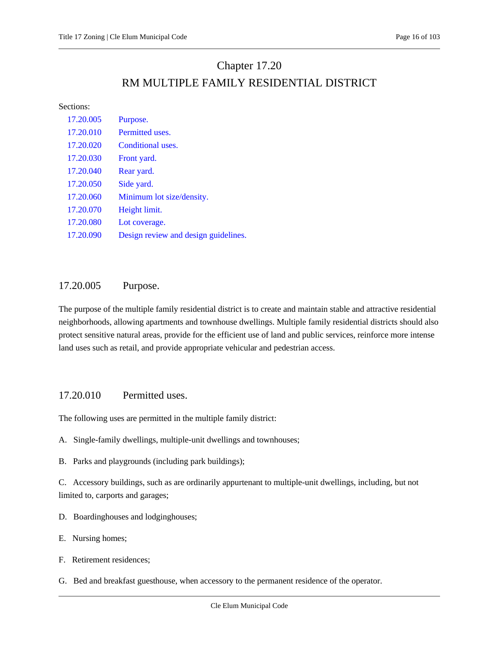## Chapter 17.20 RM MULTIPLE FAMILY RESIDENTIAL DISTRICT

#### <span id="page-15-0"></span>Sections:

| 17.20.005 | Purpose.                             |
|-----------|--------------------------------------|
| 17.20.010 | Permitted uses.                      |
| 17.20.020 | Conditional uses.                    |
| 17.20.030 | Front yard.                          |
| 17.20.040 | Rear yard.                           |
| 17.20.050 | Side yard.                           |
| 17.20.060 | Minimum lot size/density.            |
| 17.20.070 | Height limit.                        |
| 17.20.080 | Lot coverage.                        |
| 17.20.090 | Design review and design guidelines. |

### <span id="page-15-1"></span>17.20.005 Purpose.

The purpose of the multiple family residential district is to create and maintain stable and attractive residential neighborhoods, allowing apartments and townhouse dwellings. Multiple family residential districts should also protect sensitive natural areas, provide for the efficient use of land and public services, reinforce more intense land uses such as retail, and provide appropriate vehicular and pedestrian access.

### <span id="page-15-2"></span>17.20.010 Permitted uses.

The following uses are permitted in the multiple family district:

- A. Single-family dwellings, multiple-unit dwellings and townhouses;
- B. Parks and playgrounds (including park buildings);

C. Accessory buildings, such as are ordinarily appurtenant to multiple-unit dwellings, including, but not limited to, carports and garages;

- D. Boardinghouses and lodginghouses;
- E. Nursing homes;
- F. Retirement residences;
- G. Bed and breakfast guesthouse, when accessory to the permanent residence of the operator.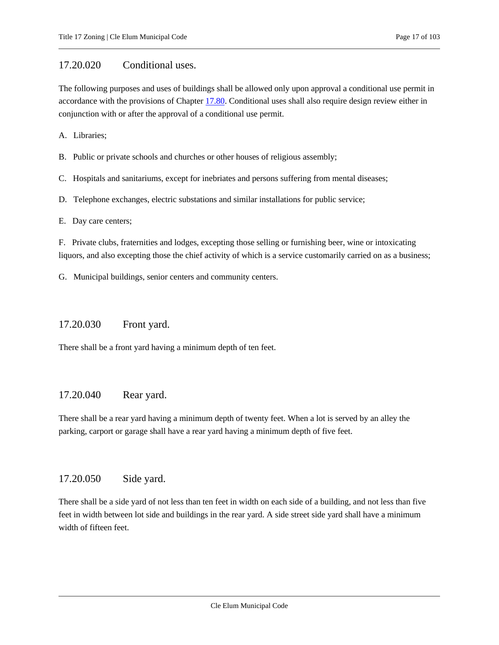### <span id="page-16-0"></span>17.20.020 Conditional uses.

The following purposes and uses of buildings shall be allowed only upon approval a conditional use permit in accordance with the provisions of Chapter [17.80.](#page-79-0) Conditional uses shall also require design review either in conjunction with or after the approval of a conditional use permit.

A. Libraries;

B. Public or private schools and churches or other houses of religious assembly;

C. Hospitals and sanitariums, except for inebriates and persons suffering from mental diseases;

D. Telephone exchanges, electric substations and similar installations for public service;

E. Day care centers;

F. Private clubs, fraternities and lodges, excepting those selling or furnishing beer, wine or intoxicating liquors, and also excepting those the chief activity of which is a service customarily carried on as a business;

<span id="page-16-1"></span>G. Municipal buildings, senior centers and community centers.

### 17.20.030 Front yard.

<span id="page-16-2"></span>There shall be a front yard having a minimum depth of ten feet.

### 17.20.040 Rear yard.

There shall be a rear yard having a minimum depth of twenty feet. When a lot is served by an alley the parking, carport or garage shall have a rear yard having a minimum depth of five feet.

#### <span id="page-16-3"></span>17.20.050 Side yard.

There shall be a side yard of not less than ten feet in width on each side of a building, and not less than five feet in width between lot side and buildings in the rear yard. A side street side yard shall have a minimum width of fifteen feet.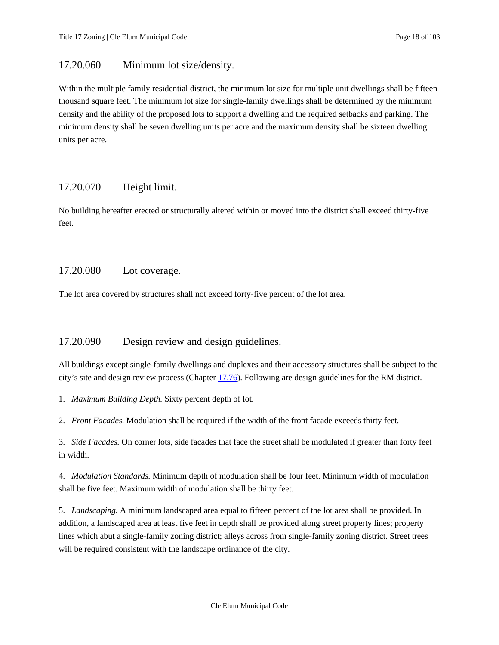### <span id="page-17-0"></span>17.20.060 Minimum lot size/density.

Within the multiple family residential district, the minimum lot size for multiple unit dwellings shall be fifteen thousand square feet. The minimum lot size for single-family dwellings shall be determined by the minimum density and the ability of the proposed lots to support a dwelling and the required setbacks and parking. The minimum density shall be seven dwelling units per acre and the maximum density shall be sixteen dwelling units per acre.

### <span id="page-17-1"></span>17.20.070 Height limit.

No building hereafter erected or structurally altered within or moved into the district shall exceed thirty-five feet.

### <span id="page-17-2"></span>17.20.080 Lot coverage.

<span id="page-17-3"></span>The lot area covered by structures shall not exceed forty-five percent of the lot area.

### 17.20.090 Design review and design guidelines.

All buildings except single-family dwellings and duplexes and their accessory structures shall be subject to the city's site and design review process (Chapte[r 17.76\)](#page-77-0). Following are design guidelines for the RM district.

1. *Maximum Building Depth.* Sixty percent depth of lot.

2. *Front Facades.* Modulation shall be required if the width of the front facade exceeds thirty feet.

3. *Side Facades.* On corner lots, side facades that face the street shall be modulated if greater than forty feet in width.

4. *Modulation Standards.* Minimum depth of modulation shall be four feet. Minimum width of modulation shall be five feet. Maximum width of modulation shall be thirty feet.

5. *Landscaping.* A minimum landscaped area equal to fifteen percent of the lot area shall be provided. In addition, a landscaped area at least five feet in depth shall be provided along street property lines; property lines which abut a single-family zoning district; alleys across from single-family zoning district. Street trees will be required consistent with the landscape ordinance of the city.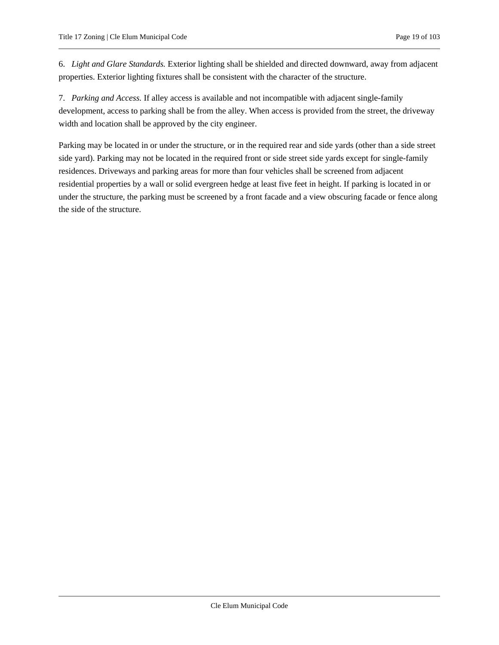6. *Light and Glare Standards.* Exterior lighting shall be shielded and directed downward, away from adjacent properties. Exterior lighting fixtures shall be consistent with the character of the structure.

7. *Parking and Access.* If alley access is available and not incompatible with adjacent single-family development, access to parking shall be from the alley. When access is provided from the street, the driveway width and location shall be approved by the city engineer.

Parking may be located in or under the structure, or in the required rear and side yards (other than a side street side yard). Parking may not be located in the required front or side street side yards except for single-family residences. Driveways and parking areas for more than four vehicles shall be screened from adjacent residential properties by a wall or solid evergreen hedge at least five feet in height. If parking is located in or under the structure, the parking must be screened by a front facade and a view obscuring facade or fence along the side of the structure.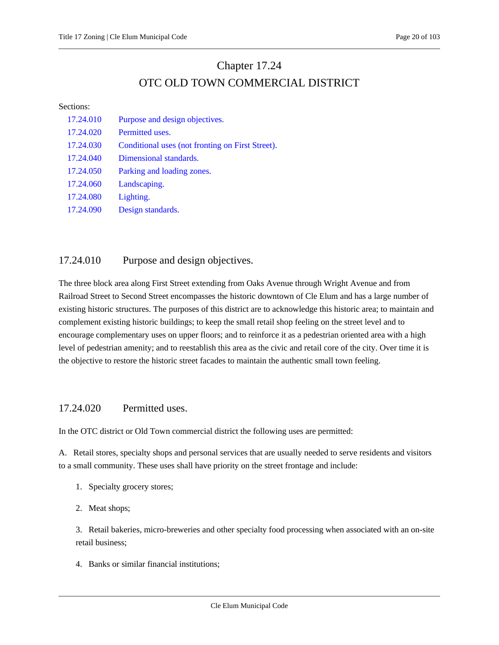## Chapter 17.24 OTC OLD TOWN COMMERCIAL DISTRICT

#### <span id="page-19-0"></span>Sections:

| 17.24.010 | Purpose and design objectives.                   |
|-----------|--------------------------------------------------|
| 17.24.020 | Permitted uses.                                  |
| 17.24.030 | Conditional uses (not fronting on First Street). |
| 17.24.040 | Dimensional standards.                           |
| 17.24.050 | Parking and loading zones.                       |
| 17.24.060 | Landscaping.                                     |
| 17.24.080 | Lighting.                                        |
| 17.24.090 | Design standards.                                |

### <span id="page-19-1"></span>17.24.010 Purpose and design objectives.

The three block area along First Street extending from Oaks Avenue through Wright Avenue and from Railroad Street to Second Street encompasses the historic downtown of Cle Elum and has a large number of existing historic structures. The purposes of this district are to acknowledge this historic area; to maintain and complement existing historic buildings; to keep the small retail shop feeling on the street level and to encourage complementary uses on upper floors; and to reinforce it as a pedestrian oriented area with a high level of pedestrian amenity; and to reestablish this area as the civic and retail core of the city. Over time it is the objective to restore the historic street facades to maintain the authentic small town feeling.

### <span id="page-19-2"></span>17.24.020 Permitted uses.

In the OTC district or Old Town commercial district the following uses are permitted:

A. Retail stores, specialty shops and personal services that are usually needed to serve residents and visitors to a small community. These uses shall have priority on the street frontage and include:

- 1. Specialty grocery stores;
- 2. Meat shops;

3. Retail bakeries, micro-breweries and other specialty food processing when associated with an on-site retail business;

4. Banks or similar financial institutions;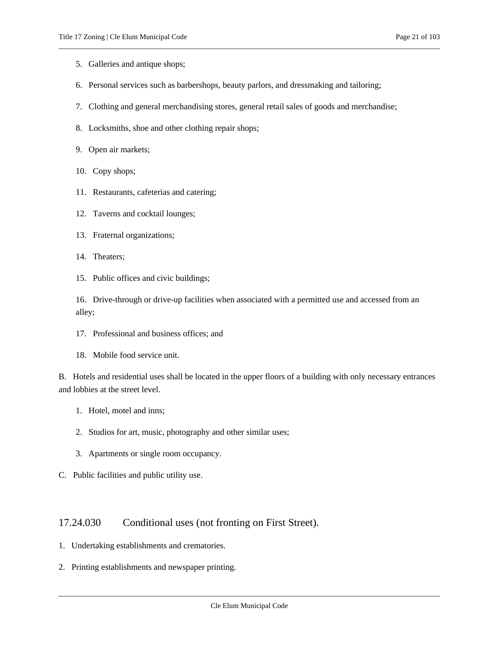- 5. Galleries and antique shops;
- 6. Personal services such as barbershops, beauty parlors, and dressmaking and tailoring;
- 7. Clothing and general merchandising stores, general retail sales of goods and merchandise;
- 8. Locksmiths, shoe and other clothing repair shops;
- 9. Open air markets;
- 10. Copy shops;
- 11. Restaurants, cafeterias and catering;
- 12. Taverns and cocktail lounges;
- 13. Fraternal organizations;
- 14. Theaters;
- 15. Public offices and civic buildings;

16. Drive-through or drive-up facilities when associated with a permitted use and accessed from an alley;

- 17. Professional and business offices; and
- 18. Mobile food service unit.

B. Hotels and residential uses shall be located in the upper floors of a building with only necessary entrances and lobbies at the street level.

- 1. Hotel, motel and inns;
- 2. Studios for art, music, photography and other similar uses;
- 3. Apartments or single room occupancy.
- <span id="page-20-0"></span>C. Public facilities and public utility use.

### 17.24.030 Conditional uses (not fronting on First Street).

- 1. Undertaking establishments and crematories.
- 2. Printing establishments and newspaper printing.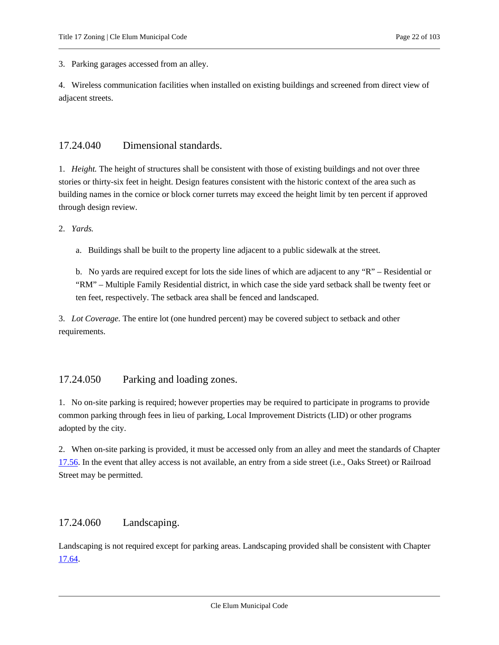3. Parking garages accessed from an alley.

4. Wireless communication facilities when installed on existing buildings and screened from direct view of adjacent streets.

#### <span id="page-21-0"></span>17.24.040 Dimensional standards.

1. *Height.* The height of structures shall be consistent with those of existing buildings and not over three stories or thirty-six feet in height. Design features consistent with the historic context of the area such as building names in the cornice or block corner turrets may exceed the height limit by ten percent if approved through design review.

2. *Yards.*

a. Buildings shall be built to the property line adjacent to a public sidewalk at the street.

b. No yards are required except for lots the side lines of which are adjacent to any "R" – Residential or "RM" – Multiple Family Residential district, in which case the side yard setback shall be twenty feet or ten feet, respectively. The setback area shall be fenced and landscaped.

3. *Lot Coverage.* The entire lot (one hundred percent) may be covered subject to setback and other requirements.

### <span id="page-21-1"></span>17.24.050 Parking and loading zones.

1. No on-site parking is required; however properties may be required to participate in programs to provide common parking through fees in lieu of parking, Local Improvement Districts (LID) or other programs adopted by the city.

2. When on-site parking is provided, it must be accessed only from an alley and meet the standards of Chapter [17.56.](#page-61-0) In the event that alley access is not available, an entry from a side street (i.e., Oaks Street) or Railroad Street may be permitted.

### <span id="page-21-2"></span>17.24.060 Landscaping.

Landscaping is not required except for parking areas. Landscaping provided shall be consistent with Chapter [17.64.](#page-71-0)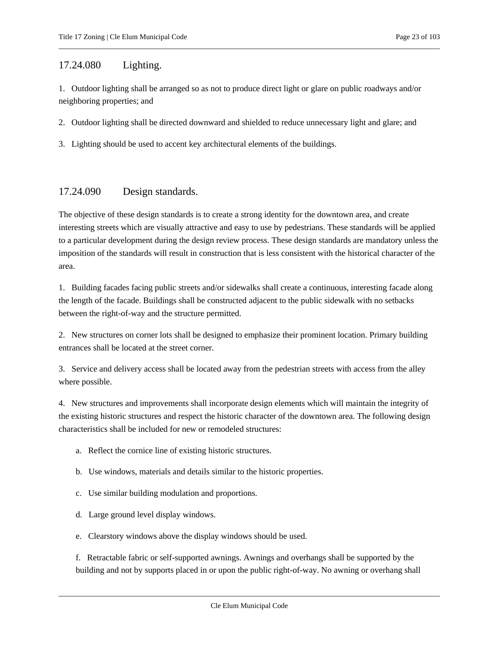### <span id="page-22-0"></span>17.24.080 Lighting.

1. Outdoor lighting shall be arranged so as not to produce direct light or glare on public roadways and/or neighboring properties; and

2. Outdoor lighting shall be directed downward and shielded to reduce unnecessary light and glare; and

<span id="page-22-1"></span>3. Lighting should be used to accent key architectural elements of the buildings.

### 17.24.090 Design standards.

The objective of these design standards is to create a strong identity for the downtown area, and create interesting streets which are visually attractive and easy to use by pedestrians. These standards will be applied to a particular development during the design review process. These design standards are mandatory unless the imposition of the standards will result in construction that is less consistent with the historical character of the area.

1. Building facades facing public streets and/or sidewalks shall create a continuous, interesting facade along the length of the facade. Buildings shall be constructed adjacent to the public sidewalk with no setbacks between the right-of-way and the structure permitted.

2. New structures on corner lots shall be designed to emphasize their prominent location. Primary building entrances shall be located at the street corner.

3. Service and delivery access shall be located away from the pedestrian streets with access from the alley where possible.

4. New structures and improvements shall incorporate design elements which will maintain the integrity of the existing historic structures and respect the historic character of the downtown area. The following design characteristics shall be included for new or remodeled structures:

- a. Reflect the cornice line of existing historic structures.
- b. Use windows, materials and details similar to the historic properties.
- c. Use similar building modulation and proportions.
- d. Large ground level display windows.
- e. Clearstory windows above the display windows should be used.

f. Retractable fabric or self-supported awnings. Awnings and overhangs shall be supported by the building and not by supports placed in or upon the public right-of-way. No awning or overhang shall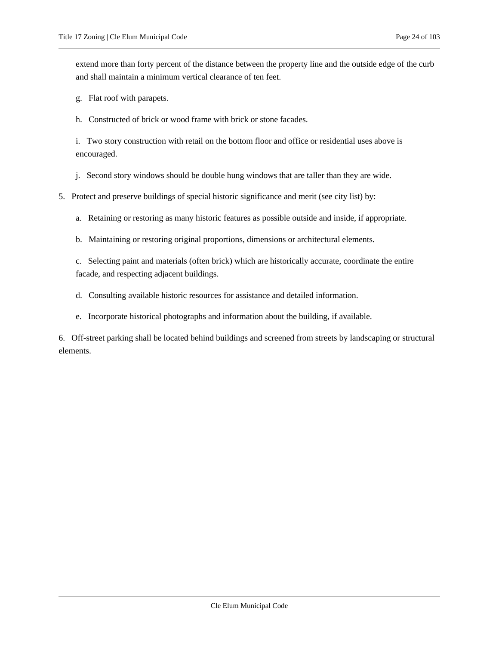extend more than forty percent of the distance between the property line and the outside edge of the curb and shall maintain a minimum vertical clearance of ten feet.

- g. Flat roof with parapets.
- h. Constructed of brick or wood frame with brick or stone facades.

i. Two story construction with retail on the bottom floor and office or residential uses above is encouraged.

j. Second story windows should be double hung windows that are taller than they are wide.

- 5. Protect and preserve buildings of special historic significance and merit (see city list) by:
	- a. Retaining or restoring as many historic features as possible outside and inside, if appropriate.
	- b. Maintaining or restoring original proportions, dimensions or architectural elements.

c. Selecting paint and materials (often brick) which are historically accurate, coordinate the entire facade, and respecting adjacent buildings.

- d. Consulting available historic resources for assistance and detailed information.
- e. Incorporate historical photographs and information about the building, if available.

6. Off-street parking shall be located behind buildings and screened from streets by landscaping or structural elements.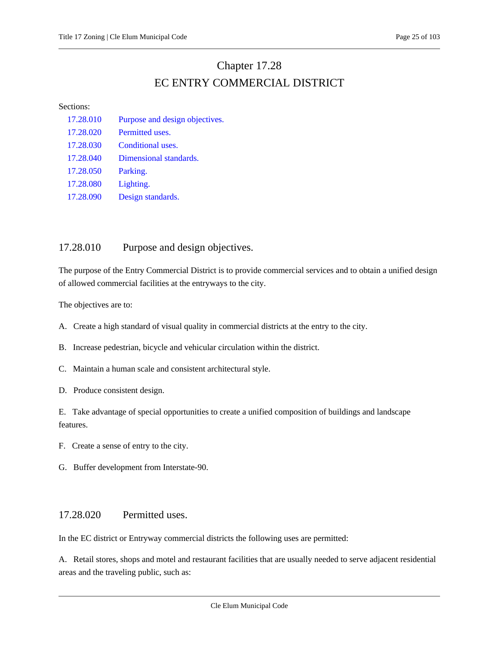## Chapter 17.28 EC ENTRY COMMERCIAL DISTRICT

#### <span id="page-24-0"></span>Sections:

| 17.28.010 | Purpose and design objectives. |
|-----------|--------------------------------|
| 17.28.020 | Permitted uses.                |
| 17.28.030 | Conditional uses.              |
| 17.28.040 | Dimensional standards.         |
| 17.28.050 | Parking.                       |
| 17.28.080 | Lighting.                      |
| 17.28.090 | Design standards.              |

### <span id="page-24-1"></span>17.28.010 Purpose and design objectives.

The purpose of the Entry Commercial District is to provide commercial services and to obtain a unified design of allowed commercial facilities at the entryways to the city.

The objectives are to:

A. Create a high standard of visual quality in commercial districts at the entry to the city.

B. Increase pedestrian, bicycle and vehicular circulation within the district.

C. Maintain a human scale and consistent architectural style.

D. Produce consistent design.

E. Take advantage of special opportunities to create a unified composition of buildings and landscape features.

- F. Create a sense of entry to the city.
- <span id="page-24-2"></span>G. Buffer development from Interstate-90.

### 17.28.020 Permitted uses.

In the EC district or Entryway commercial districts the following uses are permitted:

A. Retail stores, shops and motel and restaurant facilities that are usually needed to serve adjacent residential areas and the traveling public, such as: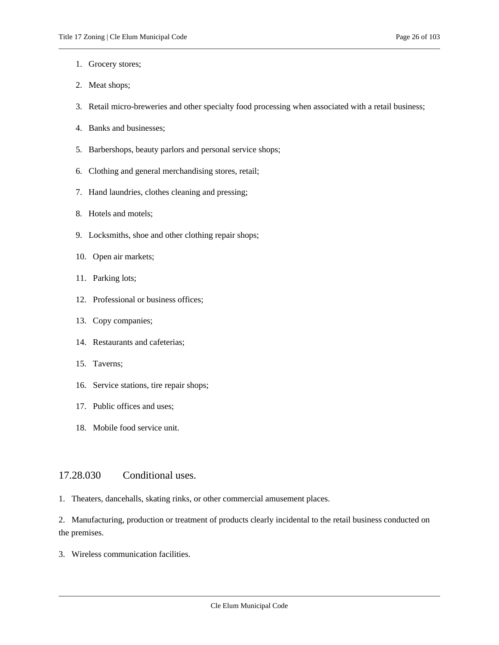- 1. Grocery stores;
- 2. Meat shops;
- 3. Retail micro-breweries and other specialty food processing when associated with a retail business;
- 4. Banks and businesses;
- 5. Barbershops, beauty parlors and personal service shops;
- 6. Clothing and general merchandising stores, retail;
- 7. Hand laundries, clothes cleaning and pressing;
- 8. Hotels and motels;
- 9. Locksmiths, shoe and other clothing repair shops;
- 10. Open air markets;
- 11. Parking lots;
- 12. Professional or business offices;
- 13. Copy companies;
- 14. Restaurants and cafeterias;
- 15. Taverns;
- 16. Service stations, tire repair shops;
- 17. Public offices and uses;
- 18. Mobile food service unit.

#### <span id="page-25-0"></span>17.28.030 Conditional uses.

1. Theaters, dancehalls, skating rinks, or other commercial amusement places.

2. Manufacturing, production or treatment of products clearly incidental to the retail business conducted on the premises.

3. Wireless communication facilities.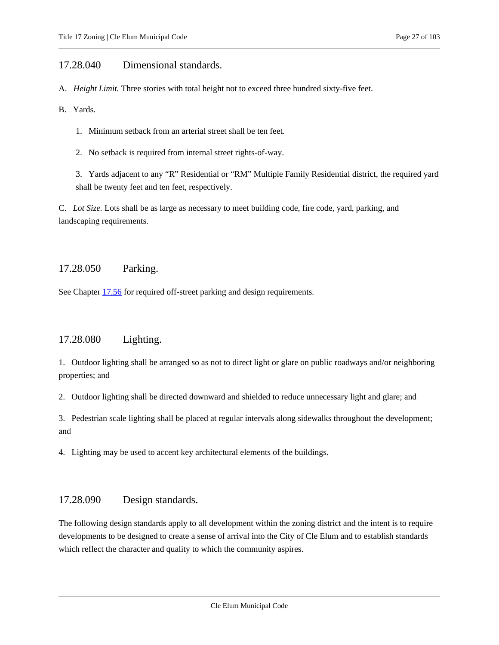### <span id="page-26-0"></span>17.28.040 Dimensional standards.

A. *Height Limit.* Three stories with total height not to exceed three hundred sixty-five feet.

B. Yards.

1. Minimum setback from an arterial street shall be ten feet.

2. No setback is required from internal street rights-of-way.

3. Yards adjacent to any "R" Residential or "RM" Multiple Family Residential district, the required yard shall be twenty feet and ten feet, respectively.

C. *Lot Size.* Lots shall be as large as necessary to meet building code, fire code, yard, parking, and landscaping requirements.

### <span id="page-26-1"></span>17.28.050 Parking.

<span id="page-26-2"></span>See Chapte[r 17.56](#page-61-0) for required off-street parking and design requirements.

### 17.28.080 Lighting.

1. Outdoor lighting shall be arranged so as not to direct light or glare on public roadways and/or neighboring properties; and

2. Outdoor lighting shall be directed downward and shielded to reduce unnecessary light and glare; and

3. Pedestrian scale lighting shall be placed at regular intervals along sidewalks throughout the development; and

<span id="page-26-3"></span>4. Lighting may be used to accent key architectural elements of the buildings.

### 17.28.090 Design standards.

The following design standards apply to all development within the zoning district and the intent is to require developments to be designed to create a sense of arrival into the City of Cle Elum and to establish standards which reflect the character and quality to which the community aspires.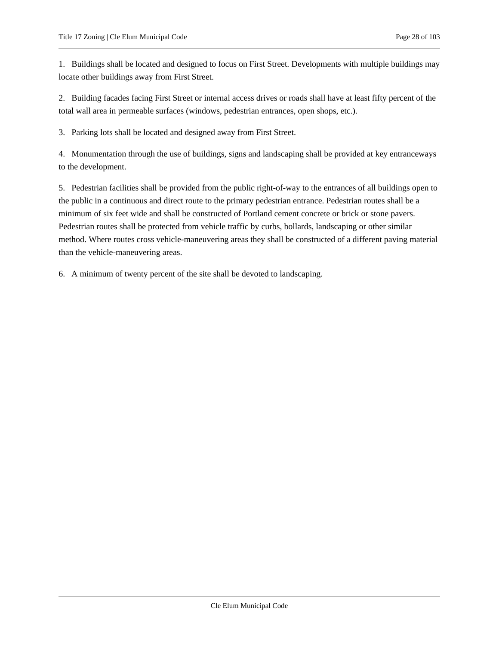1. Buildings shall be located and designed to focus on First Street. Developments with multiple buildings may locate other buildings away from First Street.

2. Building facades facing First Street or internal access drives or roads shall have at least fifty percent of the total wall area in permeable surfaces (windows, pedestrian entrances, open shops, etc.).

3. Parking lots shall be located and designed away from First Street.

4. Monumentation through the use of buildings, signs and landscaping shall be provided at key entranceways to the development.

5. Pedestrian facilities shall be provided from the public right-of-way to the entrances of all buildings open to the public in a continuous and direct route to the primary pedestrian entrance. Pedestrian routes shall be a minimum of six feet wide and shall be constructed of Portland cement concrete or brick or stone pavers. Pedestrian routes shall be protected from vehicle traffic by curbs, bollards, landscaping or other similar method. Where routes cross vehicle-maneuvering areas they shall be constructed of a different paving material than the vehicle-maneuvering areas.

6. A minimum of twenty percent of the site shall be devoted to landscaping.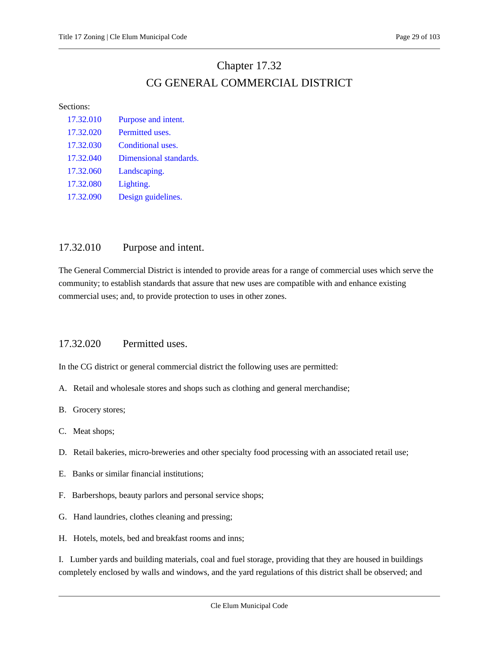### Chapter 17.32 CG GENERAL COMMERCIAL DISTRICT

#### <span id="page-28-0"></span>Sections:

| 17.32.010 | Purpose and intent.    |
|-----------|------------------------|
| 17.32.020 | Permitted uses.        |
| 17.32.030 | Conditional uses.      |
| 17.32.040 | Dimensional standards. |
| 17.32.060 | Landscaping.           |
| 17.32.080 | Lighting.              |
| 17.32.090 | Design guidelines.     |

### <span id="page-28-1"></span>17.32.010 Purpose and intent.

The General Commercial District is intended to provide areas for a range of commercial uses which serve the community; to establish standards that assure that new uses are compatible with and enhance existing commercial uses; and, to provide protection to uses in other zones.

### <span id="page-28-2"></span>17.32.020 Permitted uses.

In the CG district or general commercial district the following uses are permitted:

- A. Retail and wholesale stores and shops such as clothing and general merchandise;
- B. Grocery stores;
- C. Meat shops;
- D. Retail bakeries, micro-breweries and other specialty food processing with an associated retail use;
- E. Banks or similar financial institutions;
- F. Barbershops, beauty parlors and personal service shops;
- G. Hand laundries, clothes cleaning and pressing;
- H. Hotels, motels, bed and breakfast rooms and inns;

I. Lumber yards and building materials, coal and fuel storage, providing that they are housed in buildings completely enclosed by walls and windows, and the yard regulations of this district shall be observed; and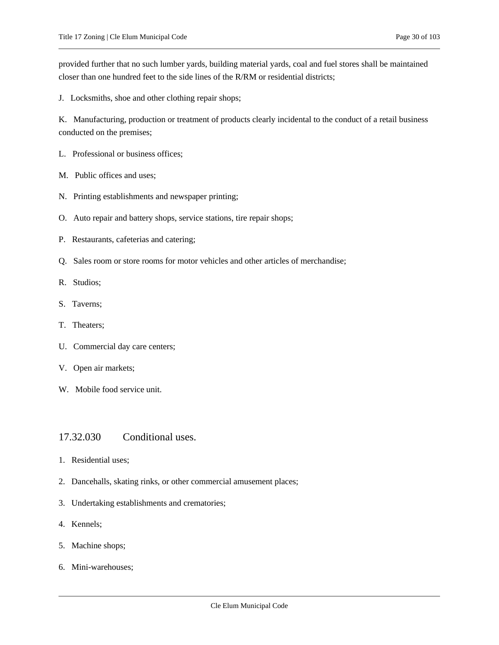provided further that no such lumber yards, building material yards, coal and fuel stores shall be maintained closer than one hundred feet to the side lines of the R/RM or residential districts;

J. Locksmiths, shoe and other clothing repair shops;

K. Manufacturing, production or treatment of products clearly incidental to the conduct of a retail business conducted on the premises;

- L. Professional or business offices;
- M. Public offices and uses;
- N. Printing establishments and newspaper printing;
- O. Auto repair and battery shops, service stations, tire repair shops;
- P. Restaurants, cafeterias and catering;
- Q. Sales room or store rooms for motor vehicles and other articles of merchandise;
- R. Studios;
- S. Taverns;
- T. Theaters;
- U. Commercial day care centers;
- V. Open air markets;
- <span id="page-29-0"></span>W. Mobile food service unit.

### 17.32.030 Conditional uses.

- 1. Residential uses;
- 2. Dancehalls, skating rinks, or other commercial amusement places;
- 3. Undertaking establishments and crematories;
- 4. Kennels;
- 5. Machine shops;
- 6. Mini-warehouses;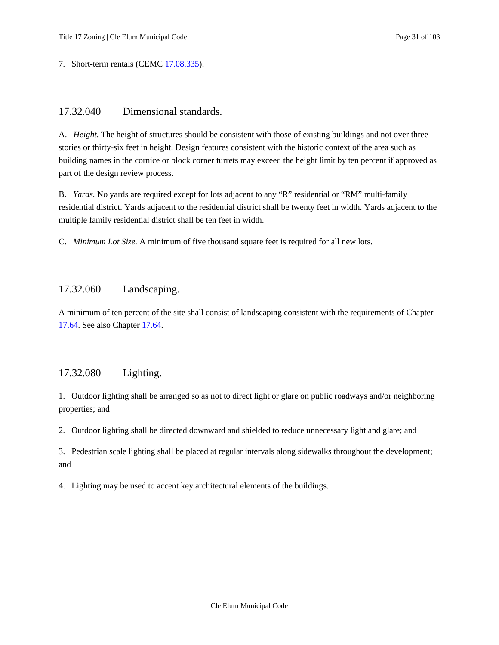<span id="page-30-0"></span>7. Short-term rentals (CEMC [17.08.335\)](#page-5-0).

### 17.32.040 Dimensional standards.

A. *Height.* The height of structures should be consistent with those of existing buildings and not over three stories or thirty-six feet in height. Design features consistent with the historic context of the area such as building names in the cornice or block corner turrets may exceed the height limit by ten percent if approved as part of the design review process.

B. *Yards.* No yards are required except for lots adjacent to any "R" residential or "RM" multi-family residential district. Yards adjacent to the residential district shall be twenty feet in width. Yards adjacent to the multiple family residential district shall be ten feet in width.

<span id="page-30-1"></span>C. *Minimum Lot Size.* A minimum of five thousand square feet is required for all new lots.

### 17.32.060 Landscaping.

A minimum of ten percent of the site shall consist of landscaping consistent with the requirements of Chapter [17.64.](#page-71-0) See also Chapter [17.64.](#page-71-0)

### <span id="page-30-2"></span>17.32.080 Lighting.

1. Outdoor lighting shall be arranged so as not to direct light or glare on public roadways and/or neighboring properties; and

2. Outdoor lighting shall be directed downward and shielded to reduce unnecessary light and glare; and

3. Pedestrian scale lighting shall be placed at regular intervals along sidewalks throughout the development; and

4. Lighting may be used to accent key architectural elements of the buildings.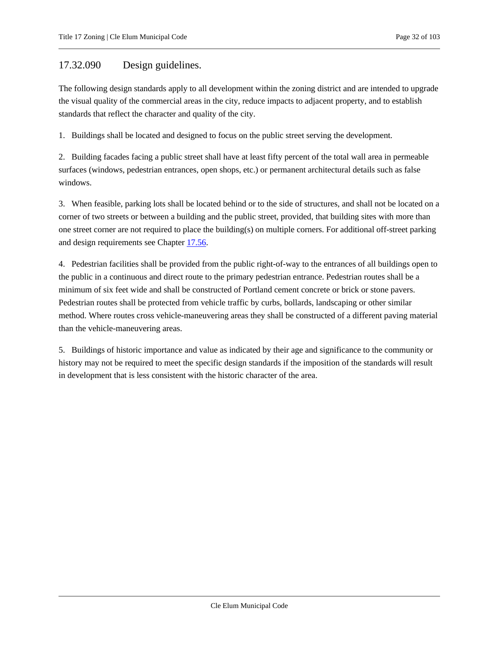### <span id="page-31-0"></span>17.32.090 Design guidelines.

The following design standards apply to all development within the zoning district and are intended to upgrade the visual quality of the commercial areas in the city, reduce impacts to adjacent property, and to establish standards that reflect the character and quality of the city.

1. Buildings shall be located and designed to focus on the public street serving the development.

2. Building facades facing a public street shall have at least fifty percent of the total wall area in permeable surfaces (windows, pedestrian entrances, open shops, etc.) or permanent architectural details such as false windows.

3. When feasible, parking lots shall be located behind or to the side of structures, and shall not be located on a corner of two streets or between a building and the public street, provided, that building sites with more than one street corner are not required to place the building(s) on multiple corners. For additional off-street parking and design requirements see Chapter [17.56.](#page-61-0)

4. Pedestrian facilities shall be provided from the public right-of-way to the entrances of all buildings open to the public in a continuous and direct route to the primary pedestrian entrance. Pedestrian routes shall be a minimum of six feet wide and shall be constructed of Portland cement concrete or brick or stone pavers. Pedestrian routes shall be protected from vehicle traffic by curbs, bollards, landscaping or other similar method. Where routes cross vehicle-maneuvering areas they shall be constructed of a different paving material than the vehicle-maneuvering areas.

5. Buildings of historic importance and value as indicated by their age and significance to the community or history may not be required to meet the specific design standards if the imposition of the standards will result in development that is less consistent with the historic character of the area.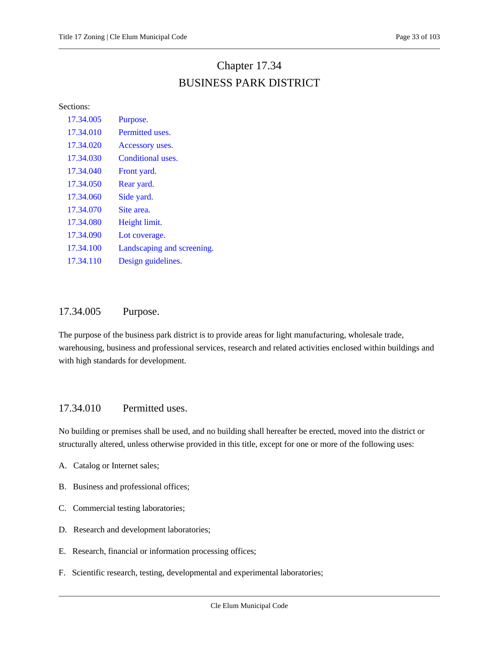## Chapter 17.34 BUSINESS PARK DISTRICT

<span id="page-32-0"></span>Sections:

| 17.34.005 | Purpose.                   |
|-----------|----------------------------|
| 17.34.010 | Permitted uses.            |
| 17.34.020 | Accessory uses.            |
| 17.34.030 | Conditional uses.          |
| 17.34.040 | Front yard.                |
| 17.34.050 | Rear yard.                 |
| 17.34.060 | Side yard.                 |
| 17.34.070 | Site area.                 |
| 17.34.080 | Height limit.              |
| 17.34.090 | Lot coverage.              |
| 17.34.100 | Landscaping and screening. |
| 17.34.110 | Design guidelines.         |
|           |                            |

### <span id="page-32-1"></span>17.34.005 Purpose.

The purpose of the business park district is to provide areas for light manufacturing, wholesale trade, warehousing, business and professional services, research and related activities enclosed within buildings and with high standards for development.

### <span id="page-32-2"></span>17.34.010 Permitted uses.

No building or premises shall be used, and no building shall hereafter be erected, moved into the district or structurally altered, unless otherwise provided in this title, except for one or more of the following uses:

- A. Catalog or Internet sales;
- B. Business and professional offices;
- C. Commercial testing laboratories;
- D. Research and development laboratories;
- E. Research, financial or information processing offices;
- F. Scientific research, testing, developmental and experimental laboratories;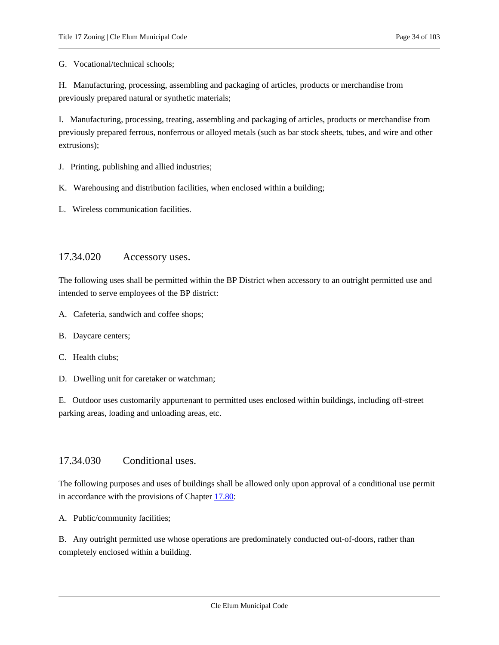G. Vocational/technical schools;

H. Manufacturing, processing, assembling and packaging of articles, products or merchandise from previously prepared natural or synthetic materials;

I. Manufacturing, processing, treating, assembling and packaging of articles, products or merchandise from previously prepared ferrous, nonferrous or alloyed metals (such as bar stock sheets, tubes, and wire and other extrusions);

J. Printing, publishing and allied industries;

K. Warehousing and distribution facilities, when enclosed within a building;

<span id="page-33-0"></span>L. Wireless communication facilities.

### 17.34.020 Accessory uses.

The following uses shall be permitted within the BP District when accessory to an outright permitted use and intended to serve employees of the BP district:

- A. Cafeteria, sandwich and coffee shops;
- B. Daycare centers;
- C. Health clubs;

D. Dwelling unit for caretaker or watchman;

E. Outdoor uses customarily appurtenant to permitted uses enclosed within buildings, including off-street parking areas, loading and unloading areas, etc.

### <span id="page-33-1"></span>17.34.030 Conditional uses.

The following purposes and uses of buildings shall be allowed only upon approval of a conditional use permit in accordance with the provisions of Chapter [17.80:](#page-79-0)

A. Public/community facilities;

B. Any outright permitted use whose operations are predominately conducted out-of-doors, rather than completely enclosed within a building.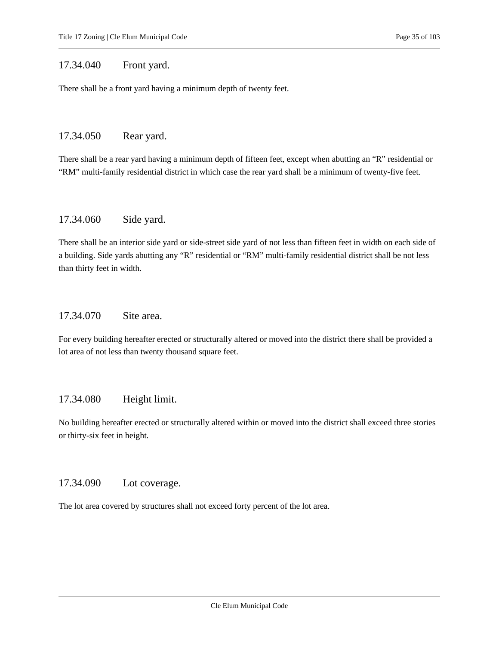### <span id="page-34-0"></span>17.34.040 Front yard.

<span id="page-34-1"></span>There shall be a front yard having a minimum depth of twenty feet.

### 17.34.050 Rear yard.

There shall be a rear yard having a minimum depth of fifteen feet, except when abutting an "R" residential or "RM" multi-family residential district in which case the rear yard shall be a minimum of twenty-five feet.

### <span id="page-34-2"></span>17.34.060 Side yard.

There shall be an interior side yard or side-street side yard of not less than fifteen feet in width on each side of a building. Side yards abutting any "R" residential or "RM" multi-family residential district shall be not less than thirty feet in width.

### <span id="page-34-3"></span>17.34.070 Site area.

For every building hereafter erected or structurally altered or moved into the district there shall be provided a lot area of not less than twenty thousand square feet.

### <span id="page-34-4"></span>17.34.080 Height limit.

No building hereafter erected or structurally altered within or moved into the district shall exceed three stories or thirty-six feet in height.

### <span id="page-34-5"></span>17.34.090 Lot coverage.

The lot area covered by structures shall not exceed forty percent of the lot area.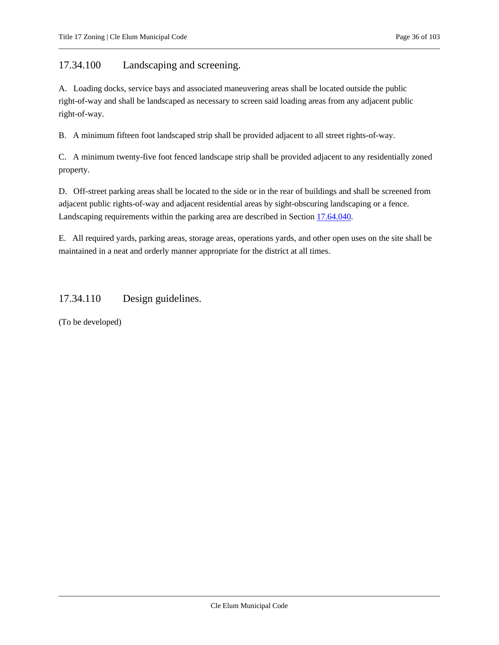<span id="page-35-0"></span>17.34.100 Landscaping and screening.

A. Loading docks, service bays and associated maneuvering areas shall be located outside the public right-of-way and shall be landscaped as necessary to screen said loading areas from any adjacent public right-of-way.

B. A minimum fifteen foot landscaped strip shall be provided adjacent to all street rights-of-way.

C. A minimum twenty-five foot fenced landscape strip shall be provided adjacent to any residentially zoned property.

D. Off-street parking areas shall be located to the side or in the rear of buildings and shall be screened from adjacent public rights-of-way and adjacent residential areas by sight-obscuring landscaping or a fence. Landscaping requirements within the parking area are described in Sectio[n 17.64.040.](#page-72-0)

E. All required yards, parking areas, storage areas, operations yards, and other open uses on the site shall be maintained in a neat and orderly manner appropriate for the district at all times.

### <span id="page-35-1"></span>17.34.110 Design guidelines.

(To be developed)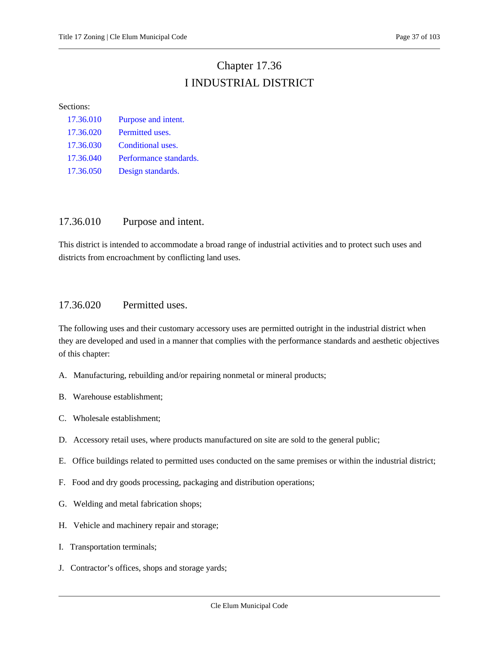# Chapter 17.36 I INDUSTRIAL DISTRICT

#### Sections:

| 17.36.010 | Purpose and intent.    |
|-----------|------------------------|
| 17.36.020 | Permitted uses.        |
| 17.36.030 | Conditional uses.      |
| 17.36.040 | Performance standards. |
| 17.36.050 | Design standards.      |

## <span id="page-36-0"></span>17.36.010 Purpose and intent.

This district is intended to accommodate a broad range of industrial activities and to protect such uses and districts from encroachment by conflicting land uses.

### <span id="page-36-1"></span>17.36.020 Permitted uses.

The following uses and their customary accessory uses are permitted outright in the industrial district when they are developed and used in a manner that complies with the performance standards and aesthetic objectives of this chapter:

- A. Manufacturing, rebuilding and/or repairing nonmetal or mineral products;
- B. Warehouse establishment;
- C. Wholesale establishment;
- D. Accessory retail uses, where products manufactured on site are sold to the general public;
- E. Office buildings related to permitted uses conducted on the same premises or within the industrial district;
- F. Food and dry goods processing, packaging and distribution operations;
- G. Welding and metal fabrication shops;
- H. Vehicle and machinery repair and storage;
- I. Transportation terminals;
- J. Contractor's offices, shops and storage yards;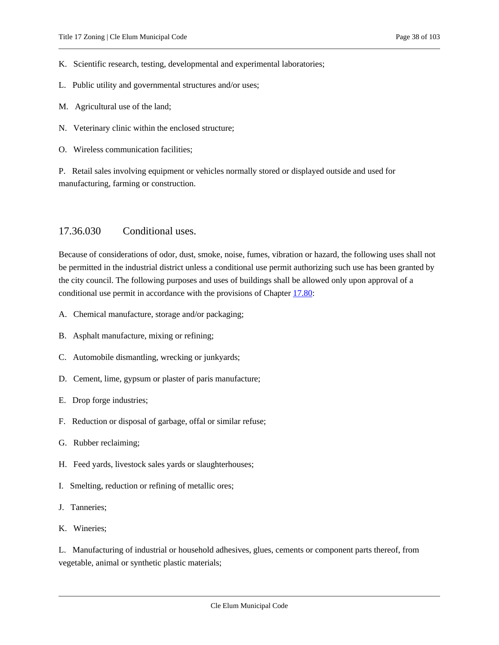K. Scientific research, testing, developmental and experimental laboratories;

- L. Public utility and governmental structures and/or uses;
- M. Agricultural use of the land;
- N. Veterinary clinic within the enclosed structure;
- O. Wireless communication facilities;

P. Retail sales involving equipment or vehicles normally stored or displayed outside and used for manufacturing, farming or construction.

#### <span id="page-37-0"></span>17.36.030 Conditional uses.

Because of considerations of odor, dust, smoke, noise, fumes, vibration or hazard, the following uses shall not be permitted in the industrial district unless a conditional use permit authorizing such use has been granted by the city council. The following purposes and uses of buildings shall be allowed only upon approval of a conditional use permit in accordance with the provisions of Chapte[r 17.80:](#page-79-0)

- A. Chemical manufacture, storage and/or packaging;
- B. Asphalt manufacture, mixing or refining;
- C. Automobile dismantling, wrecking or junkyards;
- D. Cement, lime, gypsum or plaster of paris manufacture;
- E. Drop forge industries;
- F. Reduction or disposal of garbage, offal or similar refuse;
- G. Rubber reclaiming;
- H. Feed yards, livestock sales yards or slaughterhouses;
- I. Smelting, reduction or refining of metallic ores;
- J. Tanneries;
- K. Wineries;

L. Manufacturing of industrial or household adhesives, glues, cements or component parts thereof, from vegetable, animal or synthetic plastic materials;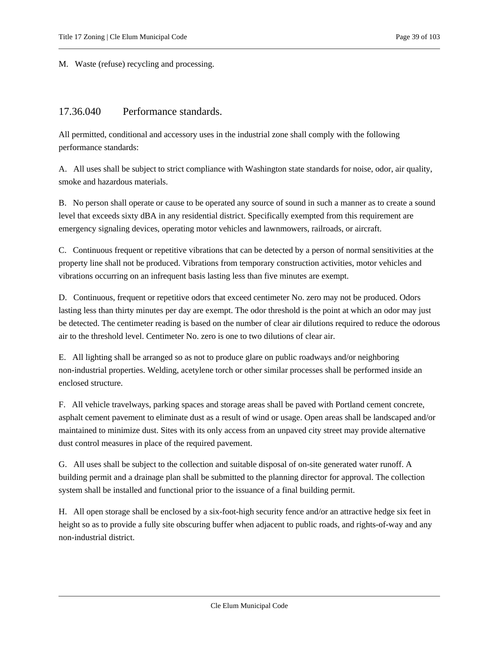<span id="page-38-0"></span>M. Waste (refuse) recycling and processing.

# 17.36.040 Performance standards.

All permitted, conditional and accessory uses in the industrial zone shall comply with the following performance standards:

A. All uses shall be subject to strict compliance with Washington state standards for noise, odor, air quality, smoke and hazardous materials.

B. No person shall operate or cause to be operated any source of sound in such a manner as to create a sound level that exceeds sixty dBA in any residential district. Specifically exempted from this requirement are emergency signaling devices, operating motor vehicles and lawnmowers, railroads, or aircraft.

C. Continuous frequent or repetitive vibrations that can be detected by a person of normal sensitivities at the property line shall not be produced. Vibrations from temporary construction activities, motor vehicles and vibrations occurring on an infrequent basis lasting less than five minutes are exempt.

D. Continuous, frequent or repetitive odors that exceed centimeter No. zero may not be produced. Odors lasting less than thirty minutes per day are exempt. The odor threshold is the point at which an odor may just be detected. The centimeter reading is based on the number of clear air dilutions required to reduce the odorous air to the threshold level. Centimeter No. zero is one to two dilutions of clear air.

E. All lighting shall be arranged so as not to produce glare on public roadways and/or neighboring non-industrial properties. Welding, acetylene torch or other similar processes shall be performed inside an enclosed structure.

F. All vehicle travelways, parking spaces and storage areas shall be paved with Portland cement concrete, asphalt cement pavement to eliminate dust as a result of wind or usage. Open areas shall be landscaped and/or maintained to minimize dust. Sites with its only access from an unpaved city street may provide alternative dust control measures in place of the required pavement.

G. All uses shall be subject to the collection and suitable disposal of on-site generated water runoff. A building permit and a drainage plan shall be submitted to the planning director for approval. The collection system shall be installed and functional prior to the issuance of a final building permit.

H. All open storage shall be enclosed by a six-foot-high security fence and/or an attractive hedge six feet in height so as to provide a fully site obscuring buffer when adjacent to public roads, and rights-of-way and any non-industrial district.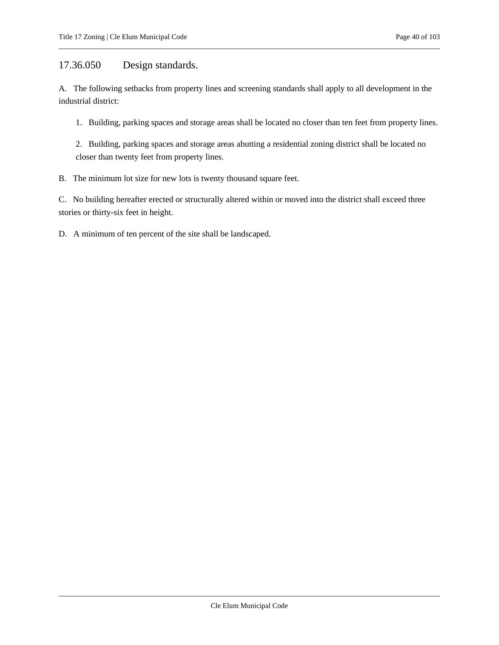# <span id="page-39-0"></span>17.36.050 Design standards.

A. The following setbacks from property lines and screening standards shall apply to all development in the industrial district:

1. Building, parking spaces and storage areas shall be located no closer than ten feet from property lines.

2. Building, parking spaces and storage areas abutting a residential zoning district shall be located no closer than twenty feet from property lines.

B. The minimum lot size for new lots is twenty thousand square feet.

C. No building hereafter erected or structurally altered within or moved into the district shall exceed three stories or thirty-six feet in height.

D. A minimum of ten percent of the site shall be landscaped.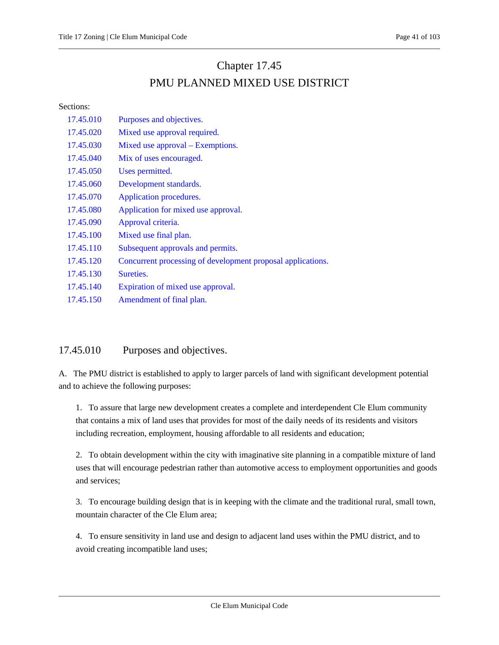# Chapter 17.45 PMU PLANNED MIXED USE DISTRICT

Sections:

| 17.45.010 | Purposes and objectives.                                    |
|-----------|-------------------------------------------------------------|
| 17.45.020 | Mixed use approval required.                                |
| 17.45.030 | Mixed use approval – Exemptions.                            |
| 17.45.040 | Mix of uses encouraged.                                     |
| 17.45.050 | Uses permitted.                                             |
| 17.45.060 | Development standards.                                      |
| 17.45.070 | Application procedures.                                     |
| 17.45.080 | Application for mixed use approval.                         |
| 17.45.090 | Approval criteria.                                          |
| 17.45.100 | Mixed use final plan.                                       |
| 17.45.110 | Subsequent approvals and permits.                           |
| 17.45.120 | Concurrent processing of development proposal applications. |
| 17.45.130 | Sureties.                                                   |
| 17.45.140 | Expiration of mixed use approval.                           |
| 17.45.150 | Amendment of final plan.                                    |

# <span id="page-40-0"></span>17.45.010 Purposes and objectives.

A. The PMU district is established to apply to larger parcels of land with significant development potential and to achieve the following purposes:

1. To assure that large new development creates a complete and interdependent Cle Elum community that contains a mix of land uses that provides for most of the daily needs of its residents and visitors including recreation, employment, housing affordable to all residents and education;

2. To obtain development within the city with imaginative site planning in a compatible mixture of land uses that will encourage pedestrian rather than automotive access to employment opportunities and goods and services;

3. To encourage building design that is in keeping with the climate and the traditional rural, small town, mountain character of the Cle Elum area;

4. To ensure sensitivity in land use and design to adjacent land uses within the PMU district, and to avoid creating incompatible land uses;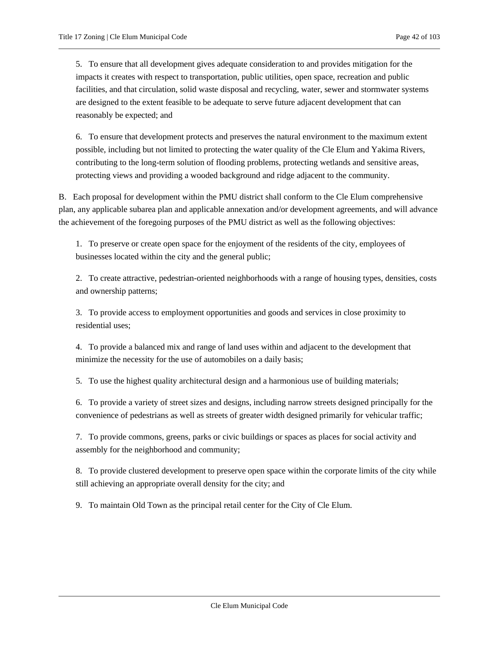5. To ensure that all development gives adequate consideration to and provides mitigation for the impacts it creates with respect to transportation, public utilities, open space, recreation and public facilities, and that circulation, solid waste disposal and recycling, water, sewer and stormwater systems are designed to the extent feasible to be adequate to serve future adjacent development that can reasonably be expected; and

6. To ensure that development protects and preserves the natural environment to the maximum extent possible, including but not limited to protecting the water quality of the Cle Elum and Yakima Rivers, contributing to the long-term solution of flooding problems, protecting wetlands and sensitive areas, protecting views and providing a wooded background and ridge adjacent to the community.

B. Each proposal for development within the PMU district shall conform to the Cle Elum comprehensive plan, any applicable subarea plan and applicable annexation and/or development agreements, and will advance the achievement of the foregoing purposes of the PMU district as well as the following objectives:

1. To preserve or create open space for the enjoyment of the residents of the city, employees of businesses located within the city and the general public;

2. To create attractive, pedestrian-oriented neighborhoods with a range of housing types, densities, costs and ownership patterns;

3. To provide access to employment opportunities and goods and services in close proximity to residential uses;

4. To provide a balanced mix and range of land uses within and adjacent to the development that minimize the necessity for the use of automobiles on a daily basis;

5. To use the highest quality architectural design and a harmonious use of building materials;

6. To provide a variety of street sizes and designs, including narrow streets designed principally for the convenience of pedestrians as well as streets of greater width designed primarily for vehicular traffic;

7. To provide commons, greens, parks or civic buildings or spaces as places for social activity and assembly for the neighborhood and community;

8. To provide clustered development to preserve open space within the corporate limits of the city while still achieving an appropriate overall density for the city; and

9. To maintain Old Town as the principal retail center for the City of Cle Elum.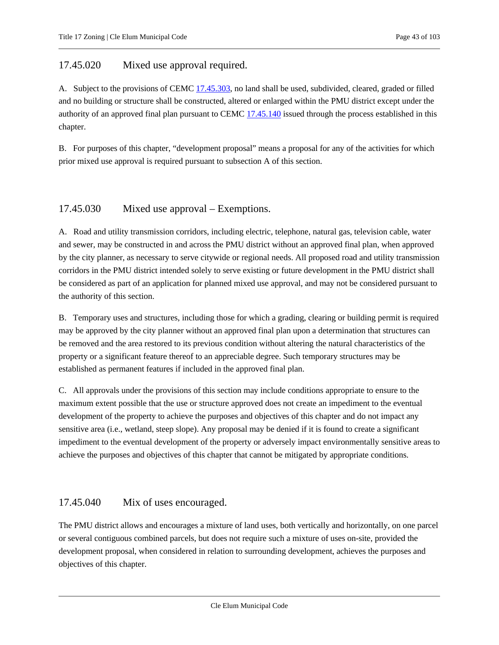# <span id="page-42-0"></span>17.45.020 Mixed use approval required.

A. Subject to the provisions of CEM[C 17.45.303,](#page-42-1) no land shall be used, subdivided, cleared, graded or filled and no building or structure shall be constructed, altered or enlarged within the PMU district except under the authority of an approved final plan pursuant to CEM[C 17.45.140](#page-50-2) issued through the process established in this chapter.

B. For purposes of this chapter, "development proposal" means a proposal for any of the activities for which prior mixed use approval is required pursuant to subsection A of this section.

# <span id="page-42-1"></span>17.45.030 Mixed use approval – Exemptions.

A. Road and utility transmission corridors, including electric, telephone, natural gas, television cable, water and sewer, may be constructed in and across the PMU district without an approved final plan, when approved by the city planner, as necessary to serve citywide or regional needs. All proposed road and utility transmission corridors in the PMU district intended solely to serve existing or future development in the PMU district shall be considered as part of an application for planned mixed use approval, and may not be considered pursuant to the authority of this section.

B. Temporary uses and structures, including those for which a grading, clearing or building permit is required may be approved by the city planner without an approved final plan upon a determination that structures can be removed and the area restored to its previous condition without altering the natural characteristics of the property or a significant feature thereof to an appreciable degree. Such temporary structures may be established as permanent features if included in the approved final plan.

C. All approvals under the provisions of this section may include conditions appropriate to ensure to the maximum extent possible that the use or structure approved does not create an impediment to the eventual development of the property to achieve the purposes and objectives of this chapter and do not impact any sensitive area (i.e., wetland, steep slope). Any proposal may be denied if it is found to create a significant impediment to the eventual development of the property or adversely impact environmentally sensitive areas to achieve the purposes and objectives of this chapter that cannot be mitigated by appropriate conditions.

### <span id="page-42-2"></span>17.45.040 Mix of uses encouraged.

The PMU district allows and encourages a mixture of land uses, both vertically and horizontally, on one parcel or several contiguous combined parcels, but does not require such a mixture of uses on-site, provided the development proposal, when considered in relation to surrounding development, achieves the purposes and objectives of this chapter.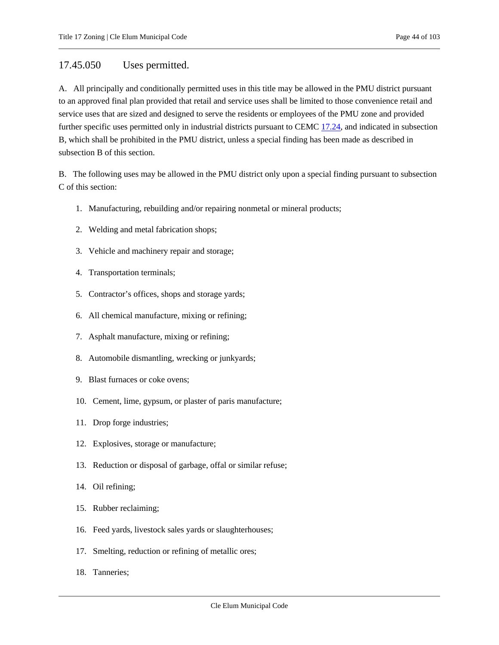### <span id="page-43-0"></span>17.45.050 Uses permitted.

A. All principally and conditionally permitted uses in this title may be allowed in the PMU district pursuant to an approved final plan provided that retail and service uses shall be limited to those convenience retail and service uses that are sized and designed to serve the residents or employees of the PMU zone and provided further specific uses permitted only in industrial districts pursuant to CEMC [17.24,](#page-19-0) and indicated in subsection B, which shall be prohibited in the PMU district, unless a special finding has been made as described in subsection B of this section.

B. The following uses may be allowed in the PMU district only upon a special finding pursuant to subsection C of this section:

- 1. Manufacturing, rebuilding and/or repairing nonmetal or mineral products;
- 2. Welding and metal fabrication shops;
- 3. Vehicle and machinery repair and storage;
- 4. Transportation terminals;
- 5. Contractor's offices, shops and storage yards;
- 6. All chemical manufacture, mixing or refining;
- 7. Asphalt manufacture, mixing or refining;
- 8. Automobile dismantling, wrecking or junkyards;
- 9. Blast furnaces or coke ovens;
- 10. Cement, lime, gypsum, or plaster of paris manufacture;
- 11. Drop forge industries;
- 12. Explosives, storage or manufacture;
- 13. Reduction or disposal of garbage, offal or similar refuse;
- 14. Oil refining;
- 15. Rubber reclaiming;
- 16. Feed yards, livestock sales yards or slaughterhouses;
- 17. Smelting, reduction or refining of metallic ores;
- 18. Tanneries;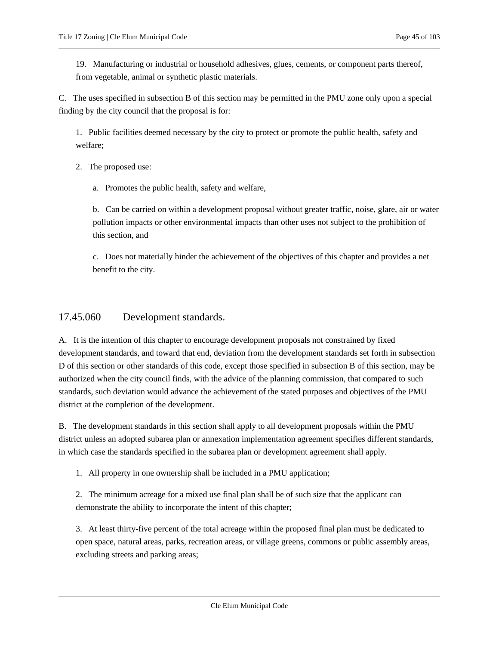19. Manufacturing or industrial or household adhesives, glues, cements, or component parts thereof, from vegetable, animal or synthetic plastic materials.

C. The uses specified in subsection B of this section may be permitted in the PMU zone only upon a special finding by the city council that the proposal is for:

1. Public facilities deemed necessary by the city to protect or promote the public health, safety and welfare;

2. The proposed use:

a. Promotes the public health, safety and welfare,

b. Can be carried on within a development proposal without greater traffic, noise, glare, air or water pollution impacts or other environmental impacts than other uses not subject to the prohibition of this section, and

c. Does not materially hinder the achievement of the objectives of this chapter and provides a net benefit to the city.

## <span id="page-44-0"></span>17.45.060 Development standards.

A. It is the intention of this chapter to encourage development proposals not constrained by fixed development standards, and toward that end, deviation from the development standards set forth in subsection D of this section or other standards of this code, except those specified in subsection B of this section, may be authorized when the city council finds, with the advice of the planning commission, that compared to such standards, such deviation would advance the achievement of the stated purposes and objectives of the PMU district at the completion of the development.

B. The development standards in this section shall apply to all development proposals within the PMU district unless an adopted subarea plan or annexation implementation agreement specifies different standards, in which case the standards specified in the subarea plan or development agreement shall apply.

1. All property in one ownership shall be included in a PMU application;

2. The minimum acreage for a mixed use final plan shall be of such size that the applicant can demonstrate the ability to incorporate the intent of this chapter;

3. At least thirty-five percent of the total acreage within the proposed final plan must be dedicated to open space, natural areas, parks, recreation areas, or village greens, commons or public assembly areas, excluding streets and parking areas;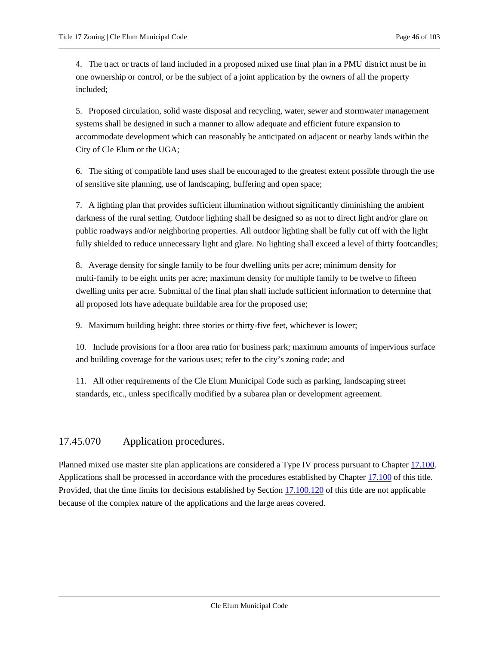4. The tract or tracts of land included in a proposed mixed use final plan in a PMU district must be in one ownership or control, or be the subject of a joint application by the owners of all the property included;

5. Proposed circulation, solid waste disposal and recycling, water, sewer and stormwater management systems shall be designed in such a manner to allow adequate and efficient future expansion to accommodate development which can reasonably be anticipated on adjacent or nearby lands within the City of Cle Elum or the UGA;

6. The siting of compatible land uses shall be encouraged to the greatest extent possible through the use of sensitive site planning, use of landscaping, buffering and open space;

7. A lighting plan that provides sufficient illumination without significantly diminishing the ambient darkness of the rural setting. Outdoor lighting shall be designed so as not to direct light and/or glare on public roadways and/or neighboring properties. All outdoor lighting shall be fully cut off with the light fully shielded to reduce unnecessary light and glare. No lighting shall exceed a level of thirty footcandles;

8. Average density for single family to be four dwelling units per acre; minimum density for multi-family to be eight units per acre; maximum density for multiple family to be twelve to fifteen dwelling units per acre. Submittal of the final plan shall include sufficient information to determine that all proposed lots have adequate buildable area for the proposed use;

9. Maximum building height: three stories or thirty-five feet, whichever is lower;

10. Include provisions for a floor area ratio for business park; maximum amounts of impervious surface and building coverage for the various uses; refer to the city's zoning code; and

11. All other requirements of the Cle Elum Municipal Code such as parking, landscaping street standards, etc., unless specifically modified by a subarea plan or development agreement.

# <span id="page-45-0"></span>17.45.070 Application procedures.

Planned mixed use master site plan applications are considered a Type IV process pursuant to Chapter [17.100.](#page-89-0) Applications shall be processed in accordance with the procedures established by Chapte[r 17.100](#page-89-0) of this title. Provided, that the time limits for decisions established by Section [17.100.120](#page-89-0) of this title are not applicable because of the complex nature of the applications and the large areas covered.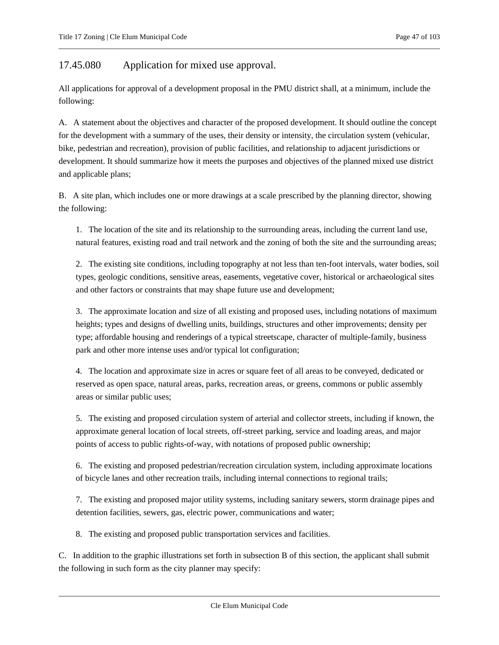<span id="page-46-0"></span>17.45.080 Application for mixed use approval.

All applications for approval of a development proposal in the PMU district shall, at a minimum, include the following:

A. A statement about the objectives and character of the proposed development. It should outline the concept for the development with a summary of the uses, their density or intensity, the circulation system (vehicular, bike, pedestrian and recreation), provision of public facilities, and relationship to adjacent jurisdictions or development. It should summarize how it meets the purposes and objectives of the planned mixed use district and applicable plans;

B. A site plan, which includes one or more drawings at a scale prescribed by the planning director, showing the following:

1. The location of the site and its relationship to the surrounding areas, including the current land use, natural features, existing road and trail network and the zoning of both the site and the surrounding areas;

2. The existing site conditions, including topography at not less than ten-foot intervals, water bodies, soil types, geologic conditions, sensitive areas, easements, vegetative cover, historical or archaeological sites and other factors or constraints that may shape future use and development;

3. The approximate location and size of all existing and proposed uses, including notations of maximum heights; types and designs of dwelling units, buildings, structures and other improvements; density per type; affordable housing and renderings of a typical streetscape, character of multiple-family, business park and other more intense uses and/or typical lot configuration;

4. The location and approximate size in acres or square feet of all areas to be conveyed, dedicated or reserved as open space, natural areas, parks, recreation areas, or greens, commons or public assembly areas or similar public uses;

5. The existing and proposed circulation system of arterial and collector streets, including if known, the approximate general location of local streets, off-street parking, service and loading areas, and major points of access to public rights-of-way, with notations of proposed public ownership;

6. The existing and proposed pedestrian/recreation circulation system, including approximate locations of bicycle lanes and other recreation trails, including internal connections to regional trails;

7. The existing and proposed major utility systems, including sanitary sewers, storm drainage pipes and detention facilities, sewers, gas, electric power, communications and water;

8. The existing and proposed public transportation services and facilities.

C. In addition to the graphic illustrations set forth in subsection B of this section, the applicant shall submit the following in such form as the city planner may specify: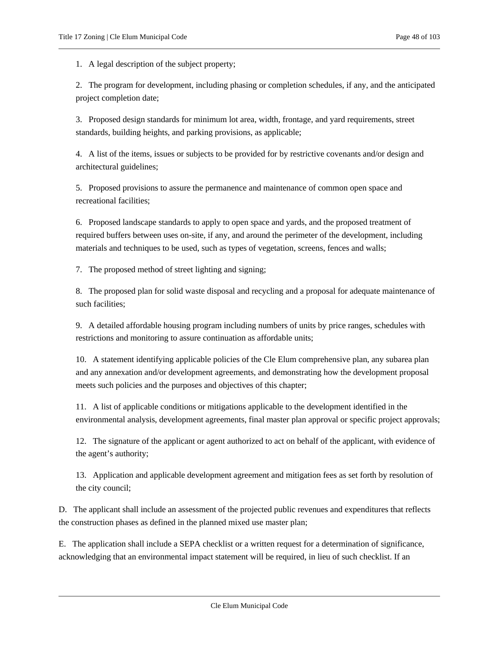1. A legal description of the subject property;

2. The program for development, including phasing or completion schedules, if any, and the anticipated project completion date;

3. Proposed design standards for minimum lot area, width, frontage, and yard requirements, street standards, building heights, and parking provisions, as applicable;

4. A list of the items, issues or subjects to be provided for by restrictive covenants and/or design and architectural guidelines;

5. Proposed provisions to assure the permanence and maintenance of common open space and recreational facilities;

6. Proposed landscape standards to apply to open space and yards, and the proposed treatment of required buffers between uses on-site, if any, and around the perimeter of the development, including materials and techniques to be used, such as types of vegetation, screens, fences and walls;

7. The proposed method of street lighting and signing;

8. The proposed plan for solid waste disposal and recycling and a proposal for adequate maintenance of such facilities;

9. A detailed affordable housing program including numbers of units by price ranges, schedules with restrictions and monitoring to assure continuation as affordable units;

10. A statement identifying applicable policies of the Cle Elum comprehensive plan, any subarea plan and any annexation and/or development agreements, and demonstrating how the development proposal meets such policies and the purposes and objectives of this chapter;

11. A list of applicable conditions or mitigations applicable to the development identified in the environmental analysis, development agreements, final master plan approval or specific project approvals;

12. The signature of the applicant or agent authorized to act on behalf of the applicant, with evidence of the agent's authority;

13. Application and applicable development agreement and mitigation fees as set forth by resolution of the city council;

D. The applicant shall include an assessment of the projected public revenues and expenditures that reflects the construction phases as defined in the planned mixed use master plan;

E. The application shall include a SEPA checklist or a written request for a determination of significance, acknowledging that an environmental impact statement will be required, in lieu of such checklist. If an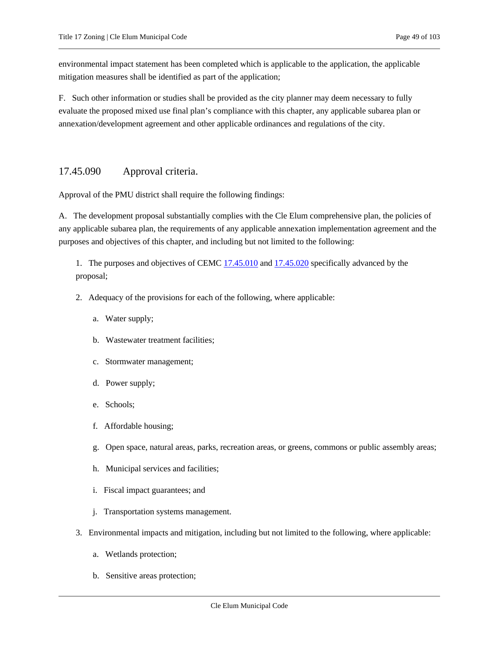environmental impact statement has been completed which is applicable to the application, the applicable mitigation measures shall be identified as part of the application;

F. Such other information or studies shall be provided as the city planner may deem necessary to fully evaluate the proposed mixed use final plan's compliance with this chapter, any applicable subarea plan or annexation/development agreement and other applicable ordinances and regulations of the city.

# <span id="page-48-0"></span>17.45.090 Approval criteria.

Approval of the PMU district shall require the following findings:

A. The development proposal substantially complies with the Cle Elum comprehensive plan, the policies of any applicable subarea plan, the requirements of any applicable annexation implementation agreement and the purposes and objectives of this chapter, and including but not limited to the following:

1. The purposes and objectives of CEMC [17.45.010](#page-40-0) and [17.45.020](#page-42-0) specifically advanced by the proposal;

- 2. Adequacy of the provisions for each of the following, where applicable:
	- a. Water supply;
	- b. Wastewater treatment facilities;
	- c. Stormwater management;
	- d. Power supply;
	- e. Schools;
	- f. Affordable housing;
	- g. Open space, natural areas, parks, recreation areas, or greens, commons or public assembly areas;
	- h. Municipal services and facilities;
	- i. Fiscal impact guarantees; and
	- j. Transportation systems management.
- 3. Environmental impacts and mitigation, including but not limited to the following, where applicable:
	- a. Wetlands protection;
	- b. Sensitive areas protection;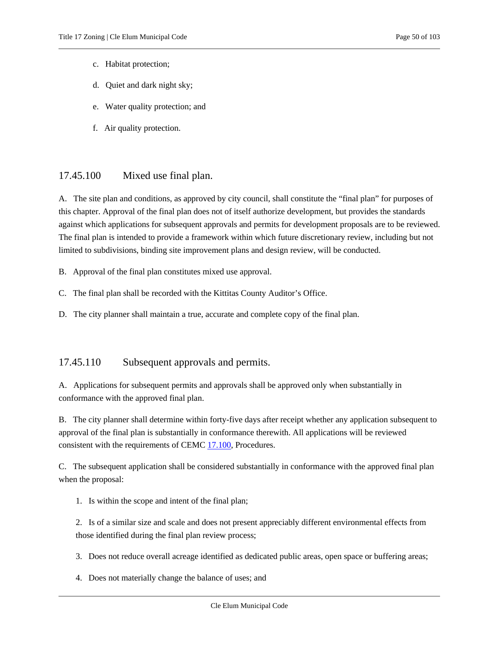- c. Habitat protection;
- d. Quiet and dark night sky;
- e. Water quality protection; and
- f. Air quality protection.

# <span id="page-49-0"></span>17.45.100 Mixed use final plan.

A. The site plan and conditions, as approved by city council, shall constitute the "final plan" for purposes of this chapter. Approval of the final plan does not of itself authorize development, but provides the standards against which applications for subsequent approvals and permits for development proposals are to be reviewed. The final plan is intended to provide a framework within which future discretionary review, including but not limited to subdivisions, binding site improvement plans and design review, will be conducted.

B. Approval of the final plan constitutes mixed use approval.

- C. The final plan shall be recorded with the Kittitas County Auditor's Office.
- <span id="page-49-1"></span>D. The city planner shall maintain a true, accurate and complete copy of the final plan.

### 17.45.110 Subsequent approvals and permits.

A. Applications for subsequent permits and approvals shall be approved only when substantially in conformance with the approved final plan.

B. The city planner shall determine within forty-five days after receipt whether any application subsequent to approval of the final plan is substantially in conformance therewith. All applications will be reviewed consistent with the requirements of CEM[C 17.100,](#page-89-0) Procedures.

C. The subsequent application shall be considered substantially in conformance with the approved final plan when the proposal:

1. Is within the scope and intent of the final plan;

2. Is of a similar size and scale and does not present appreciably different environmental effects from those identified during the final plan review process;

- 3. Does not reduce overall acreage identified as dedicated public areas, open space or buffering areas;
- 4. Does not materially change the balance of uses; and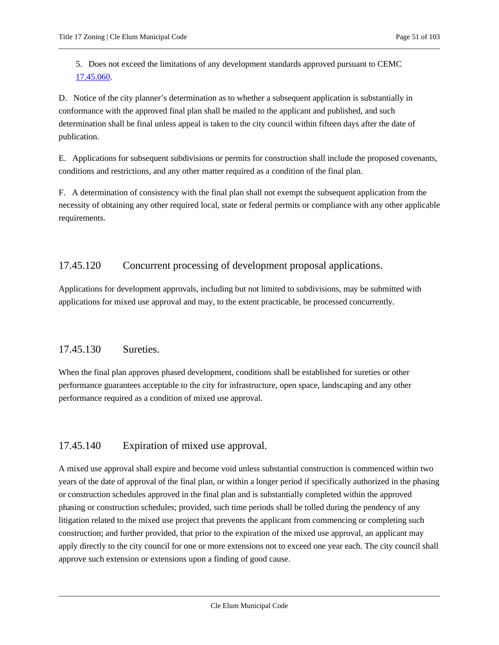5. Does not exceed the limitations of any development standards approved pursuant to CEMC [17.45.060.](#page-44-0)

D. Notice of the city planner's determination as to whether a subsequent application is substantially in conformance with the approved final plan shall be mailed to the applicant and published, and such determination shall be final unless appeal is taken to the city council within fifteen days after the date of publication.

E. Applications for subsequent subdivisions or permits for construction shall include the proposed covenants, conditions and restrictions, and any other matter required as a condition of the final plan.

F. A determination of consistency with the final plan shall not exempt the subsequent application from the necessity of obtaining any other required local, state or federal permits or compliance with any other applicable requirements.

# <span id="page-50-0"></span>17.45.120 Concurrent processing of development proposal applications.

Applications for development approvals, including but not limited to subdivisions, may be submitted with applications for mixed use approval and may, to the extent practicable, be processed concurrently.

# <span id="page-50-1"></span>17.45.130 Sureties.

When the final plan approves phased development, conditions shall be established for sureties or other performance guarantees acceptable to the city for infrastructure, open space, landscaping and any other performance required as a condition of mixed use approval.

### <span id="page-50-2"></span>17.45.140 Expiration of mixed use approval.

A mixed use approval shall expire and become void unless substantial construction is commenced within two years of the date of approval of the final plan, or within a longer period if specifically authorized in the phasing or construction schedules approved in the final plan and is substantially completed within the approved phasing or construction schedules; provided, such time periods shall be tolled during the pendency of any litigation related to the mixed use project that prevents the applicant from commencing or completing such construction; and further provided, that prior to the expiration of the mixed use approval, an applicant may apply directly to the city council for one or more extensions not to exceed one year each. The city council shall approve such extension or extensions upon a finding of good cause.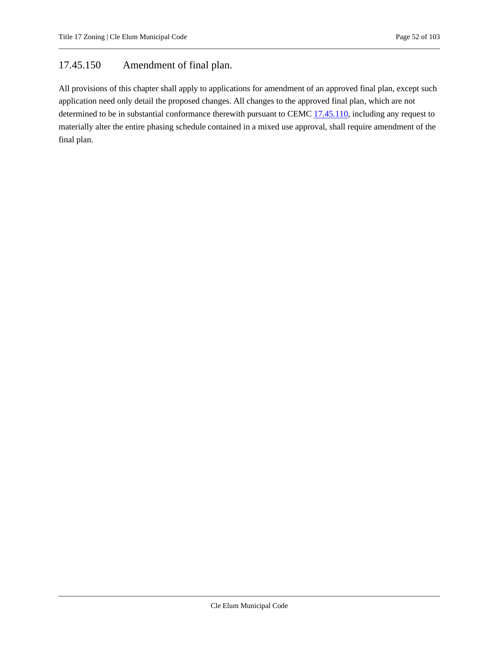# <span id="page-51-0"></span>17.45.150 Amendment of final plan.

All provisions of this chapter shall apply to applications for amendment of an approved final plan, except such application need only detail the proposed changes. All changes to the approved final plan, which are not determined to be in substantial conformance therewith pursuant to CEMC [17.45.110,](#page-49-1) including any request to materially alter the entire phasing schedule contained in a mixed use approval, shall require amendment of the final plan.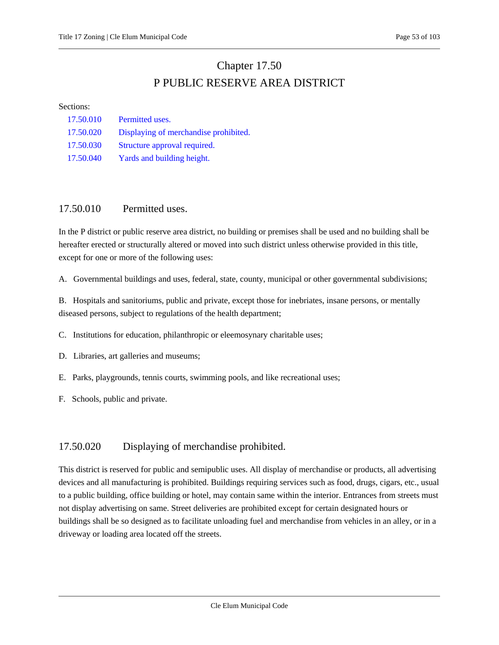# Chapter 17.50 P PUBLIC RESERVE AREA DISTRICT

#### Sections:

| 17.50.010 | Permitted uses.                       |
|-----------|---------------------------------------|
| 17.50.020 | Displaying of merchandise prohibited. |
| 17.50.030 | Structure approval required.          |
| 17.50.040 | Yards and building height.            |

### <span id="page-52-0"></span>17.50.010 Permitted uses.

In the P district or public reserve area district, no building or premises shall be used and no building shall be hereafter erected or structurally altered or moved into such district unless otherwise provided in this title, except for one or more of the following uses:

A. Governmental buildings and uses, federal, state, county, municipal or other governmental subdivisions;

B. Hospitals and sanitoriums, public and private, except those for inebriates, insane persons, or mentally diseased persons, subject to regulations of the health department;

C. Institutions for education, philanthropic or eleemosynary charitable uses;

D. Libraries, art galleries and museums;

E. Parks, playgrounds, tennis courts, swimming pools, and like recreational uses;

<span id="page-52-1"></span>F. Schools, public and private.

# 17.50.020 Displaying of merchandise prohibited.

This district is reserved for public and semipublic uses. All display of merchandise or products, all advertising devices and all manufacturing is prohibited. Buildings requiring services such as food, drugs, cigars, etc., usual to a public building, office building or hotel, may contain same within the interior. Entrances from streets must not display advertising on same. Street deliveries are prohibited except for certain designated hours or buildings shall be so designed as to facilitate unloading fuel and merchandise from vehicles in an alley, or in a driveway or loading area located off the streets.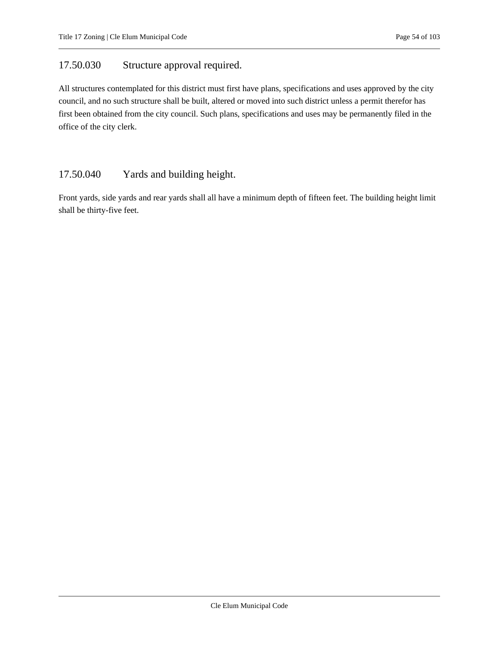# <span id="page-53-0"></span>17.50.030 Structure approval required.

All structures contemplated for this district must first have plans, specifications and uses approved by the city council, and no such structure shall be built, altered or moved into such district unless a permit therefor has first been obtained from the city council. Such plans, specifications and uses may be permanently filed in the office of the city clerk.

# <span id="page-53-1"></span>17.50.040 Yards and building height.

Front yards, side yards and rear yards shall all have a minimum depth of fifteen feet. The building height limit shall be thirty-five feet.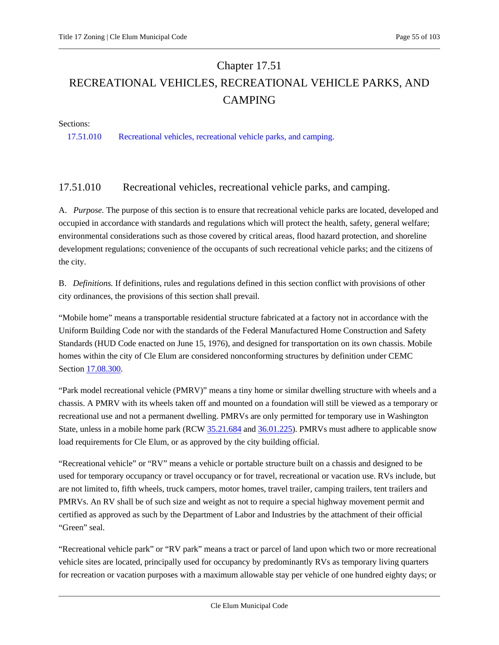# Chapter 17.51 RECREATIONAL VEHICLES, RECREATIONAL VEHICLE PARKS, AND CAMPING

Sections:

<span id="page-54-0"></span>[17.51.010 Recreational vehicles, recreational vehicle parks, and camping.](#page-54-0)

# 17.51.010 Recreational vehicles, recreational vehicle parks, and camping.

A. *Purpose.* The purpose of this section is to ensure that recreational vehicle parks are located, developed and occupied in accordance with standards and regulations which will protect the health, safety, general welfare; environmental considerations such as those covered by critical areas, flood hazard protection, and shoreline development regulations; convenience of the occupants of such recreational vehicle parks; and the citizens of the city.

B. *Definitions.* If definitions, rules and regulations defined in this section conflict with provisions of other city ordinances, the provisions of this section shall prevail.

"Mobile home" means a transportable residential structure fabricated at a factory not in accordance with the Uniform Building Code nor with the standards of the Federal Manufactured Home Construction and Safety Standards (HUD Code enacted on June 15, 1976), and designed for transportation on its own chassis. Mobile homes within the city of Cle Elum are considered nonconforming structures by definition under CEMC Section [17.08.300.](#page-5-0)

"Park model recreational vehicle (PMRV)" means a tiny home or similar dwelling structure with wheels and a chassis. A PMRV with its wheels taken off and mounted on a foundation will still be viewed as a temporary or recreational use and not a permanent dwelling. PMRVs are only permitted for temporary use in Washington State, unless in a mobile home park (RCW [35.21.684](https://cleelum.municipal.codes/WA/RCW/35.21.684) an[d 36.01.225\)](https://cleelum.municipal.codes/WA/RCW/36.01.225). PMRVs must adhere to applicable snow load requirements for Cle Elum, or as approved by the city building official.

"Recreational vehicle" or "RV" means a vehicle or portable structure built on a chassis and designed to be used for temporary occupancy or travel occupancy or for travel, recreational or vacation use. RVs include, but are not limited to, fifth wheels, truck campers, motor homes, travel trailer, camping trailers, tent trailers and PMRVs. An RV shall be of such size and weight as not to require a special highway movement permit and certified as approved as such by the Department of Labor and Industries by the attachment of their official "Green" seal.

"Recreational vehicle park" or "RV park" means a tract or parcel of land upon which two or more recreational vehicle sites are located, principally used for occupancy by predominantly RVs as temporary living quarters for recreation or vacation purposes with a maximum allowable stay per vehicle of one hundred eighty days; or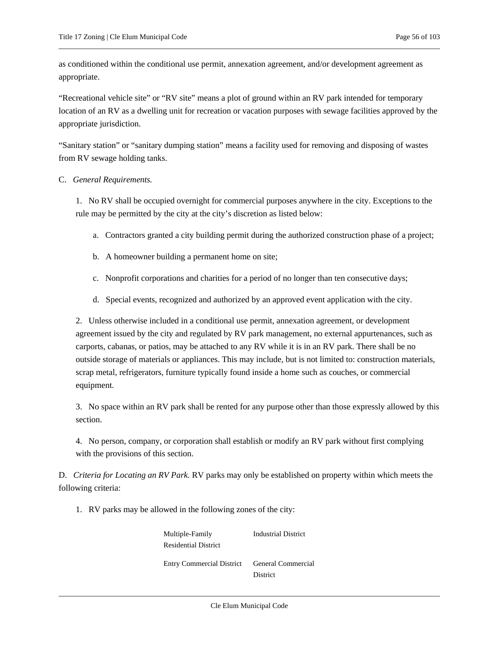as conditioned within the conditional use permit, annexation agreement, and/or development agreement as appropriate.

"Recreational vehicle site" or "RV site" means a plot of ground within an RV park intended for temporary location of an RV as a dwelling unit for recreation or vacation purposes with sewage facilities approved by the appropriate jurisdiction.

"Sanitary station" or "sanitary dumping station" means a facility used for removing and disposing of wastes from RV sewage holding tanks.

#### C. *General Requirements.*

1. No RV shall be occupied overnight for commercial purposes anywhere in the city. Exceptions to the rule may be permitted by the city at the city's discretion as listed below:

- a. Contractors granted a city building permit during the authorized construction phase of a project;
- b. A homeowner building a permanent home on site;
- c. Nonprofit corporations and charities for a period of no longer than ten consecutive days;
- d. Special events, recognized and authorized by an approved event application with the city.

2. Unless otherwise included in a conditional use permit, annexation agreement, or development agreement issued by the city and regulated by RV park management, no external appurtenances, such as carports, cabanas, or patios, may be attached to any RV while it is in an RV park. There shall be no outside storage of materials or appliances. This may include, but is not limited to: construction materials, scrap metal, refrigerators, furniture typically found inside a home such as couches, or commercial equipment.

3. No space within an RV park shall be rented for any purpose other than those expressly allowed by this section.

4. No person, company, or corporation shall establish or modify an RV park without first complying with the provisions of this section.

D. *Criteria for Locating an RV Park.* RV parks may only be established on property within which meets the following criteria:

1. RV parks may be allowed in the following zones of the city:

Multiple-Family Residential District Industrial District Entry Commercial District General Commercial District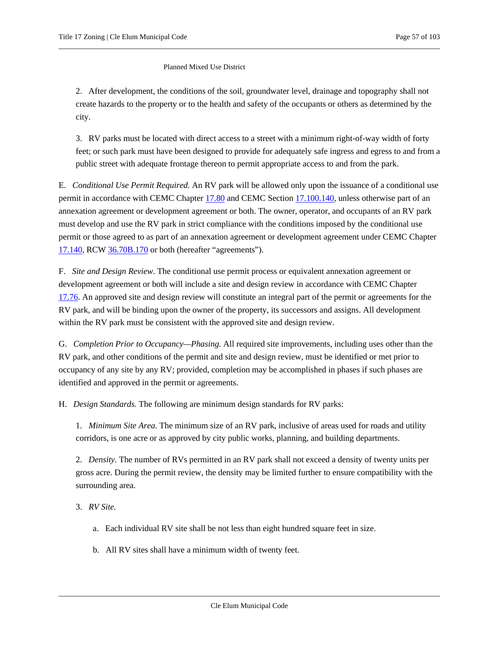#### Planned Mixed Use District

2. After development, the conditions of the soil, groundwater level, drainage and topography shall not create hazards to the property or to the health and safety of the occupants or others as determined by the city.

3. RV parks must be located with direct access to a street with a minimum right-of-way width of forty feet; or such park must have been designed to provide for adequately safe ingress and egress to and from a public street with adequate frontage thereon to permit appropriate access to and from the park.

E. *Conditional Use Permit Required.* An RV park will be allowed only upon the issuance of a conditional use permit in accordance with CEMC Chapter [17.80](#page-79-0) and CEMC Sectio[n 17.100.140,](#page-89-0) unless otherwise part of an annexation agreement or development agreement or both. The owner, operator, and occupants of an RV park must develop and use the RV park in strict compliance with the conditions imposed by the conditional use permit or those agreed to as part of an annexation agreement or development agreement under CEMC Chapter [17.140,](#page-97-0) RC[W 36.70B.170](https://cleelum.municipal.codes/WA/RCW/36.70B.170) or both (hereafter "agreements").

F. *Site and Design Review.* The conditional use permit process or equivalent annexation agreement or development agreement or both will include a site and design review in accordance with CEMC Chapter [17.76.](#page-77-0) An approved site and design review will constitute an integral part of the permit or agreements for the RV park, and will be binding upon the owner of the property, its successors and assigns. All development within the RV park must be consistent with the approved site and design review.

G. *Completion Prior to Occupancy—Phasing.* All required site improvements, including uses other than the RV park, and other conditions of the permit and site and design review, must be identified or met prior to occupancy of any site by any RV; provided, completion may be accomplished in phases if such phases are identified and approved in the permit or agreements.

H. *Design Standards.* The following are minimum design standards for RV parks:

1. *Minimum Site Area.* The minimum size of an RV park, inclusive of areas used for roads and utility corridors, is one acre or as approved by city public works, planning, and building departments.

2. *Density.* The number of RVs permitted in an RV park shall not exceed a density of twenty units per gross acre. During the permit review, the density may be limited further to ensure compatibility with the surrounding area.

3. *RV Site.*

- a. Each individual RV site shall be not less than eight hundred square feet in size.
- b. All RV sites shall have a minimum width of twenty feet.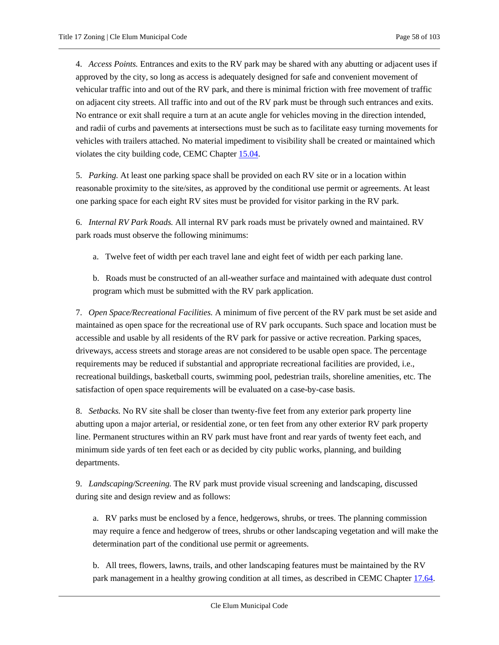4. *Access Points.* Entrances and exits to the RV park may be shared with any abutting or adjacent uses if approved by the city, so long as access is adequately designed for safe and convenient movement of vehicular traffic into and out of the RV park, and there is minimal friction with free movement of traffic on adjacent city streets. All traffic into and out of the RV park must be through such entrances and exits. No entrance or exit shall require a turn at an acute angle for vehicles moving in the direction intended, and radii of curbs and pavements at intersections must be such as to facilitate easy turning movements for vehicles with trailers attached. No material impediment to visibility shall be created or maintained which violates the city building code, CEMC Chapter [15.04.](https://cleelum.municipal.codes/CEMC/15.04)

5. *Parking.* At least one parking space shall be provided on each RV site or in a location within reasonable proximity to the site/sites, as approved by the conditional use permit or agreements. At least one parking space for each eight RV sites must be provided for visitor parking in the RV park.

6. *Internal RV Park Roads.* All internal RV park roads must be privately owned and maintained. RV park roads must observe the following minimums:

a. Twelve feet of width per each travel lane and eight feet of width per each parking lane.

b. Roads must be constructed of an all-weather surface and maintained with adequate dust control program which must be submitted with the RV park application.

7. *Open Space/Recreational Facilities.* A minimum of five percent of the RV park must be set aside and maintained as open space for the recreational use of RV park occupants. Such space and location must be accessible and usable by all residents of the RV park for passive or active recreation. Parking spaces, driveways, access streets and storage areas are not considered to be usable open space. The percentage requirements may be reduced if substantial and appropriate recreational facilities are provided, i.e., recreational buildings, basketball courts, swimming pool, pedestrian trails, shoreline amenities, etc. The satisfaction of open space requirements will be evaluated on a case-by-case basis.

8. *Setbacks.* No RV site shall be closer than twenty-five feet from any exterior park property line abutting upon a major arterial, or residential zone, or ten feet from any other exterior RV park property line. Permanent structures within an RV park must have front and rear yards of twenty feet each, and minimum side yards of ten feet each or as decided by city public works, planning, and building departments.

9. *Landscaping/Screening.* The RV park must provide visual screening and landscaping, discussed during site and design review and as follows:

a. RV parks must be enclosed by a fence, hedgerows, shrubs, or trees. The planning commission may require a fence and hedgerow of trees, shrubs or other landscaping vegetation and will make the determination part of the conditional use permit or agreements.

b. All trees, flowers, lawns, trails, and other landscaping features must be maintained by the RV park management in a healthy growing condition at all times, as described in CEMC Chapte[r 17.64.](#page-71-0)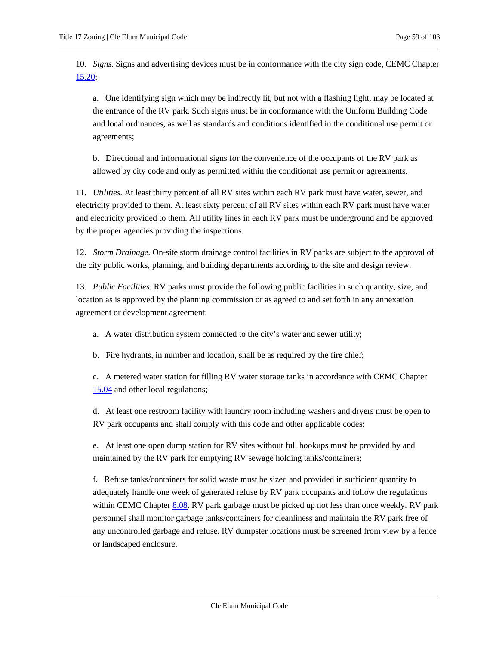10. *Signs.* Signs and advertising devices must be in conformance with the city sign code, CEMC Chapter [15.20:](https://cleelum.municipal.codes/CEMC/15.20)

a. One identifying sign which may be indirectly lit, but not with a flashing light, may be located at the entrance of the RV park. Such signs must be in conformance with the Uniform Building Code and local ordinances, as well as standards and conditions identified in the conditional use permit or agreements;

b. Directional and informational signs for the convenience of the occupants of the RV park as allowed by city code and only as permitted within the conditional use permit or agreements.

11. *Utilities.* At least thirty percent of all RV sites within each RV park must have water, sewer, and electricity provided to them. At least sixty percent of all RV sites within each RV park must have water and electricity provided to them. All utility lines in each RV park must be underground and be approved by the proper agencies providing the inspections.

12. *Storm Drainage.* On-site storm drainage control facilities in RV parks are subject to the approval of the city public works, planning, and building departments according to the site and design review.

13. *Public Facilities.* RV parks must provide the following public facilities in such quantity, size, and location as is approved by the planning commission or as agreed to and set forth in any annexation agreement or development agreement:

a. A water distribution system connected to the city's water and sewer utility;

b. Fire hydrants, in number and location, shall be as required by the fire chief;

c. A metered water station for filling RV water storage tanks in accordance with CEMC Chapter [15.04](https://cleelum.municipal.codes/CEMC/15.04) and other local regulations;

d. At least one restroom facility with laundry room including washers and dryers must be open to RV park occupants and shall comply with this code and other applicable codes;

e. At least one open dump station for RV sites without full hookups must be provided by and maintained by the RV park for emptying RV sewage holding tanks/containers;

f. Refuse tanks/containers for solid waste must be sized and provided in sufficient quantity to adequately handle one week of generated refuse by RV park occupants and follow the regulations within CEMC Chapte[r 8.08.](https://cleelum.municipal.codes/CEMC/8.08) RV park garbage must be picked up not less than once weekly. RV park personnel shall monitor garbage tanks/containers for cleanliness and maintain the RV park free of any uncontrolled garbage and refuse. RV dumpster locations must be screened from view by a fence or landscaped enclosure.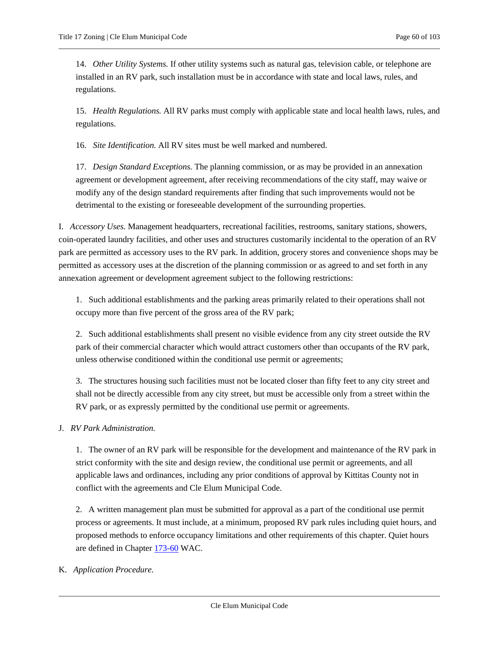14. *Other Utility Systems.* If other utility systems such as natural gas, television cable, or telephone are installed in an RV park, such installation must be in accordance with state and local laws, rules, and regulations.

15. *Health Regulations.* All RV parks must comply with applicable state and local health laws, rules, and regulations.

16. *Site Identification.* All RV sites must be well marked and numbered.

17. *Design Standard Exceptions.* The planning commission, or as may be provided in an annexation agreement or development agreement, after receiving recommendations of the city staff, may waive or modify any of the design standard requirements after finding that such improvements would not be detrimental to the existing or foreseeable development of the surrounding properties.

I. *Accessory Uses.* Management headquarters, recreational facilities, restrooms, sanitary stations, showers, coin-operated laundry facilities, and other uses and structures customarily incidental to the operation of an RV park are permitted as accessory uses to the RV park. In addition, grocery stores and convenience shops may be permitted as accessory uses at the discretion of the planning commission or as agreed to and set forth in any annexation agreement or development agreement subject to the following restrictions:

1. Such additional establishments and the parking areas primarily related to their operations shall not occupy more than five percent of the gross area of the RV park;

2. Such additional establishments shall present no visible evidence from any city street outside the RV park of their commercial character which would attract customers other than occupants of the RV park, unless otherwise conditioned within the conditional use permit or agreements;

3. The structures housing such facilities must not be located closer than fifty feet to any city street and shall not be directly accessible from any city street, but must be accessible only from a street within the RV park, or as expressly permitted by the conditional use permit or agreements.

J. *RV Park Administration.*

1. The owner of an RV park will be responsible for the development and maintenance of the RV park in strict conformity with the site and design review, the conditional use permit or agreements, and all applicable laws and ordinances, including any prior conditions of approval by Kittitas County not in conflict with the agreements and Cle Elum Municipal Code.

2. A written management plan must be submitted for approval as a part of the conditional use permit process or agreements. It must include, at a minimum, proposed RV park rules including quiet hours, and proposed methods to enforce occupancy limitations and other requirements of this chapter. Quiet hours are defined in Chapter [173-60](https://cleelum.municipal.codes/WA/WAC/173-60) WAC.

#### K. *Application Procedure.*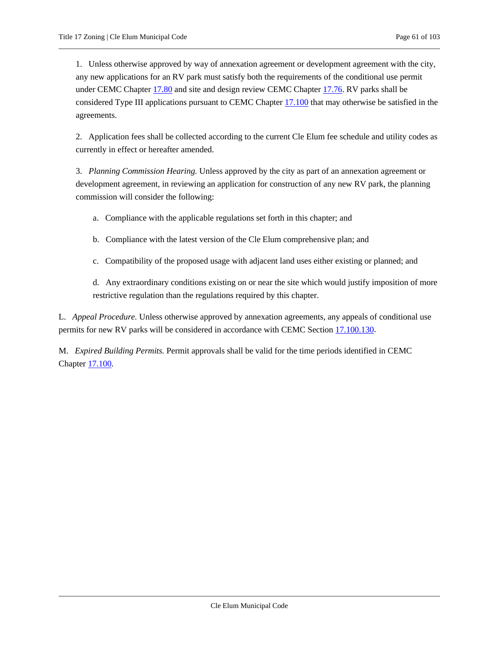1. Unless otherwise approved by way of annexation agreement or development agreement with the city, any new applications for an RV park must satisfy both the requirements of the conditional use permit under CEMC Chapter [17.80](#page-79-0) and site and design review CEMC Chapter [17.76.](#page-77-0) RV parks shall be considered Type III applications pursuant to CEMC Chapter [17.100](#page-89-0) that may otherwise be satisfied in the agreements.

2. Application fees shall be collected according to the current Cle Elum fee schedule and utility codes as currently in effect or hereafter amended.

3. *Planning Commission Hearing.* Unless approved by the city as part of an annexation agreement or development agreement, in reviewing an application for construction of any new RV park, the planning commission will consider the following:

a. Compliance with the applicable regulations set forth in this chapter; and

- b. Compliance with the latest version of the Cle Elum comprehensive plan; and
- c. Compatibility of the proposed usage with adjacent land uses either existing or planned; and

d. Any extraordinary conditions existing on or near the site which would justify imposition of more restrictive regulation than the regulations required by this chapter.

L. *Appeal Procedure.* Unless otherwise approved by annexation agreements, any appeals of conditional use permits for new RV parks will be considered in accordance with CEMC Sectio[n 17.100.130.](#page-89-0)

M. *Expired Building Permits.* Permit approvals shall be valid for the time periods identified in CEMC Chapter [17.100.](#page-89-0)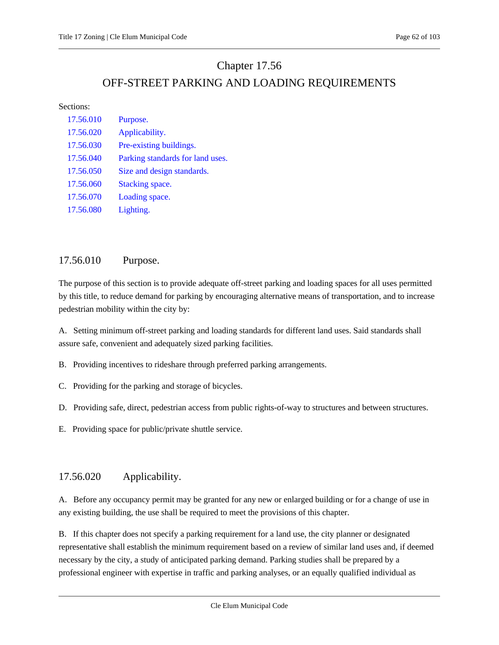# Chapter 17.56

# OFF-STREET PARKING AND LOADING REQUIREMENTS

#### Sections:

| 17.56.010 | Purpose.                         |
|-----------|----------------------------------|
| 17.56.020 | Applicability.                   |
| 17.56.030 | Pre-existing buildings.          |
| 17.56.040 | Parking standards for land uses. |
| 17.56.050 | Size and design standards.       |
| 17.56.060 | Stacking space.                  |
| 17.56.070 | Loading space.                   |
| 17.56.080 | Lighting.                        |

# <span id="page-61-0"></span>17.56.010 Purpose.

The purpose of this section is to provide adequate off-street parking and loading spaces for all uses permitted by this title, to reduce demand for parking by encouraging alternative means of transportation, and to increase pedestrian mobility within the city by:

A. Setting minimum off-street parking and loading standards for different land uses. Said standards shall assure safe, convenient and adequately sized parking facilities.

B. Providing incentives to rideshare through preferred parking arrangements.

- C. Providing for the parking and storage of bicycles.
- D. Providing safe, direct, pedestrian access from public rights-of-way to structures and between structures.
- <span id="page-61-1"></span>E. Providing space for public/private shuttle service.

# 17.56.020 Applicability.

A. Before any occupancy permit may be granted for any new or enlarged building or for a change of use in any existing building, the use shall be required to meet the provisions of this chapter.

B. If this chapter does not specify a parking requirement for a land use, the city planner or designated representative shall establish the minimum requirement based on a review of similar land uses and, if deemed necessary by the city, a study of anticipated parking demand. Parking studies shall be prepared by a professional engineer with expertise in traffic and parking analyses, or an equally qualified individual as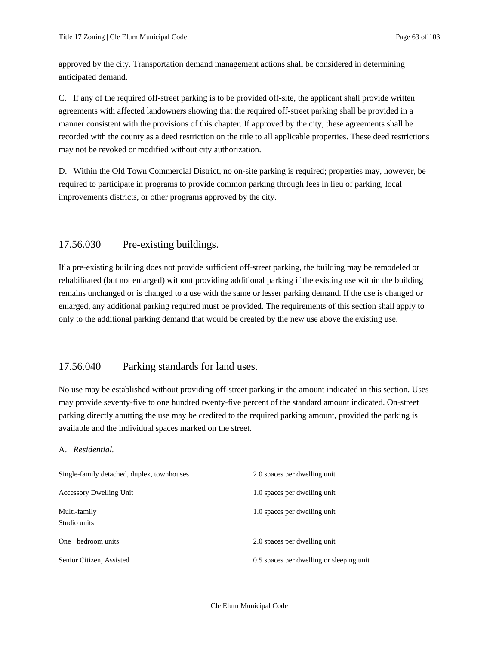approved by the city. Transportation demand management actions shall be considered in determining anticipated demand.

C. If any of the required off-street parking is to be provided off-site, the applicant shall provide written agreements with affected landowners showing that the required off-street parking shall be provided in a manner consistent with the provisions of this chapter. If approved by the city, these agreements shall be recorded with the county as a deed restriction on the title to all applicable properties. These deed restrictions may not be revoked or modified without city authorization.

D. Within the Old Town Commercial District, no on-site parking is required; properties may, however, be required to participate in programs to provide common parking through fees in lieu of parking, local improvements districts, or other programs approved by the city.

# <span id="page-62-0"></span>17.56.030 Pre-existing buildings.

If a pre-existing building does not provide sufficient off-street parking, the building may be remodeled or rehabilitated (but not enlarged) without providing additional parking if the existing use within the building remains unchanged or is changed to a use with the same or lesser parking demand. If the use is changed or enlarged, any additional parking required must be provided. The requirements of this section shall apply to only to the additional parking demand that would be created by the new use above the existing use.

# <span id="page-62-1"></span>17.56.040 Parking standards for land uses.

No use may be established without providing off-street parking in the amount indicated in this section. Uses may provide seventy-five to one hundred twenty-five percent of the standard amount indicated. On-street parking directly abutting the use may be credited to the required parking amount, provided the parking is available and the individual spaces marked on the street.

#### A. *Residential.*

| Single-family detached, duplex, townhouses | 2.0 spaces per dwelling unit             |
|--------------------------------------------|------------------------------------------|
| <b>Accessory Dwelling Unit</b>             | 1.0 spaces per dwelling unit             |
| Multi-family<br>Studio units               | 1.0 spaces per dwelling unit             |
| $One+$ bedroom units                       | 2.0 spaces per dwelling unit             |
| Senior Citizen, Assisted                   | 0.5 spaces per dwelling or sleeping unit |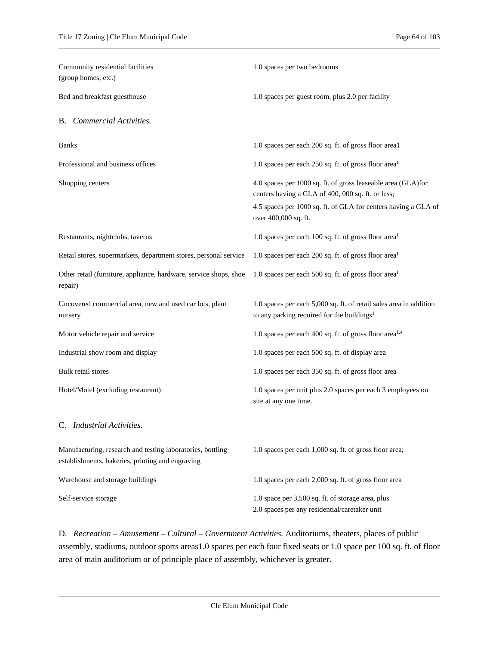| Community residential facilities<br>(group homes, etc.)                                                        | 1.0 spaces per two bedrooms                                                                                                  |
|----------------------------------------------------------------------------------------------------------------|------------------------------------------------------------------------------------------------------------------------------|
| Bed and breakfast guesthouse                                                                                   | 1.0 spaces per guest room, plus 2.0 per facility                                                                             |
| <b>B.</b> Commercial Activities.                                                                               |                                                                                                                              |
| <b>Banks</b>                                                                                                   | 1.0 spaces per each 200 sq. ft. of gross floor areal                                                                         |
| Professional and business offices                                                                              | 1.0 spaces per each 250 sq. ft. of gross floor area <sup>1</sup>                                                             |
| Shopping centers                                                                                               | 4.0 spaces per 1000 sq. ft. of gross leaseable area (GLA)for<br>centers having a GLA of 400, 000 sq. ft. or less;            |
|                                                                                                                | 4.5 spaces per 1000 sq. ft. of GLA for centers having a GLA of<br>over 400,000 sq. ft.                                       |
| Restaurants, nightclubs, taverns                                                                               | 1.0 spaces per each 100 sq. ft. of gross floor area <sup>1</sup>                                                             |
| Retail stores, supermarkets, department stores, personal service                                               | 1.0 spaces per each 200 sq. ft. of gross floor area <sup>1</sup>                                                             |
| Other retail (furniture, appliance, hardware, service shops, shoe<br>repair)                                   | 1.0 spaces per each 500 sq. ft. of gross floor area <sup>1</sup>                                                             |
| Uncovered commercial area, new and used car lots, plant<br>nursery                                             | 1.0 spaces per each 5,000 sq. ft. of retail sales area in addition<br>to any parking required for the buildings <sup>1</sup> |
| Motor vehicle repair and service                                                                               | 1.0 spaces per each 400 sq. ft. of gross floor area <sup>1,4</sup>                                                           |
| Industrial show room and display                                                                               | 1.0 spaces per each 500 sq. ft. of display area                                                                              |
| Bulk retail stores                                                                                             | 1.0 spaces per each 350 sq. ft. of gross floor area                                                                          |
| Hotel/Motel (excluding restaurant)                                                                             | 1.0 spaces per unit plus 2.0 spaces per each 3 employees on<br>site at any one time.                                         |
| C. Industrial Activities.                                                                                      |                                                                                                                              |
| Manufacturing, research and testing laboratories, bottling<br>establishments, bakeries, printing and engraving | 1.0 spaces per each 1,000 sq. ft. of gross floor area;                                                                       |
| Warehouse and storage buildings                                                                                | 1.0 spaces per each 2,000 sq. ft. of gross floor area                                                                        |
| Self-service storage                                                                                           | 1.0 space per 3,500 sq. ft. of storage area, plus<br>2.0 spaces per any residential/caretaker unit                           |

D. *Recreation – Amusement – Cultural – Government Activities.* Auditoriums, theaters, places of public assembly, stadiums, outdoor sports areas1.0 spaces per each four fixed seats or 1.0 space per 100 sq. ft. of floor area of main auditorium or of principle place of assembly, whichever is greater.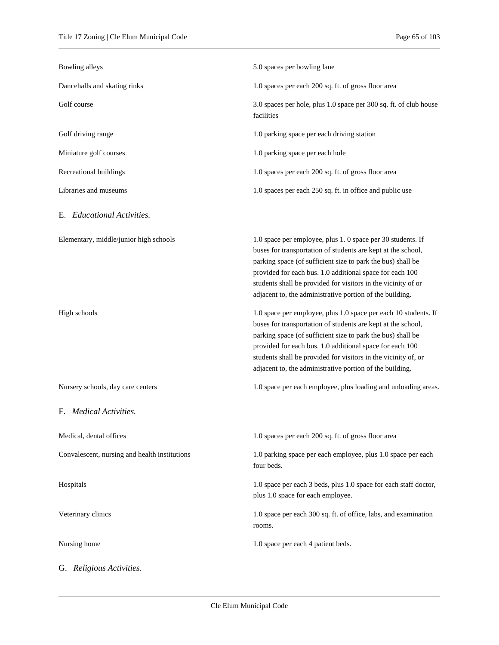| Bowling alleys                                | 5.0 spaces per bowling lane                                                                                                                                                                                                                                                                                                                                                              |
|-----------------------------------------------|------------------------------------------------------------------------------------------------------------------------------------------------------------------------------------------------------------------------------------------------------------------------------------------------------------------------------------------------------------------------------------------|
| Dancehalls and skating rinks                  | 1.0 spaces per each 200 sq. ft. of gross floor area                                                                                                                                                                                                                                                                                                                                      |
| Golf course                                   | 3.0 spaces per hole, plus 1.0 space per 300 sq. ft. of club house<br>facilities                                                                                                                                                                                                                                                                                                          |
| Golf driving range                            | 1.0 parking space per each driving station                                                                                                                                                                                                                                                                                                                                               |
| Miniature golf courses                        | 1.0 parking space per each hole                                                                                                                                                                                                                                                                                                                                                          |
| Recreational buildings                        | 1.0 spaces per each 200 sq. ft. of gross floor area                                                                                                                                                                                                                                                                                                                                      |
| Libraries and museums                         | 1.0 spaces per each 250 sq. ft. in office and public use                                                                                                                                                                                                                                                                                                                                 |
| E. Educational Activities.                    |                                                                                                                                                                                                                                                                                                                                                                                          |
| Elementary, middle/junior high schools        | 1.0 space per employee, plus 1.0 space per 30 students. If<br>buses for transportation of students are kept at the school,<br>parking space (of sufficient size to park the bus) shall be<br>provided for each bus. 1.0 additional space for each 100<br>students shall be provided for visitors in the vicinity of or<br>adjacent to, the administrative portion of the building.       |
| High schools                                  | 1.0 space per employee, plus 1.0 space per each 10 students. If<br>buses for transportation of students are kept at the school,<br>parking space (of sufficient size to park the bus) shall be<br>provided for each bus. 1.0 additional space for each 100<br>students shall be provided for visitors in the vicinity of, or<br>adjacent to, the administrative portion of the building. |
| Nursery schools, day care centers             | 1.0 space per each employee, plus loading and unloading areas.                                                                                                                                                                                                                                                                                                                           |
| F. Medical Activities.                        |                                                                                                                                                                                                                                                                                                                                                                                          |
| Medical, dental offices                       | 1.0 spaces per each 200 sq. ft. of gross floor area                                                                                                                                                                                                                                                                                                                                      |
| Convalescent, nursing and health institutions | 1.0 parking space per each employee, plus 1.0 space per each<br>four beds.                                                                                                                                                                                                                                                                                                               |
| Hospitals                                     | 1.0 space per each 3 beds, plus 1.0 space for each staff doctor,<br>plus 1.0 space for each employee.                                                                                                                                                                                                                                                                                    |
| Veterinary clinics                            | 1.0 space per each 300 sq. ft. of office, labs, and examination<br>rooms.                                                                                                                                                                                                                                                                                                                |
| Nursing home                                  | 1.0 space per each 4 patient beds.                                                                                                                                                                                                                                                                                                                                                       |
| G. Religious Activities.                      |                                                                                                                                                                                                                                                                                                                                                                                          |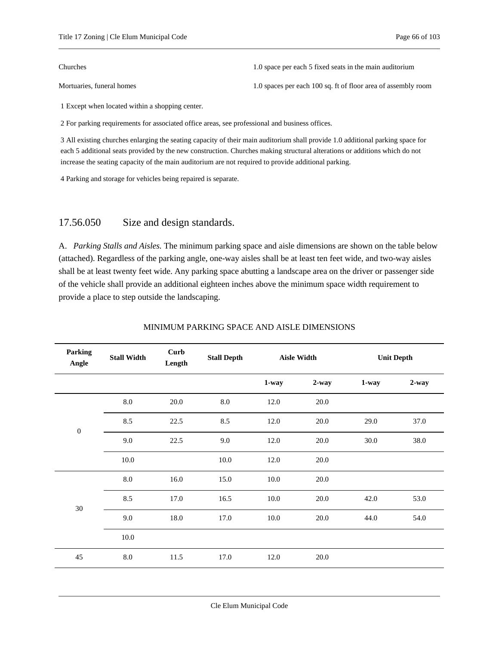Churches 1.0 space per each 5 fixed seats in the main auditorium

Mortuaries, funeral homes 1.0 spaces per each 100 sq. ft of floor area of assembly room

1 Except when located within a shopping center.

2 For parking requirements for associated office areas, see professional and business offices.

3 All existing churches enlarging the seating capacity of their main auditorium shall provide 1.0 additional parking space for each 5 additional seats provided by the new construction. Churches making structural alterations or additions which do not increase the seating capacity of the main auditorium are not required to provide additional parking.

<span id="page-65-0"></span>4 Parking and storage for vehicles being repaired is separate.

#### 17.56.050 Size and design standards.

A. *Parking Stalls and Aisles.* The minimum parking space and aisle dimensions are shown on the table below (attached). Regardless of the parking angle, one-way aisles shall be at least ten feet wide, and two-way aisles shall be at least twenty feet wide. Any parking space abutting a landscape area on the driver or passenger side of the vehicle shall provide an additional eighteen inches above the minimum space width requirement to provide a place to step outside the landscaping.

| <b>Parking</b><br>Angle | <b>Stall Width</b> | Curb<br>Length | <b>Stall Depth</b> |       | <b>Aisle Width</b> |       | <b>Unit Depth</b> |
|-------------------------|--------------------|----------------|--------------------|-------|--------------------|-------|-------------------|
|                         |                    |                |                    | 1-way | $2$ -way           | 1-way | $2 - way$         |
|                         | 8.0                | 20.0           | 8.0                | 12.0  | 20.0               |       |                   |
| $\boldsymbol{0}$        | 8.5                | 22.5           | 8.5                | 12.0  | 20.0               | 29.0  | 37.0              |
|                         | 9.0                | 22.5           | 9.0                | 12.0  | 20.0               | 30.0  | 38.0              |
|                         | 10.0               |                | 10.0               | 12.0  | 20.0               |       |                   |
|                         | $8.0\,$            | 16.0           | 15.0               | 10.0  | 20.0               |       |                   |
| $30\,$                  | 8.5                | 17.0           | 16.5               | 10.0  | 20.0               | 42.0  | 53.0              |
|                         | 9.0                | 18.0           | 17.0               | 10.0  | 20.0               | 44.0  | 54.0              |
|                         | 10.0               |                |                    |       |                    |       |                   |
| 45                      | 8.0                | 11.5           | 17.0               | 12.0  | 20.0               |       |                   |

#### MINIMUM PARKING SPACE AND AISLE DIMENSIONS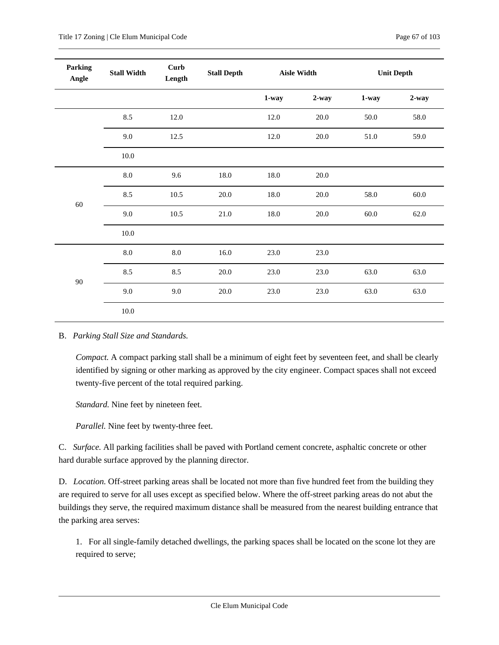| <b>Parking</b><br>Angle | <b>Stall Width</b> | <b>Curb</b><br>Length | <b>Stall Depth</b> |          | <b>Aisle Width</b> |          | <b>Unit Depth</b> |
|-------------------------|--------------------|-----------------------|--------------------|----------|--------------------|----------|-------------------|
|                         |                    |                       |                    | $1$ -way | $2$ -way           | $1$ -way | $2$ -way          |
|                         | 8.5                | 12.0                  |                    | 12.0     | 20.0               | 50.0     | 58.0              |
|                         | 9.0                | 12.5                  |                    | 12.0     | $20.0\,$           | 51.0     | 59.0              |
|                         | 10.0               |                       |                    |          |                    |          |                   |
|                         | $8.0\,$            | 9.6                   | $18.0\,$           | 18.0     | $20.0\,$           |          |                   |
| 60                      | 8.5                | 10.5                  | 20.0               | 18.0     | 20.0               | 58.0     | 60.0              |
|                         | 9.0                | 10.5                  | 21.0               | 18.0     | 20.0               | 60.0     | 62.0              |
|                         | 10.0               |                       |                    |          |                    |          |                   |
|                         | $8.0\,$            | 8.0                   | 16.0               | 23.0     | 23.0               |          |                   |
| $90\,$                  | 8.5                | 8.5                   | $20.0\,$           | 23.0     | 23.0               | 63.0     | 63.0              |
|                         | 9.0                | 9.0                   | $20.0\,$           | 23.0     | 23.0               | 63.0     | 63.0              |
|                         | 10.0               |                       |                    |          |                    |          |                   |

B. *Parking Stall Size and Standards.*

*Compact.* A compact parking stall shall be a minimum of eight feet by seventeen feet, and shall be clearly identified by signing or other marking as approved by the city engineer. Compact spaces shall not exceed twenty-five percent of the total required parking.

*Standard.* Nine feet by nineteen feet.

*Parallel.* Nine feet by twenty-three feet.

C. *Surface.* All parking facilities shall be paved with Portland cement concrete, asphaltic concrete or other hard durable surface approved by the planning director.

D. *Location.* Off-street parking areas shall be located not more than five hundred feet from the building they are required to serve for all uses except as specified below. Where the off-street parking areas do not abut the buildings they serve, the required maximum distance shall be measured from the nearest building entrance that the parking area serves:

1. For all single-family detached dwellings, the parking spaces shall be located on the scone lot they are required to serve;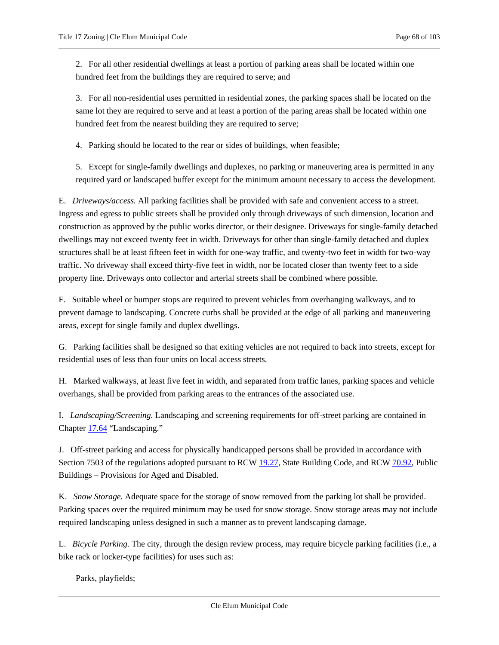2. For all other residential dwellings at least a portion of parking areas shall be located within one hundred feet from the buildings they are required to serve; and

3. For all non-residential uses permitted in residential zones, the parking spaces shall be located on the same lot they are required to serve and at least a portion of the paring areas shall be located within one hundred feet from the nearest building they are required to serve;

4. Parking should be located to the rear or sides of buildings, when feasible;

5. Except for single-family dwellings and duplexes, no parking or maneuvering area is permitted in any required yard or landscaped buffer except for the minimum amount necessary to access the development.

E. *Driveways/access.* All parking facilities shall be provided with safe and convenient access to a street. Ingress and egress to public streets shall be provided only through driveways of such dimension, location and construction as approved by the public works director, or their designee. Driveways for single-family detached dwellings may not exceed twenty feet in width. Driveways for other than single-family detached and duplex structures shall be at least fifteen feet in width for one-way traffic, and twenty-two feet in width for two-way traffic. No driveway shall exceed thirty-five feet in width, nor be located closer than twenty feet to a side property line. Driveways onto collector and arterial streets shall be combined where possible.

F. Suitable wheel or bumper stops are required to prevent vehicles from overhanging walkways, and to prevent damage to landscaping. Concrete curbs shall be provided at the edge of all parking and maneuvering areas, except for single family and duplex dwellings.

G. Parking facilities shall be designed so that exiting vehicles are not required to back into streets, except for residential uses of less than four units on local access streets.

H. Marked walkways, at least five feet in width, and separated from traffic lanes, parking spaces and vehicle overhangs, shall be provided from parking areas to the entrances of the associated use.

I. *Landscaping/Screening.* Landscaping and screening requirements for off-street parking are contained in Chapter [17.64](#page-71-0) "Landscaping."

J. Off-street parking and access for physically handicapped persons shall be provided in accordance with Section 7503 of the regulations adopted pursuant to RCW [19.27,](https://cleelum.municipal.codes/WA/RCW/19.27) State Building Code, and RC[W 70.92,](https://cleelum.municipal.codes/WA/RCW/70.92) Public Buildings – Provisions for Aged and Disabled.

K. *Snow Storage.* Adequate space for the storage of snow removed from the parking lot shall be provided. Parking spaces over the required minimum may be used for snow storage. Snow storage areas may not include required landscaping unless designed in such a manner as to prevent landscaping damage.

L. *Bicycle Parking.* The city, through the design review process, may require bicycle parking facilities (i.e., a bike rack or locker-type facilities) for uses such as:

Parks, playfields;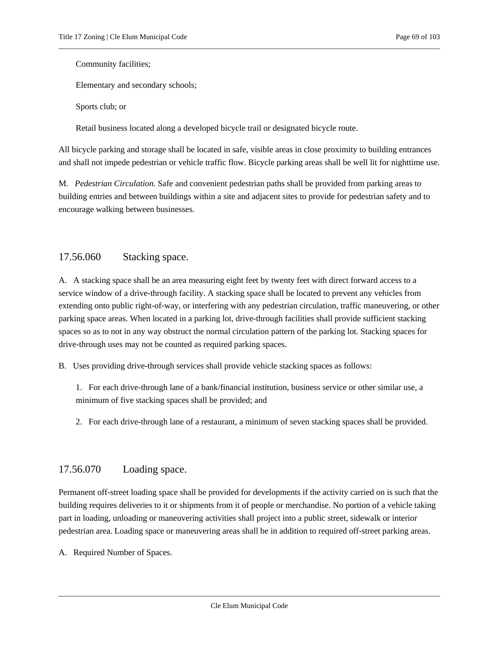Community facilities;

Elementary and secondary schools;

Sports club; or

Retail business located along a developed bicycle trail or designated bicycle route.

All bicycle parking and storage shall be located in safe, visible areas in close proximity to building entrances and shall not impede pedestrian or vehicle traffic flow. Bicycle parking areas shall be well lit for nighttime use.

M. *Pedestrian Circulation.* Safe and convenient pedestrian paths shall be provided from parking areas to building entries and between buildings within a site and adjacent sites to provide for pedestrian safety and to encourage walking between businesses.

# <span id="page-68-0"></span>17.56.060 Stacking space.

A. A stacking space shall be an area measuring eight feet by twenty feet with direct forward access to a service window of a drive-through facility. A stacking space shall be located to prevent any vehicles from extending onto public right-of-way, or interfering with any pedestrian circulation, traffic maneuvering, or other parking space areas. When located in a parking lot, drive-through facilities shall provide sufficient stacking spaces so as to not in any way obstruct the normal circulation pattern of the parking lot. Stacking spaces for drive-through uses may not be counted as required parking spaces.

B. Uses providing drive-through services shall provide vehicle stacking spaces as follows:

1. For each drive-through lane of a bank/financial institution, business service or other similar use, a minimum of five stacking spaces shall be provided; and

2. For each drive-through lane of a restaurant, a minimum of seven stacking spaces shall be provided.

### <span id="page-68-1"></span>17.56.070 Loading space.

Permanent off-street loading space shall be provided for developments if the activity carried on is such that the building requires deliveries to it or shipments from it of people or merchandise. No portion of a vehicle taking part in loading, unloading or maneuvering activities shall project into a public street, sidewalk or interior pedestrian area. Loading space or maneuvering areas shall be in addition to required off-street parking areas.

A. Required Number of Spaces.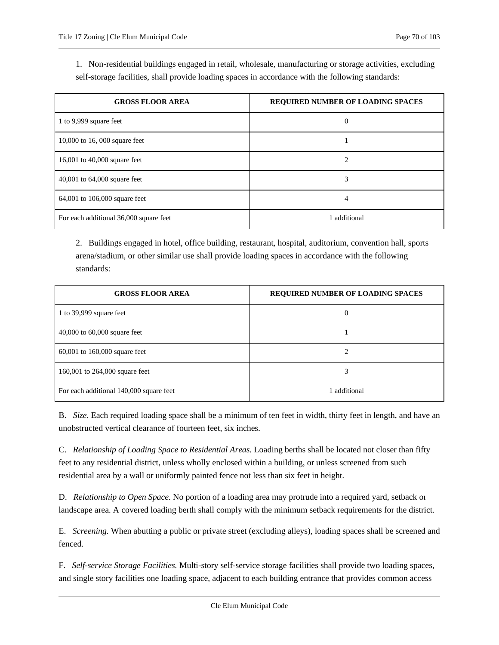1. Non-residential buildings engaged in retail, wholesale, manufacturing or storage activities, excluding self-storage facilities, shall provide loading spaces in accordance with the following standards:

| <b>GROSS FLOOR AREA</b>                | <b>REQUIRED NUMBER OF LOADING SPACES</b> |
|----------------------------------------|------------------------------------------|
| 1 to 9,999 square feet                 | 0                                        |
| 10,000 to 16, 000 square feet          |                                          |
| 16,001 to 40,000 square feet           | 2                                        |
| 40,001 to $64,000$ square feet         | 3                                        |
| 64,001 to 106,000 square feet          | 4                                        |
| For each additional 36,000 square feet | 1 additional                             |

2. Buildings engaged in hotel, office building, restaurant, hospital, auditorium, convention hall, sports arena/stadium, or other similar use shall provide loading spaces in accordance with the following standards:

| <b>GROSS FLOOR AREA</b>                 | <b>REQUIRED NUMBER OF LOADING SPACES</b> |
|-----------------------------------------|------------------------------------------|
| 1 to 39,999 square feet                 | $\theta$                                 |
| 40,000 to $60,000$ square feet          |                                          |
| $60,001$ to $160,000$ square feet       |                                          |
| 160,001 to 264,000 square feet          | 3                                        |
| For each additional 140,000 square feet | 1 additional                             |

B. *Size.* Each required loading space shall be a minimum of ten feet in width, thirty feet in length, and have an unobstructed vertical clearance of fourteen feet, six inches.

C. *Relationship of Loading Space to Residential Areas.* Loading berths shall be located not closer than fifty feet to any residential district, unless wholly enclosed within a building, or unless screened from such residential area by a wall or uniformly painted fence not less than six feet in height.

D. *Relationship to Open Space.* No portion of a loading area may protrude into a required yard, setback or landscape area. A covered loading berth shall comply with the minimum setback requirements for the district.

E. *Screening.* When abutting a public or private street (excluding alleys), loading spaces shall be screened and fenced.

F. *Self-service Storage Facilities.* Multi-story self-service storage facilities shall provide two loading spaces, and single story facilities one loading space, adjacent to each building entrance that provides common access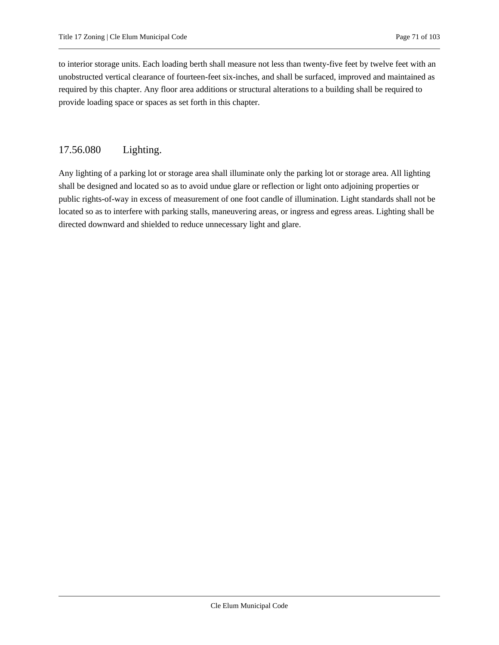to interior storage units. Each loading berth shall measure not less than twenty-five feet by twelve feet with an unobstructed vertical clearance of fourteen-feet six-inches, and shall be surfaced, improved and maintained as required by this chapter. Any floor area additions or structural alterations to a building shall be required to provide loading space or spaces as set forth in this chapter.

# <span id="page-70-0"></span>17.56.080 Lighting.

Any lighting of a parking lot or storage area shall illuminate only the parking lot or storage area. All lighting shall be designed and located so as to avoid undue glare or reflection or light onto adjoining properties or public rights-of-way in excess of measurement of one foot candle of illumination. Light standards shall not be located so as to interfere with parking stalls, maneuvering areas, or ingress and egress areas. Lighting shall be directed downward and shielded to reduce unnecessary light and glare.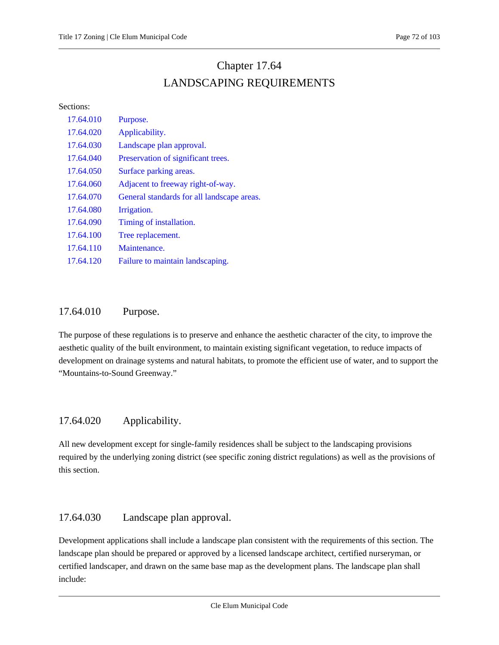# Chapter 17.64 LANDSCAPING REQUIREMENTS

#### <span id="page-71-0"></span>Sections:

| 17.64.010 | Purpose.                                   |
|-----------|--------------------------------------------|
| 17.64.020 | Applicability.                             |
| 17.64.030 | Landscape plan approval.                   |
| 17.64.040 | Preservation of significant trees.         |
| 17.64.050 | Surface parking areas.                     |
| 17.64.060 | Adjacent to freeway right-of-way.          |
| 17.64.070 | General standards for all landscape areas. |
| 17.64.080 | Irrigation.                                |
| 17.64.090 | Timing of installation.                    |
| 17.64.100 | Tree replacement.                          |
| 17.64.110 | Maintenance.                               |
| 17.64.120 | Failure to maintain landscaping.           |

# <span id="page-71-1"></span>17.64.010 Purpose.

The purpose of these regulations is to preserve and enhance the aesthetic character of the city, to improve the aesthetic quality of the built environment, to maintain existing significant vegetation, to reduce impacts of development on drainage systems and natural habitats, to promote the efficient use of water, and to support the "Mountains-to-Sound Greenway."

# <span id="page-71-2"></span>17.64.020 Applicability.

All new development except for single-family residences shall be subject to the landscaping provisions required by the underlying zoning district (see specific zoning district regulations) as well as the provisions of this section.

# <span id="page-71-3"></span>17.64.030 Landscape plan approval.

Development applications shall include a landscape plan consistent with the requirements of this section. The landscape plan should be prepared or approved by a licensed landscape architect, certified nurseryman, or certified landscaper, and drawn on the same base map as the development plans. The landscape plan shall include: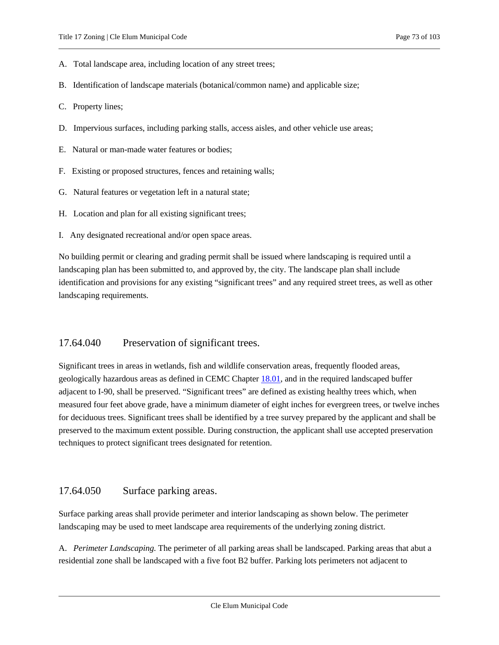- A. Total landscape area, including location of any street trees;
- B. Identification of landscape materials (botanical/common name) and applicable size;
- C. Property lines;
- D. Impervious surfaces, including parking stalls, access aisles, and other vehicle use areas;
- E. Natural or man-made water features or bodies;
- F. Existing or proposed structures, fences and retaining walls;
- G. Natural features or vegetation left in a natural state;
- H. Location and plan for all existing significant trees;
- I. Any designated recreational and/or open space areas.

No building permit or clearing and grading permit shall be issued where landscaping is required until a landscaping plan has been submitted to, and approved by, the city. The landscape plan shall include identification and provisions for any existing "significant trees" and any required street trees, as well as other landscaping requirements.

## 17.64.040 Preservation of significant trees.

Significant trees in areas in wetlands, fish and wildlife conservation areas, frequently flooded areas, geologically hazardous areas as defined in CEMC Chapter [18.01,](https://cleelum.municipal.codes/CEMC/18.01) and in the required landscaped buffer adjacent to I-90, shall be preserved. "Significant trees" are defined as existing healthy trees which, when measured four feet above grade, have a minimum diameter of eight inches for evergreen trees, or twelve inches for deciduous trees. Significant trees shall be identified by a tree survey prepared by the applicant and shall be preserved to the maximum extent possible. During construction, the applicant shall use accepted preservation techniques to protect significant trees designated for retention.

## 17.64.050 Surface parking areas.

Surface parking areas shall provide perimeter and interior landscaping as shown below. The perimeter landscaping may be used to meet landscape area requirements of the underlying zoning district.

A. *Perimeter Landscaping.* The perimeter of all parking areas shall be landscaped. Parking areas that abut a residential zone shall be landscaped with a five foot B2 buffer. Parking lots perimeters not adjacent to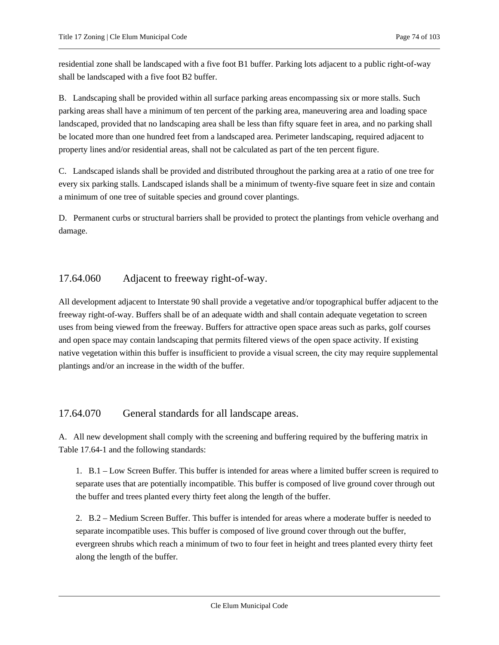residential zone shall be landscaped with a five foot B1 buffer. Parking lots adjacent to a public right-of-way shall be landscaped with a five foot B2 buffer.

B. Landscaping shall be provided within all surface parking areas encompassing six or more stalls. Such parking areas shall have a minimum of ten percent of the parking area, maneuvering area and loading space landscaped, provided that no landscaping area shall be less than fifty square feet in area, and no parking shall be located more than one hundred feet from a landscaped area. Perimeter landscaping, required adjacent to property lines and/or residential areas, shall not be calculated as part of the ten percent figure.

C. Landscaped islands shall be provided and distributed throughout the parking area at a ratio of one tree for every six parking stalls. Landscaped islands shall be a minimum of twenty-five square feet in size and contain a minimum of one tree of suitable species and ground cover plantings.

D. Permanent curbs or structural barriers shall be provided to protect the plantings from vehicle overhang and damage.

## 17.64.060 Adjacent to freeway right-of-way.

All development adjacent to Interstate 90 shall provide a vegetative and/or topographical buffer adjacent to the freeway right-of-way. Buffers shall be of an adequate width and shall contain adequate vegetation to screen uses from being viewed from the freeway. Buffers for attractive open space areas such as parks, golf courses and open space may contain landscaping that permits filtered views of the open space activity. If existing native vegetation within this buffer is insufficient to provide a visual screen, the city may require supplemental plantings and/or an increase in the width of the buffer.

## 17.64.070 General standards for all landscape areas.

A. All new development shall comply with the screening and buffering required by the buffering matrix in Table 17.64-1 and the following standards:

1. B.1 – Low Screen Buffer. This buffer is intended for areas where a limited buffer screen is required to separate uses that are potentially incompatible. This buffer is composed of live ground cover through out the buffer and trees planted every thirty feet along the length of the buffer.

2. B.2 – Medium Screen Buffer. This buffer is intended for areas where a moderate buffer is needed to separate incompatible uses. This buffer is composed of live ground cover through out the buffer, evergreen shrubs which reach a minimum of two to four feet in height and trees planted every thirty feet along the length of the buffer.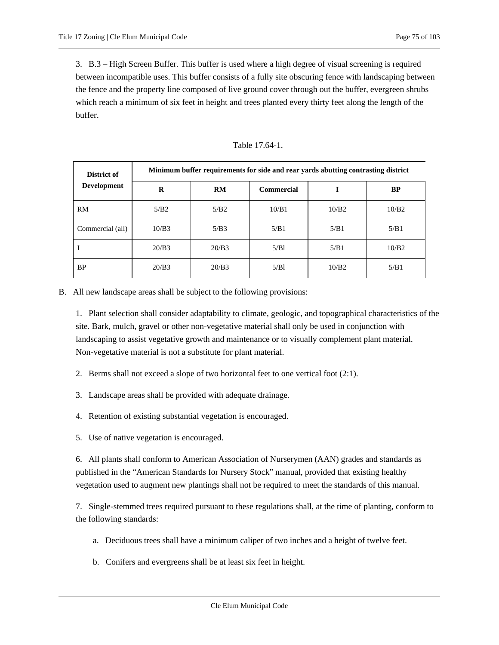3. B.3 – High Screen Buffer. This buffer is used where a high degree of visual screening is required between incompatible uses. This buffer consists of a fully site obscuring fence with landscaping between the fence and the property line composed of live ground cover through out the buffer, evergreen shrubs which reach a minimum of six feet in height and trees planted every thirty feet along the length of the buffer.

| District of<br>Development | Minimum buffer requirements for side and rear yards abutting contrasting district |       |            |       |           |
|----------------------------|-----------------------------------------------------------------------------------|-------|------------|-------|-----------|
|                            | $\bf{R}$                                                                          | RM    | Commercial |       | <b>BP</b> |
| <b>RM</b>                  | 5/B2                                                                              | 5/B2  | 10/B1      | 10/B2 | 10/B2     |
| Commercial (all)           | 10/B3                                                                             | 5/B3  | 5/B1       | 5/B1  | 5/B1      |
|                            | 20/B3                                                                             | 20/B3 | 5/B1       | 5/B1  | 10/B2     |
| <b>BP</b>                  | 20/B3                                                                             | 20/B3 | 5/B1       | 10/B2 | 5/B1      |

Table 17.64-1.

B. All new landscape areas shall be subject to the following provisions:

1. Plant selection shall consider adaptability to climate, geologic, and topographical characteristics of the site. Bark, mulch, gravel or other non-vegetative material shall only be used in conjunction with landscaping to assist vegetative growth and maintenance or to visually complement plant material. Non-vegetative material is not a substitute for plant material.

- 2. Berms shall not exceed a slope of two horizontal feet to one vertical foot (2:1).
- 3. Landscape areas shall be provided with adequate drainage.
- 4. Retention of existing substantial vegetation is encouraged.
- 5. Use of native vegetation is encouraged.

6. All plants shall conform to American Association of Nurserymen (AAN) grades and standards as published in the "American Standards for Nursery Stock" manual, provided that existing healthy vegetation used to augment new plantings shall not be required to meet the standards of this manual.

7. Single-stemmed trees required pursuant to these regulations shall, at the time of planting, conform to the following standards:

- a. Deciduous trees shall have a minimum caliper of two inches and a height of twelve feet.
- b. Conifers and evergreens shall be at least six feet in height.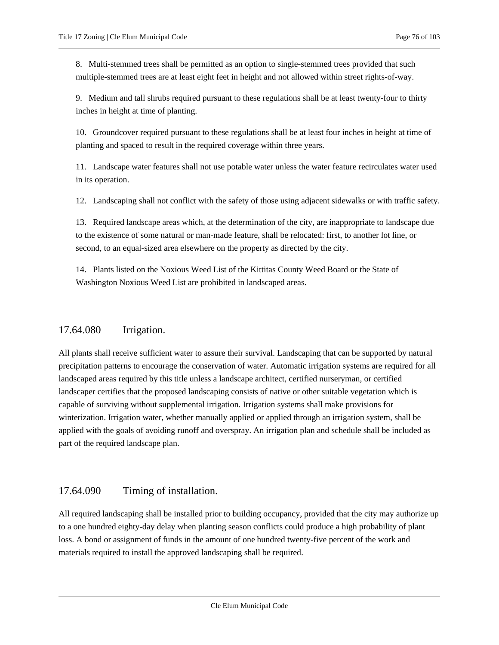8. Multi-stemmed trees shall be permitted as an option to single-stemmed trees provided that such multiple-stemmed trees are at least eight feet in height and not allowed within street rights-of-way.

9. Medium and tall shrubs required pursuant to these regulations shall be at least twenty-four to thirty inches in height at time of planting.

10. Groundcover required pursuant to these regulations shall be at least four inches in height at time of planting and spaced to result in the required coverage within three years.

11. Landscape water features shall not use potable water unless the water feature recirculates water used in its operation.

12. Landscaping shall not conflict with the safety of those using adjacent sidewalks or with traffic safety.

13. Required landscape areas which, at the determination of the city, are inappropriate to landscape due to the existence of some natural or man-made feature, shall be relocated: first, to another lot line, or second, to an equal-sized area elsewhere on the property as directed by the city.

14. Plants listed on the Noxious Weed List of the Kittitas County Weed Board or the State of Washington Noxious Weed List are prohibited in landscaped areas.

# 17.64.080 Irrigation.

All plants shall receive sufficient water to assure their survival. Landscaping that can be supported by natural precipitation patterns to encourage the conservation of water. Automatic irrigation systems are required for all landscaped areas required by this title unless a landscape architect, certified nurseryman, or certified landscaper certifies that the proposed landscaping consists of native or other suitable vegetation which is capable of surviving without supplemental irrigation. Irrigation systems shall make provisions for winterization. Irrigation water, whether manually applied or applied through an irrigation system, shall be applied with the goals of avoiding runoff and overspray. An irrigation plan and schedule shall be included as part of the required landscape plan.

# 17.64.090 Timing of installation.

All required landscaping shall be installed prior to building occupancy, provided that the city may authorize up to a one hundred eighty-day delay when planting season conflicts could produce a high probability of plant loss. A bond or assignment of funds in the amount of one hundred twenty-five percent of the work and materials required to install the approved landscaping shall be required.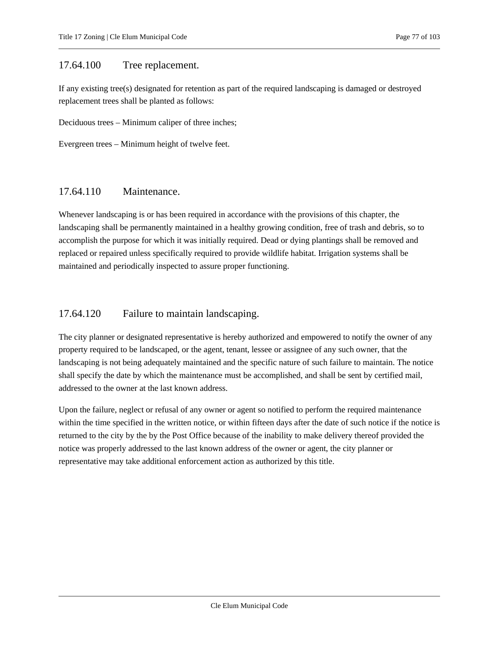## 17.64.100 Tree replacement.

If any existing tree(s) designated for retention as part of the required landscaping is damaged or destroyed replacement trees shall be planted as follows:

Deciduous trees – Minimum caliper of three inches;

Evergreen trees – Minimum height of twelve feet.

## 17.64.110 Maintenance.

Whenever landscaping is or has been required in accordance with the provisions of this chapter, the landscaping shall be permanently maintained in a healthy growing condition, free of trash and debris, so to accomplish the purpose for which it was initially required. Dead or dying plantings shall be removed and replaced or repaired unless specifically required to provide wildlife habitat. Irrigation systems shall be maintained and periodically inspected to assure proper functioning.

## 17.64.120 Failure to maintain landscaping.

The city planner or designated representative is hereby authorized and empowered to notify the owner of any property required to be landscaped, or the agent, tenant, lessee or assignee of any such owner, that the landscaping is not being adequately maintained and the specific nature of such failure to maintain. The notice shall specify the date by which the maintenance must be accomplished, and shall be sent by certified mail, addressed to the owner at the last known address.

Upon the failure, neglect or refusal of any owner or agent so notified to perform the required maintenance within the time specified in the written notice, or within fifteen days after the date of such notice if the notice is returned to the city by the by the Post Office because of the inability to make delivery thereof provided the notice was properly addressed to the last known address of the owner or agent, the city planner or representative may take additional enforcement action as authorized by this title.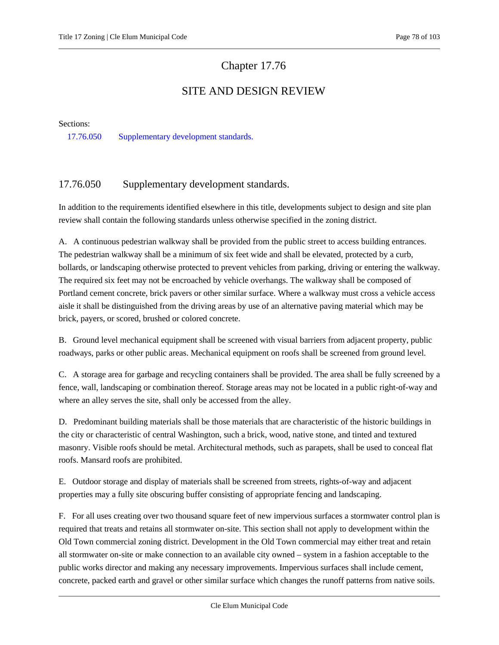# Chapter 17.76

# SITE AND DESIGN REVIEW

<span id="page-77-1"></span>Sections:

<span id="page-77-0"></span>[17.76.050 Supplementary development standards.](#page-77-0)

## 17.76.050 Supplementary development standards.

In addition to the requirements identified elsewhere in this title, developments subject to design and site plan review shall contain the following standards unless otherwise specified in the zoning district.

A. A continuous pedestrian walkway shall be provided from the public street to access building entrances. The pedestrian walkway shall be a minimum of six feet wide and shall be elevated, protected by a curb, bollards, or landscaping otherwise protected to prevent vehicles from parking, driving or entering the walkway. The required six feet may not be encroached by vehicle overhangs. The walkway shall be composed of Portland cement concrete, brick pavers or other similar surface. Where a walkway must cross a vehicle access aisle it shall be distinguished from the driving areas by use of an alternative paving material which may be brick, payers, or scored, brushed or colored concrete.

B. Ground level mechanical equipment shall be screened with visual barriers from adjacent property, public roadways, parks or other public areas. Mechanical equipment on roofs shall be screened from ground level.

C. A storage area for garbage and recycling containers shall be provided. The area shall be fully screened by a fence, wall, landscaping or combination thereof. Storage areas may not be located in a public right-of-way and where an alley serves the site, shall only be accessed from the alley.

D. Predominant building materials shall be those materials that are characteristic of the historic buildings in the city or characteristic of central Washington, such a brick, wood, native stone, and tinted and textured masonry. Visible roofs should be metal. Architectural methods, such as parapets, shall be used to conceal flat roofs. Mansard roofs are prohibited.

E. Outdoor storage and display of materials shall be screened from streets, rights-of-way and adjacent properties may a fully site obscuring buffer consisting of appropriate fencing and landscaping.

F. For all uses creating over two thousand square feet of new impervious surfaces a stormwater control plan is required that treats and retains all stormwater on-site. This section shall not apply to development within the Old Town commercial zoning district. Development in the Old Town commercial may either treat and retain all stormwater on-site or make connection to an available city owned – system in a fashion acceptable to the public works director and making any necessary improvements. Impervious surfaces shall include cement, concrete, packed earth and gravel or other similar surface which changes the runoff patterns from native soils.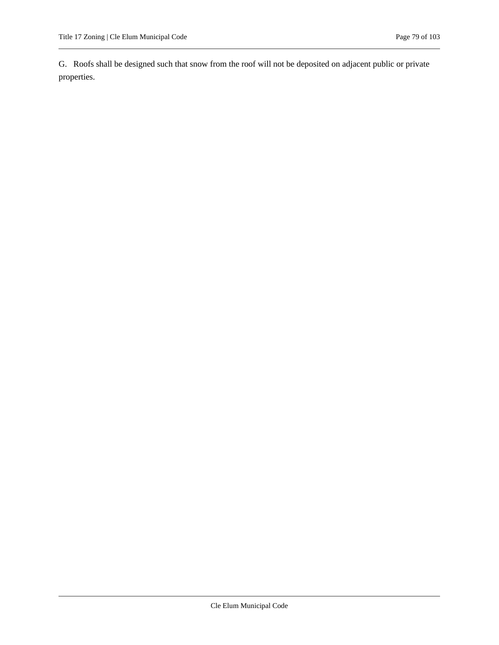G. Roofs shall be designed such that snow from the roof will not be deposited on adjacent public or private properties.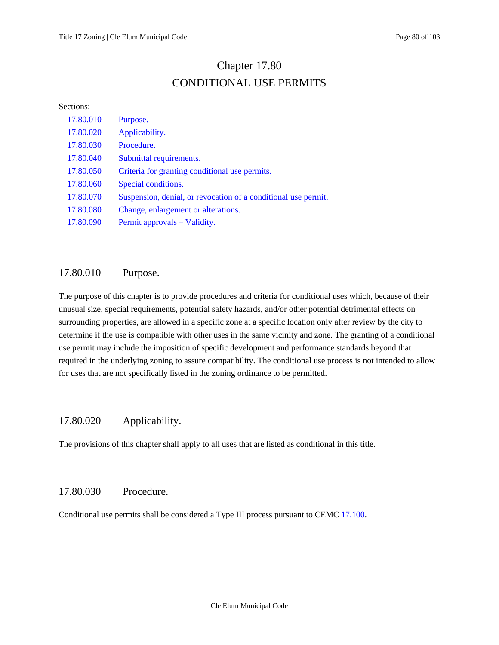# Chapter 17.80 CONDITIONAL USE PERMITS

#### Sections:

| 17.80.010 | Purpose.                                                       |
|-----------|----------------------------------------------------------------|
| 17.80.020 | Applicability.                                                 |
| 17.80.030 | Procedure.                                                     |
| 17.80.040 | Submittal requirements.                                        |
| 17.80.050 | Criteria for granting conditional use permits.                 |
| 17.80.060 | Special conditions.                                            |
| 17.80.070 | Suspension, denial, or revocation of a conditional use permit. |
| 17.80.080 | Change, enlargement or alterations.                            |
| 17.80.090 | Permit approvals – Validity.                                   |

# <span id="page-79-0"></span>17.80.010 Purpose.

The purpose of this chapter is to provide procedures and criteria for conditional uses which, because of their unusual size, special requirements, potential safety hazards, and/or other potential detrimental effects on surrounding properties, are allowed in a specific zone at a specific location only after review by the city to determine if the use is compatible with other uses in the same vicinity and zone. The granting of a conditional use permit may include the imposition of specific development and performance standards beyond that required in the underlying zoning to assure compatibility. The conditional use process is not intended to allow for uses that are not specifically listed in the zoning ordinance to be permitted.

# <span id="page-79-1"></span>17.80.020 Applicability.

<span id="page-79-2"></span>The provisions of this chapter shall apply to all uses that are listed as conditional in this title.

# 17.80.030 Procedure.

Conditional use permits shall be considered a Type III process pursuant to CEM[C 17.100.](#page-89-0)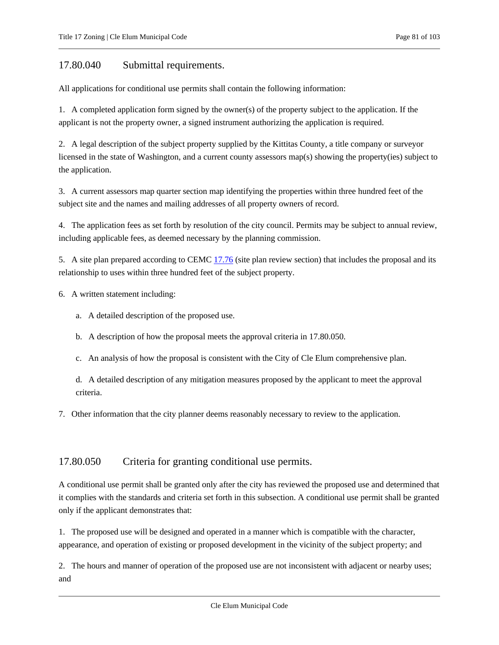## <span id="page-80-0"></span>17.80.040 Submittal requirements.

All applications for conditional use permits shall contain the following information:

1. A completed application form signed by the owner(s) of the property subject to the application. If the applicant is not the property owner, a signed instrument authorizing the application is required.

2. A legal description of the subject property supplied by the Kittitas County, a title company or surveyor licensed in the state of Washington, and a current county assessors map(s) showing the property(ies) subject to the application.

3. A current assessors map quarter section map identifying the properties within three hundred feet of the subject site and the names and mailing addresses of all property owners of record.

4. The application fees as set forth by resolution of the city council. Permits may be subject to annual review, including applicable fees, as deemed necessary by the planning commission.

5. A site plan prepared according to CEMC [17.76](#page-77-1) (site plan review section) that includes the proposal and its relationship to uses within three hundred feet of the subject property.

6. A written statement including:

- a. A detailed description of the proposed use.
- b. A description of how the proposal meets the approval criteria in 17.80.050.
- c. An analysis of how the proposal is consistent with the City of Cle Elum comprehensive plan.

d. A detailed description of any mitigation measures proposed by the applicant to meet the approval criteria.

<span id="page-80-1"></span>7. Other information that the city planner deems reasonably necessary to review to the application.

## 17.80.050 Criteria for granting conditional use permits.

A conditional use permit shall be granted only after the city has reviewed the proposed use and determined that it complies with the standards and criteria set forth in this subsection. A conditional use permit shall be granted only if the applicant demonstrates that:

1. The proposed use will be designed and operated in a manner which is compatible with the character, appearance, and operation of existing or proposed development in the vicinity of the subject property; and

2. The hours and manner of operation of the proposed use are not inconsistent with adjacent or nearby uses; and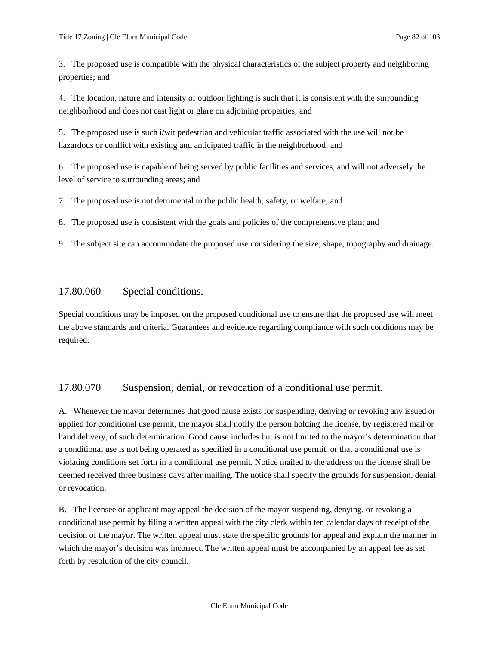3. The proposed use is compatible with the physical characteristics of the subject property and neighboring properties; and

4. The location, nature and intensity of outdoor lighting is such that it is consistent with the surrounding neighborhood and does not cast light or glare on adjoining properties; and

5. The proposed use is such i/wit pedestrian and vehicular traffic associated with the use will not be hazardous or conflict with existing and anticipated traffic in the neighborhood; and

6. The proposed use is capable of being served by public facilities and services, and will not adversely the level of service to surrounding areas; and

7. The proposed use is not detrimental to the public health, safety, or welfare; and

8. The proposed use is consistent with the goals and policies of the comprehensive plan; and

<span id="page-81-0"></span>9. The subject site can accommodate the proposed use considering the size, shape, topography and drainage.

## 17.80.060 Special conditions.

Special conditions may be imposed on the proposed conditional use to ensure that the proposed use will meet the above standards and criteria. Guarantees and evidence regarding compliance with such conditions may be required.

# <span id="page-81-1"></span>17.80.070 Suspension, denial, or revocation of a conditional use permit.

A. Whenever the mayor determines that good cause exists for suspending, denying or revoking any issued or applied for conditional use permit, the mayor shall notify the person holding the license, by registered mail or hand delivery, of such determination. Good cause includes but is not limited to the mayor's determination that a conditional use is not being operated as specified in a conditional use permit, or that a conditional use is violating conditions set forth in a conditional use permit. Notice mailed to the address on the license shall be deemed received three business days after mailing. The notice shall specify the grounds for suspension, denial or revocation.

B. The licensee or applicant may appeal the decision of the mayor suspending, denying, or revoking a conditional use permit by filing a written appeal with the city clerk within ten calendar days of receipt of the decision of the mayor. The written appeal must state the specific grounds for appeal and explain the manner in which the mayor's decision was incorrect. The written appeal must be accompanied by an appeal fee as set forth by resolution of the city council.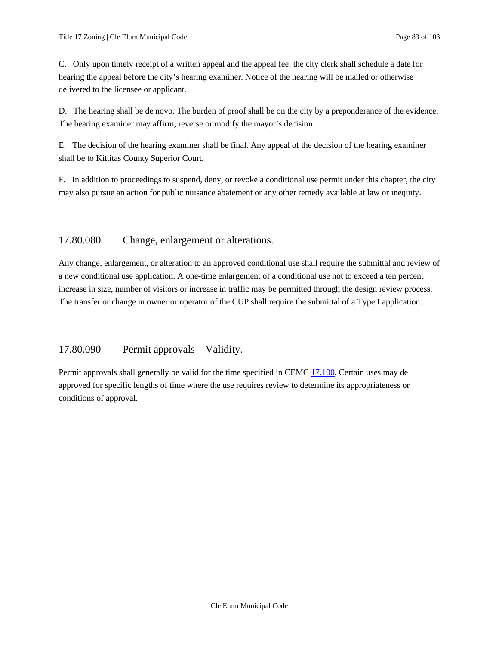C. Only upon timely receipt of a written appeal and the appeal fee, the city clerk shall schedule a date for hearing the appeal before the city's hearing examiner. Notice of the hearing will be mailed or otherwise delivered to the licensee or applicant.

D. The hearing shall be de novo. The burden of proof shall be on the city by a preponderance of the evidence. The hearing examiner may affirm, reverse or modify the mayor's decision.

E. The decision of the hearing examiner shall be final. Any appeal of the decision of the hearing examiner shall be to Kittitas County Superior Court.

F. In addition to proceedings to suspend, deny, or revoke a conditional use permit under this chapter, the city may also pursue an action for public nuisance abatement or any other remedy available at law or inequity.

## <span id="page-82-0"></span>17.80.080 Change, enlargement or alterations.

Any change, enlargement, or alteration to an approved conditional use shall require the submittal and review of a new conditional use application. A one-time enlargement of a conditional use not to exceed a ten percent increase in size, number of visitors or increase in traffic may be permitted through the design review process. The transfer or change in owner or operator of the CUP shall require the submittal of a Type I application.

# <span id="page-82-1"></span>17.80.090 Permit approvals – Validity.

Permit approvals shall generally be valid for the time specified in CEM[C 17.100.](#page-89-0) Certain uses may de approved for specific lengths of time where the use requires review to determine its appropriateness or conditions of approval.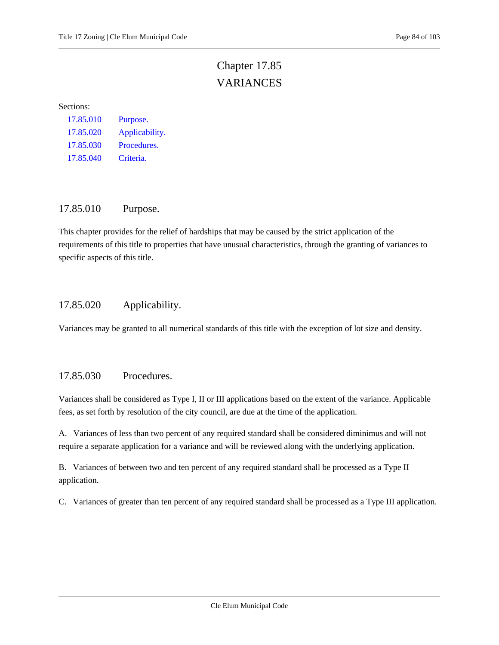# Chapter 17.85 VARIANCES

#### Sections:

| 17.85.010 | Purpose.       |
|-----------|----------------|
| 17.85.020 | Applicability. |
| 17.85.030 | Procedures.    |
| 17.85.040 | Criteria.      |

## <span id="page-83-0"></span>17.85.010 Purpose.

This chapter provides for the relief of hardships that may be caused by the strict application of the requirements of this title to properties that have unusual characteristics, through the granting of variances to specific aspects of this title.

# <span id="page-83-1"></span>17.85.020 Applicability.

<span id="page-83-2"></span>Variances may be granted to all numerical standards of this title with the exception of lot size and density.

## 17.85.030 Procedures.

Variances shall be considered as Type I, II or III applications based on the extent of the variance. Applicable fees, as set forth by resolution of the city council, are due at the time of the application.

A. Variances of less than two percent of any required standard shall be considered diminimus and will not require a separate application for a variance and will be reviewed along with the underlying application.

B. Variances of between two and ten percent of any required standard shall be processed as a Type II application.

C. Variances of greater than ten percent of any required standard shall be processed as a Type III application.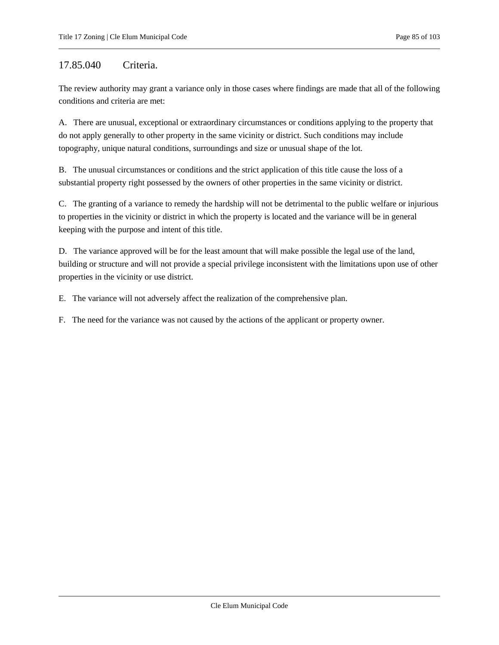## <span id="page-84-0"></span>17.85.040 Criteria.

The review authority may grant a variance only in those cases where findings are made that all of the following conditions and criteria are met:

A. There are unusual, exceptional or extraordinary circumstances or conditions applying to the property that do not apply generally to other property in the same vicinity or district. Such conditions may include topography, unique natural conditions, surroundings and size or unusual shape of the lot.

B. The unusual circumstances or conditions and the strict application of this title cause the loss of a substantial property right possessed by the owners of other properties in the same vicinity or district.

C. The granting of a variance to remedy the hardship will not be detrimental to the public welfare or injurious to properties in the vicinity or district in which the property is located and the variance will be in general keeping with the purpose and intent of this title.

D. The variance approved will be for the least amount that will make possible the legal use of the land, building or structure and will not provide a special privilege inconsistent with the limitations upon use of other properties in the vicinity or use district.

E. The variance will not adversely affect the realization of the comprehensive plan.

F. The need for the variance was not caused by the actions of the applicant or property owner.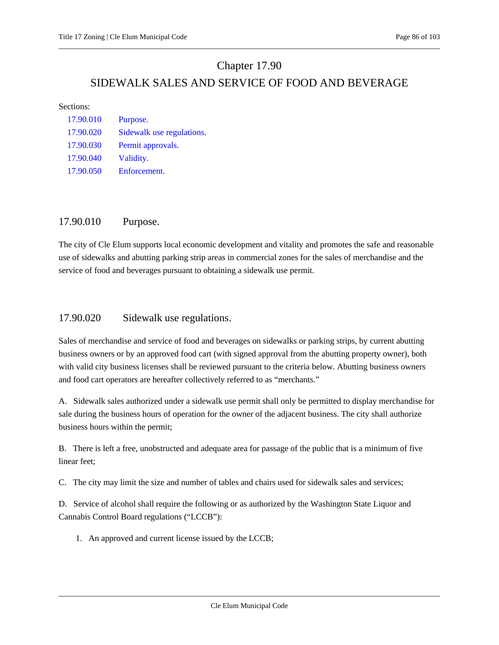# Chapter 17.90 SIDEWALK SALES AND SERVICE OF FOOD AND BEVERAGE

#### Sections:

| Purpose.                  |
|---------------------------|
| Sidewalk use regulations. |
| Permit approvals.         |
| Validity.                 |
| Enforcement.              |
|                           |

## <span id="page-85-0"></span>17.90.010 Purpose.

The city of Cle Elum supports local economic development and vitality and promotes the safe and reasonable use of sidewalks and abutting parking strip areas in commercial zones for the sales of merchandise and the service of food and beverages pursuant to obtaining a sidewalk use permit.

## <span id="page-85-1"></span>17.90.020 Sidewalk use regulations.

Sales of merchandise and service of food and beverages on sidewalks or parking strips, by current abutting business owners or by an approved food cart (with signed approval from the abutting property owner), both with valid city business licenses shall be reviewed pursuant to the criteria below. Abutting business owners and food cart operators are hereafter collectively referred to as "merchants."

A. Sidewalk sales authorized under a sidewalk use permit shall only be permitted to display merchandise for sale during the business hours of operation for the owner of the adjacent business. The city shall authorize business hours within the permit;

B. There is left a free, unobstructed and adequate area for passage of the public that is a minimum of five linear feet;

C. The city may limit the size and number of tables and chairs used for sidewalk sales and services;

D. Service of alcohol shall require the following or as authorized by the Washington State Liquor and Cannabis Control Board regulations ("LCCB"):

1. An approved and current license issued by the LCCB;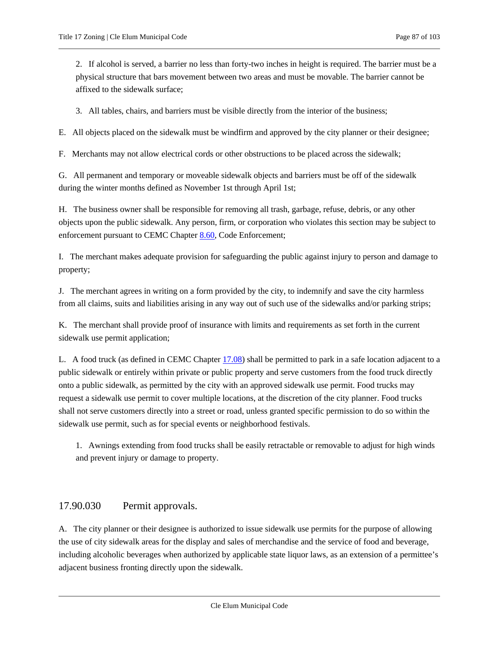2. If alcohol is served, a barrier no less than forty-two inches in height is required. The barrier must be a physical structure that bars movement between two areas and must be movable. The barrier cannot be affixed to the sidewalk surface;

3. All tables, chairs, and barriers must be visible directly from the interior of the business;

E. All objects placed on the sidewalk must be windfirm and approved by the city planner or their designee;

F. Merchants may not allow electrical cords or other obstructions to be placed across the sidewalk;

G. All permanent and temporary or moveable sidewalk objects and barriers must be off of the sidewalk during the winter months defined as November 1st through April 1st;

H. The business owner shall be responsible for removing all trash, garbage, refuse, debris, or any other objects upon the public sidewalk. Any person, firm, or corporation who violates this section may be subject to enforcement pursuant to CEMC Chapter [8.60,](https://cleelum.municipal.codes/CEMC/8.60) Code Enforcement;

I. The merchant makes adequate provision for safeguarding the public against injury to person and damage to property;

J. The merchant agrees in writing on a form provided by the city, to indemnify and save the city harmless from all claims, suits and liabilities arising in any way out of such use of the sidewalks and/or parking strips;

K. The merchant shall provide proof of insurance with limits and requirements as set forth in the current sidewalk use permit application;

L. A food truck (as defined in CEMC Chapter [17.08\)](#page-5-0) shall be permitted to park in a safe location adjacent to a public sidewalk or entirely within private or public property and serve customers from the food truck directly onto a public sidewalk, as permitted by the city with an approved sidewalk use permit. Food trucks may request a sidewalk use permit to cover multiple locations, at the discretion of the city planner. Food trucks shall not serve customers directly into a street or road, unless granted specific permission to do so within the sidewalk use permit, such as for special events or neighborhood festivals.

1. Awnings extending from food trucks shall be easily retractable or removable to adjust for high winds and prevent injury or damage to property.

## <span id="page-86-0"></span>17.90.030 Permit approvals.

A. The city planner or their designee is authorized to issue sidewalk use permits for the purpose of allowing the use of city sidewalk areas for the display and sales of merchandise and the service of food and beverage, including alcoholic beverages when authorized by applicable state liquor laws, as an extension of a permittee's adjacent business fronting directly upon the sidewalk.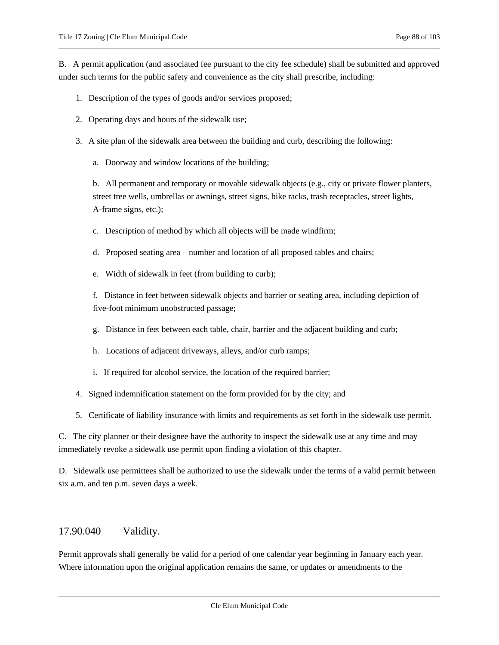B. A permit application (and associated fee pursuant to the city fee schedule) shall be submitted and approved under such terms for the public safety and convenience as the city shall prescribe, including:

- 1. Description of the types of goods and/or services proposed;
- 2. Operating days and hours of the sidewalk use;
- 3. A site plan of the sidewalk area between the building and curb, describing the following:
	- a. Doorway and window locations of the building;

b. All permanent and temporary or movable sidewalk objects (e.g., city or private flower planters, street tree wells, umbrellas or awnings, street signs, bike racks, trash receptacles, street lights, A-frame signs, etc.);

c. Description of method by which all objects will be made windfirm;

- d. Proposed seating area number and location of all proposed tables and chairs;
- e. Width of sidewalk in feet (from building to curb);

f. Distance in feet between sidewalk objects and barrier or seating area, including depiction of five-foot minimum unobstructed passage;

- g. Distance in feet between each table, chair, barrier and the adjacent building and curb;
- h. Locations of adjacent driveways, alleys, and/or curb ramps;
- i. If required for alcohol service, the location of the required barrier;
- 4. Signed indemnification statement on the form provided for by the city; and
- 5. Certificate of liability insurance with limits and requirements as set forth in the sidewalk use permit.

C. The city planner or their designee have the authority to inspect the sidewalk use at any time and may immediately revoke a sidewalk use permit upon finding a violation of this chapter.

D. Sidewalk use permittees shall be authorized to use the sidewalk under the terms of a valid permit between six a.m. and ten p.m. seven days a week.

# <span id="page-87-0"></span>17.90.040 Validity.

Permit approvals shall generally be valid for a period of one calendar year beginning in January each year. Where information upon the original application remains the same, or updates or amendments to the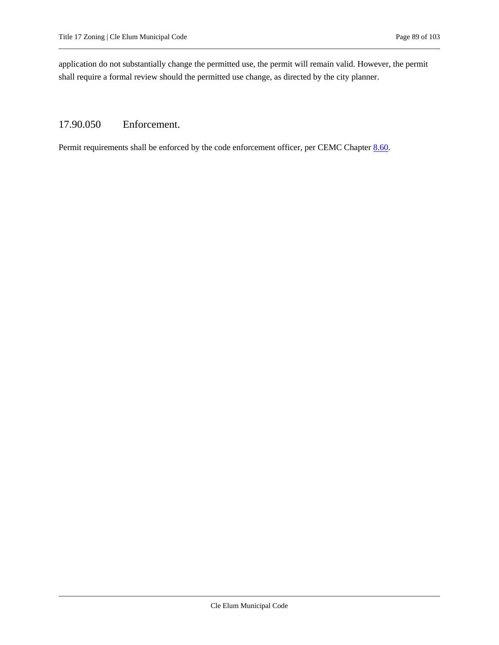application do not substantially change the permitted use, the permit will remain valid. However, the permit shall require a formal review should the permitted use change, as directed by the city planner.

# <span id="page-88-0"></span>17.90.050 Enforcement.

Permit requirements shall be enforced by the code enforcement officer, per CEMC Chapter [8.60.](https://cleelum.municipal.codes/CEMC/8.60)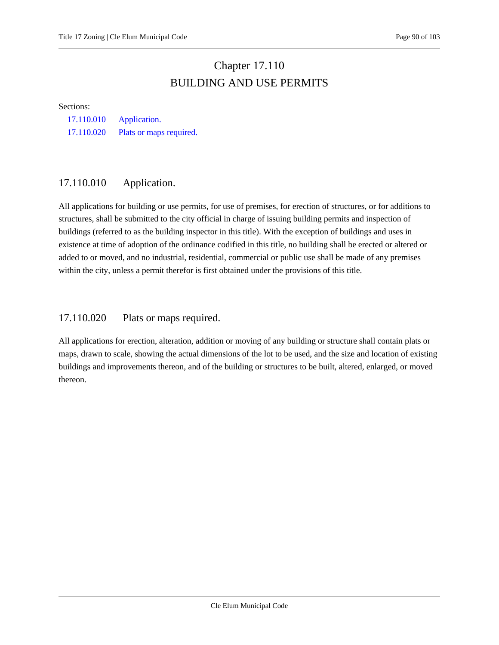# Chapter 17.110 BUILDING AND USE PERMITS

#### <span id="page-89-0"></span>Sections:

[17.110.010 Application.](#page-89-1) [17.110.020 Plats or maps required.](#page-89-2)

# <span id="page-89-1"></span>17.110.010 Application.

All applications for building or use permits, for use of premises, for erection of structures, or for additions to structures, shall be submitted to the city official in charge of issuing building permits and inspection of buildings (referred to as the building inspector in this title). With the exception of buildings and uses in existence at time of adoption of the ordinance codified in this title, no building shall be erected or altered or added to or moved, and no industrial, residential, commercial or public use shall be made of any premises within the city, unless a permit therefor is first obtained under the provisions of this title.

## <span id="page-89-2"></span>17.110.020 Plats or maps required.

All applications for erection, alteration, addition or moving of any building or structure shall contain plats or maps, drawn to scale, showing the actual dimensions of the lot to be used, and the size and location of existing buildings and improvements thereon, and of the building or structures to be built, altered, enlarged, or moved thereon.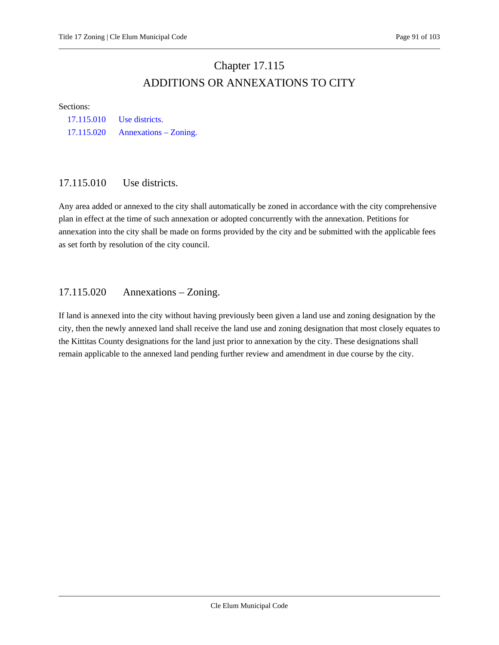# Chapter 17.115 ADDITIONS OR ANNEXATIONS TO CITY

#### Sections:

[17.115.010 Use districts.](#page-90-0) [17.115.020 Annexations](#page-90-1) – Zoning.

## <span id="page-90-0"></span>17.115.010 Use districts.

Any area added or annexed to the city shall automatically be zoned in accordance with the city comprehensive plan in effect at the time of such annexation or adopted concurrently with the annexation. Petitions for annexation into the city shall be made on forms provided by the city and be submitted with the applicable fees as set forth by resolution of the city council.

## <span id="page-90-1"></span>17.115.020 Annexations – Zoning.

If land is annexed into the city without having previously been given a land use and zoning designation by the city, then the newly annexed land shall receive the land use and zoning designation that most closely equates to the Kittitas County designations for the land just prior to annexation by the city. These designations shall remain applicable to the annexed land pending further review and amendment in due course by the city.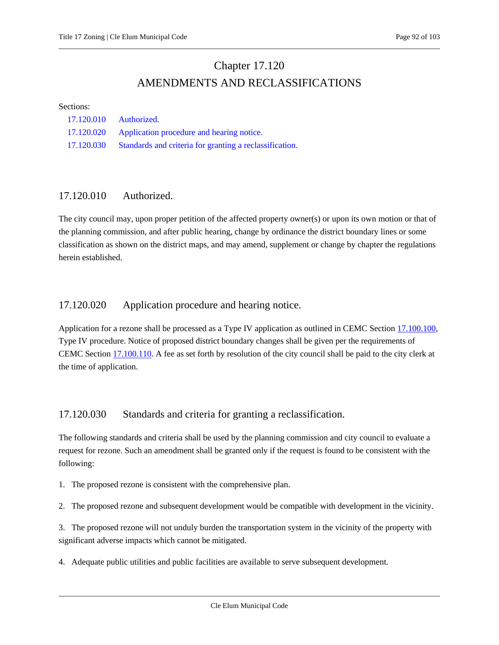# Chapter 17.120 AMENDMENTS AND RECLASSIFICATIONS

#### Sections:

| 17.120.010 | Authorized.                                             |
|------------|---------------------------------------------------------|
|            | 17.120.020 Application procedure and hearing notice.    |
| 17.120.030 | Standards and criteria for granting a reclassification. |

## <span id="page-91-0"></span>17.120.010 Authorized.

The city council may, upon proper petition of the affected property owner(s) or upon its own motion or that of the planning commission, and after public hearing, change by ordinance the district boundary lines or some classification as shown on the district maps, and may amend, supplement or change by chapter the regulations herein established.

## <span id="page-91-1"></span>17.120.020 Application procedure and hearing notice.

Application for a rezone shall be processed as a Type IV application as outlined in CEMC Sectio[n 17.100.100,](#page-89-0) Type IV procedure. Notice of proposed district boundary changes shall be given per the requirements of CEMC Section [17.100.110.](#page-89-0) A fee as set forth by resolution of the city council shall be paid to the city clerk at the time of application.

# <span id="page-91-2"></span>17.120.030 Standards and criteria for granting a reclassification.

The following standards and criteria shall be used by the planning commission and city council to evaluate a request for rezone. Such an amendment shall be granted only if the request is found to be consistent with the following:

1. The proposed rezone is consistent with the comprehensive plan.

2. The proposed rezone and subsequent development would be compatible with development in the vicinity.

3. The proposed rezone will not unduly burden the transportation system in the vicinity of the property with significant adverse impacts which cannot be mitigated.

4. Adequate public utilities and public facilities are available to serve subsequent development.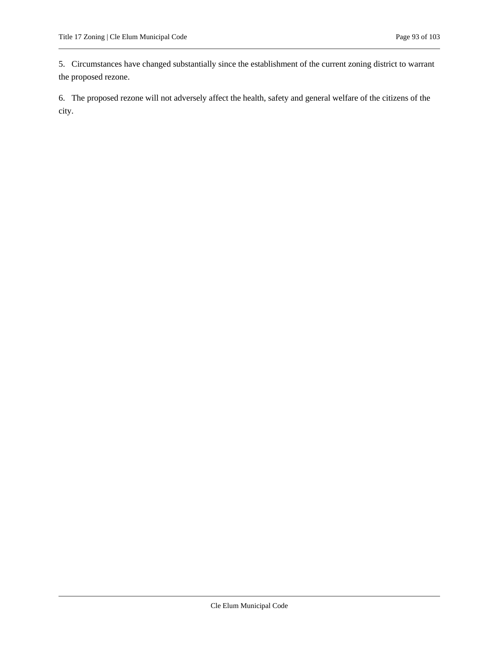5. Circumstances have changed substantially since the establishment of the current zoning district to warrant the proposed rezone.

6. The proposed rezone will not adversely affect the health, safety and general welfare of the citizens of the city.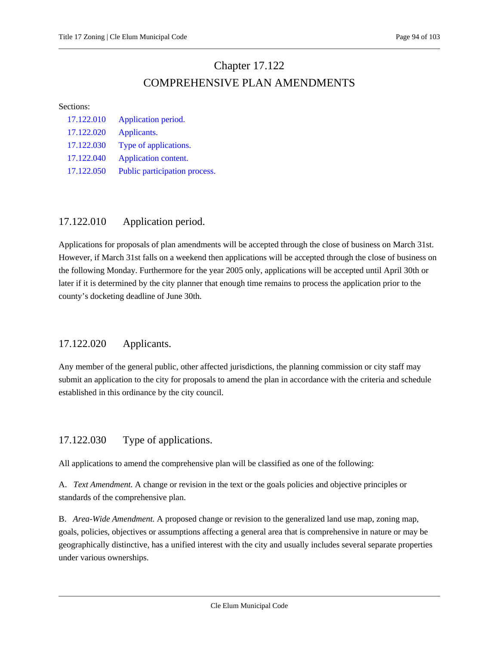# Chapter 17.122 COMPREHENSIVE PLAN AMENDMENTS

#### Sections:

| 17.122.010 | Application period.           |
|------------|-------------------------------|
| 17.122.020 | Applicants.                   |
| 17.122.030 | Type of applications.         |
| 17.122.040 | Application content.          |
| 17.122.050 | Public participation process. |

# <span id="page-93-0"></span>17.122.010 Application period.

Applications for proposals of plan amendments will be accepted through the close of business on March 31st. However, if March 31st falls on a weekend then applications will be accepted through the close of business on the following Monday. Furthermore for the year 2005 only, applications will be accepted until April 30th or later if it is determined by the city planner that enough time remains to process the application prior to the county's docketing deadline of June 30th.

# <span id="page-93-1"></span>17.122.020 Applicants.

Any member of the general public, other affected jurisdictions, the planning commission or city staff may submit an application to the city for proposals to amend the plan in accordance with the criteria and schedule established in this ordinance by the city council.

# <span id="page-93-2"></span>17.122.030 Type of applications.

All applications to amend the comprehensive plan will be classified as one of the following:

A. *Text Amendment.* A change or revision in the text or the goals policies and objective principles or standards of the comprehensive plan.

B. *Area-Wide Amendment.* A proposed change or revision to the generalized land use map, zoning map, goals, policies, objectives or assumptions affecting a general area that is comprehensive in nature or may be geographically distinctive, has a unified interest with the city and usually includes several separate properties under various ownerships.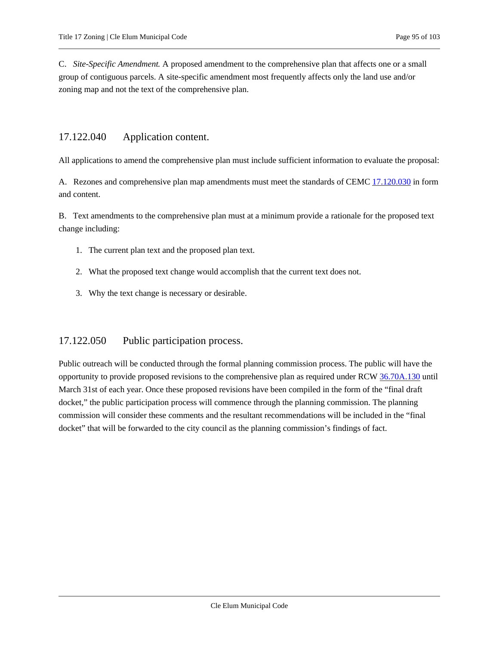C. *Site-Specific Amendment.* A proposed amendment to the comprehensive plan that affects one or a small group of contiguous parcels. A site-specific amendment most frequently affects only the land use and/or zoning map and not the text of the comprehensive plan.

## <span id="page-94-0"></span>17.122.040 Application content.

All applications to amend the comprehensive plan must include sufficient information to evaluate the proposal:

A. Rezones and comprehensive plan map amendments must meet the standards of CEMC [17.120.030](#page-91-2) in form and content.

B. Text amendments to the comprehensive plan must at a minimum provide a rationale for the proposed text change including:

- 1. The current plan text and the proposed plan text.
- 2. What the proposed text change would accomplish that the current text does not.
- 3. Why the text change is necessary or desirable.

# <span id="page-94-1"></span>17.122.050 Public participation process.

Public outreach will be conducted through the formal planning commission process. The public will have the opportunity to provide proposed revisions to the comprehensive plan as required under RCW [36.70A.130](https://cleelum.municipal.codes/WA/RCW/36.70A.130) until March 31st of each year. Once these proposed revisions have been compiled in the form of the "final draft docket," the public participation process will commence through the planning commission. The planning commission will consider these comments and the resultant recommendations will be included in the "final docket" that will be forwarded to the city council as the planning commission's findings of fact.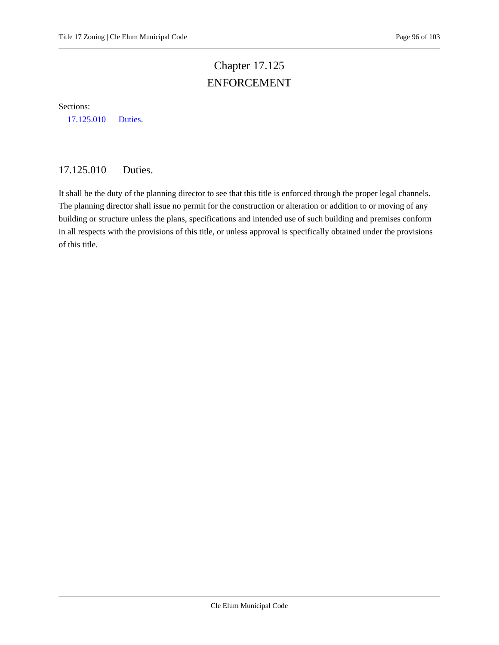# Chapter 17.125 ENFORCEMENT

Sections:

<span id="page-95-0"></span>[17.125.010 Duties.](#page-95-0)

# 17.125.010 Duties.

It shall be the duty of the planning director to see that this title is enforced through the proper legal channels. The planning director shall issue no permit for the construction or alteration or addition to or moving of any building or structure unless the plans, specifications and intended use of such building and premises conform in all respects with the provisions of this title, or unless approval is specifically obtained under the provisions of this title.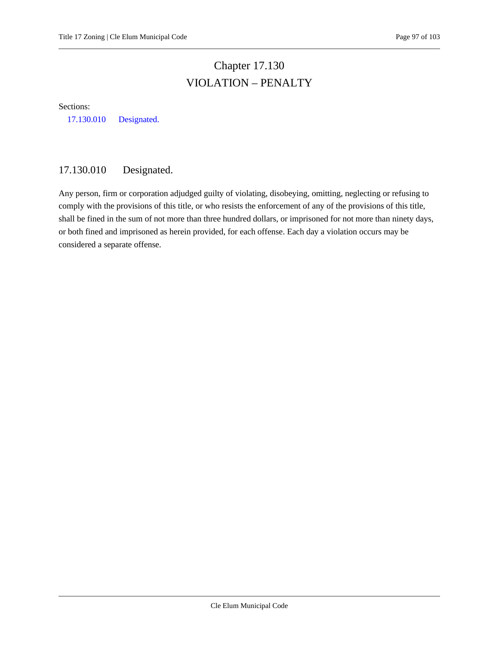# Chapter 17.130 VIOLATION – PENALTY

Sections:

<span id="page-96-0"></span>[17.130.010 Designated.](#page-96-0)

# 17.130.010 Designated.

Any person, firm or corporation adjudged guilty of violating, disobeying, omitting, neglecting or refusing to comply with the provisions of this title, or who resists the enforcement of any of the provisions of this title, shall be fined in the sum of not more than three hundred dollars, or imprisoned for not more than ninety days, or both fined and imprisoned as herein provided, for each offense. Each day a violation occurs may be considered a separate offense.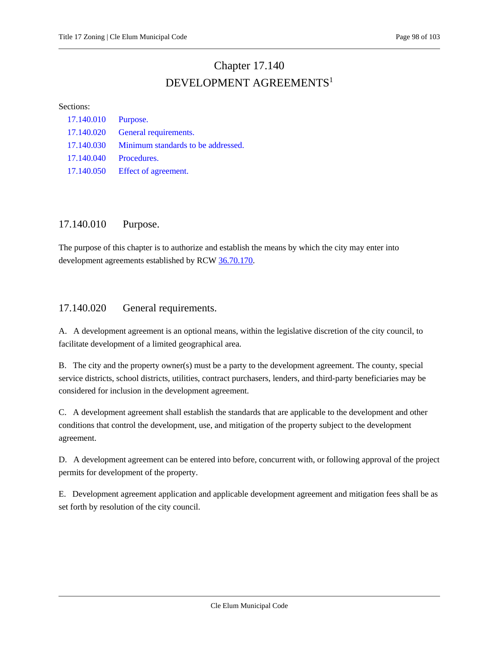# Chapter 17.140 DEVELOPMENT AGREEMENTS<sup>1</sup>

#### Sections:

| 17.140.010 Purpose. |                                               |
|---------------------|-----------------------------------------------|
| 17.140.020          | <b>General requirements.</b>                  |
|                     | 17.140.030 Minimum standards to be addressed. |
| 17.140.040          | Procedures.                                   |
| 17.140.050          | Effect of agreement.                          |

# <span id="page-97-0"></span>17.140.010 Purpose.

The purpose of this chapter is to authorize and establish the means by which the city may enter into development agreements established by RCW [36.70.170.](https://cleelum.municipal.codes/WA/RCW/36.70.170)

## <span id="page-97-1"></span>17.140.020 General requirements.

A. A development agreement is an optional means, within the legislative discretion of the city council, to facilitate development of a limited geographical area.

B. The city and the property owner(s) must be a party to the development agreement. The county, special service districts, school districts, utilities, contract purchasers, lenders, and third-party beneficiaries may be considered for inclusion in the development agreement.

C. A development agreement shall establish the standards that are applicable to the development and other conditions that control the development, use, and mitigation of the property subject to the development agreement.

D. A development agreement can be entered into before, concurrent with, or following approval of the project permits for development of the property.

E. Development agreement application and applicable development agreement and mitigation fees shall be as set forth by resolution of the city council.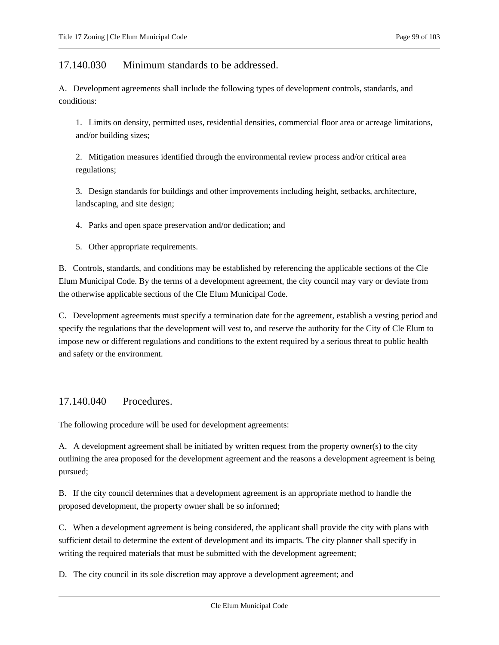## <span id="page-98-0"></span>17.140.030 Minimum standards to be addressed.

A. Development agreements shall include the following types of development controls, standards, and conditions:

1. Limits on density, permitted uses, residential densities, commercial floor area or acreage limitations, and/or building sizes;

2. Mitigation measures identified through the environmental review process and/or critical area regulations;

3. Design standards for buildings and other improvements including height, setbacks, architecture, landscaping, and site design;

4. Parks and open space preservation and/or dedication; and

5. Other appropriate requirements.

B. Controls, standards, and conditions may be established by referencing the applicable sections of the Cle Elum Municipal Code. By the terms of a development agreement, the city council may vary or deviate from the otherwise applicable sections of the Cle Elum Municipal Code.

C. Development agreements must specify a termination date for the agreement, establish a vesting period and specify the regulations that the development will vest to, and reserve the authority for the City of Cle Elum to impose new or different regulations and conditions to the extent required by a serious threat to public health and safety or the environment.

## <span id="page-98-1"></span>17.140.040 Procedures.

The following procedure will be used for development agreements:

A. A development agreement shall be initiated by written request from the property owner(s) to the city outlining the area proposed for the development agreement and the reasons a development agreement is being pursued;

B. If the city council determines that a development agreement is an appropriate method to handle the proposed development, the property owner shall be so informed;

C. When a development agreement is being considered, the applicant shall provide the city with plans with sufficient detail to determine the extent of development and its impacts. The city planner shall specify in writing the required materials that must be submitted with the development agreement;

D. The city council in its sole discretion may approve a development agreement; and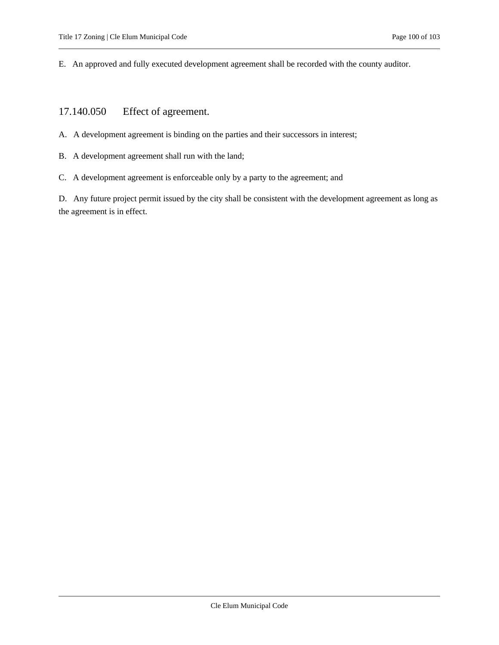<span id="page-99-0"></span>E. An approved and fully executed development agreement shall be recorded with the county auditor.

# 17.140.050 Effect of agreement.

- A. A development agreement is binding on the parties and their successors in interest;
- B. A development agreement shall run with the land;
- C. A development agreement is enforceable only by a party to the agreement; and

D. Any future project permit issued by the city shall be consistent with the development agreement as long as the agreement is in effect.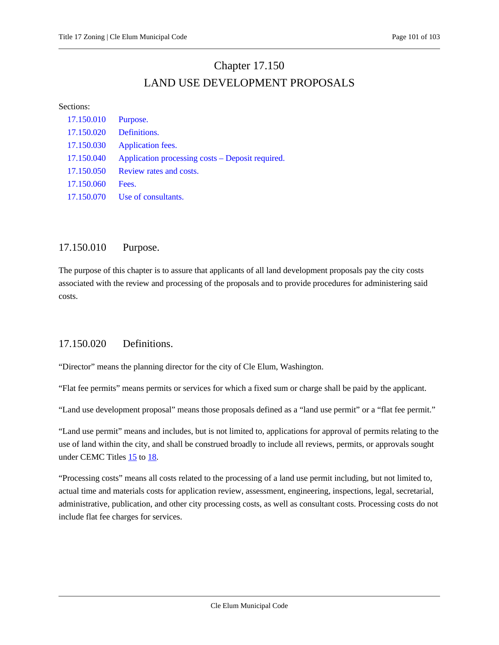# Chapter 17.150 LAND USE DEVELOPMENT PROPOSALS

#### Sections:

| 17.150.010 | Purpose.                                         |
|------------|--------------------------------------------------|
| 17.150.020 | Definitions.                                     |
| 17.150.030 | Application fees.                                |
| 17.150.040 | Application processing costs – Deposit required. |
| 17.150.050 | Review rates and costs.                          |
| 17.150.060 | Fees.                                            |
| 17.150.070 | Use of consultants.                              |

## <span id="page-100-0"></span>17.150.010 Purpose.

The purpose of this chapter is to assure that applicants of all land development proposals pay the city costs associated with the review and processing of the proposals and to provide procedures for administering said costs.

# <span id="page-100-1"></span>17.150.020 Definitions.

"Director" means the planning director for the city of Cle Elum, Washington.

"Flat fee permits" means permits or services for which a fixed sum or charge shall be paid by the applicant.

"Land use development proposal" means those proposals defined as a "land use permit" or a "flat fee permit."

"Land use permit" means and includes, but is not limited to, applications for approval of permits relating to the use of land within the city, and shall be construed broadly to include all reviews, permits, or approvals sought under CEMC Titles  $15$  to  $18$ .

"Processing costs" means all costs related to the processing of a land use permit including, but not limited to, actual time and materials costs for application review, assessment, engineering, inspections, legal, secretarial, administrative, publication, and other city processing costs, as well as consultant costs. Processing costs do not include flat fee charges for services.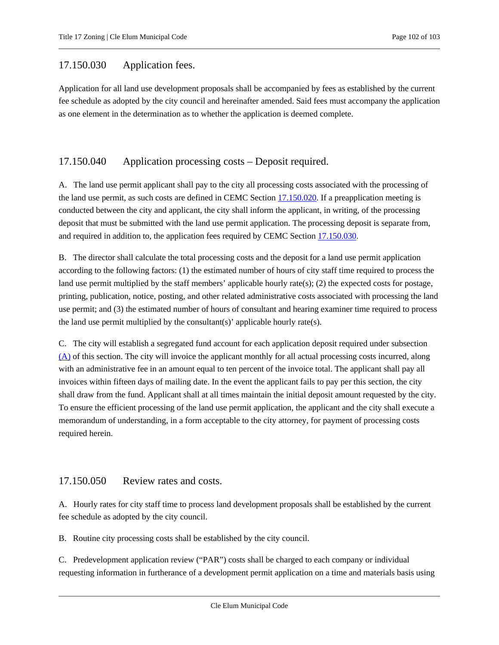## <span id="page-101-0"></span>17.150.030 Application fees.

Application for all land use development proposals shall be accompanied by fees as established by the current fee schedule as adopted by the city council and hereinafter amended. Said fees must accompany the application as one element in the determination as to whether the application is deemed complete.

## <span id="page-101-1"></span>17.150.040 Application processing costs – Deposit required.

<span id="page-101-3"></span>A. The land use permit applicant shall pay to the city all processing costs associated with the processing of the land use permit, as such costs are defined in CEMC Section [17.150.020.](#page-100-1) If a preapplication meeting is conducted between the city and applicant, the city shall inform the applicant, in writing, of the processing deposit that must be submitted with the land use permit application. The processing deposit is separate from, and required in addition to, the application fees required by CEMC Section [17.150.030.](#page-101-0)

B. The director shall calculate the total processing costs and the deposit for a land use permit application according to the following factors: (1) the estimated number of hours of city staff time required to process the land use permit multiplied by the staff members' applicable hourly rate(s); (2) the expected costs for postage, printing, publication, notice, posting, and other related administrative costs associated with processing the land use permit; and (3) the estimated number of hours of consultant and hearing examiner time required to process the land use permit multiplied by the consultant(s)' applicable hourly rate(s).

C. The city will establish a segregated fund account for each application deposit required under subsection [\(A\)](#page-101-3) of this section. The city will invoice the applicant monthly for all actual processing costs incurred, along with an administrative fee in an amount equal to ten percent of the invoice total. The applicant shall pay all invoices within fifteen days of mailing date. In the event the applicant fails to pay per this section, the city shall draw from the fund. Applicant shall at all times maintain the initial deposit amount requested by the city. To ensure the efficient processing of the land use permit application, the applicant and the city shall execute a memorandum of understanding, in a form acceptable to the city attorney, for payment of processing costs required herein.

## <span id="page-101-2"></span>17.150.050 Review rates and costs.

A. Hourly rates for city staff time to process land development proposals shall be established by the current fee schedule as adopted by the city council.

B. Routine city processing costs shall be established by the city council.

C. Predevelopment application review ("PAR") costs shall be charged to each company or individual requesting information in furtherance of a development permit application on a time and materials basis using